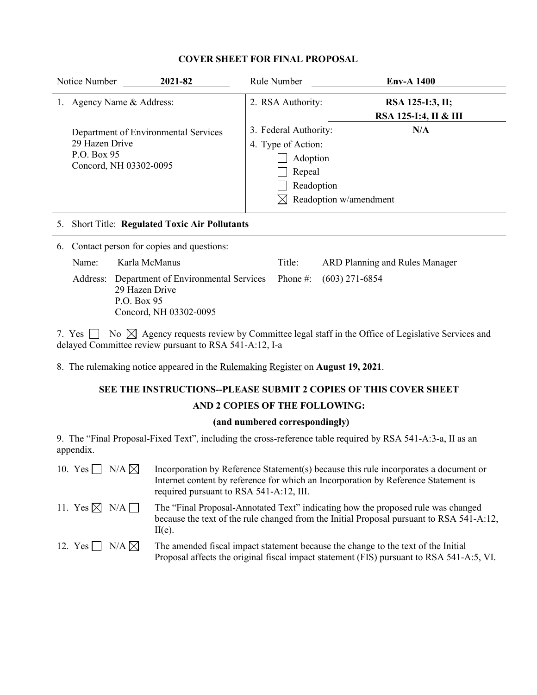## **COVER SHEET FOR FINAL PROPOSAL**

|    | Notice Number<br>2021-82                                                                                                     | Rule Number                                                                                          | <b>Env-A</b> 1400                                                                                 |
|----|------------------------------------------------------------------------------------------------------------------------------|------------------------------------------------------------------------------------------------------|---------------------------------------------------------------------------------------------------|
|    | 1. Agency Name & Address:<br>Department of Environmental Services<br>29 Hazen Drive<br>P.O. Box 95<br>Concord, NH 03302-0095 | 2. RSA Authority:<br>3. Federal Authority:<br>4. Type of Action:<br>Adoption<br>Repeal<br>Readoption | RSA 125-I:3, II;<br><b>RSA 125-I:4, II &amp; III</b><br>N/A<br>$\boxtimes$ Readoption w/amendment |
|    | 5. Short Title: Regulated Toxic Air Pollutants                                                                               |                                                                                                      |                                                                                                   |
| 6. | Contact person for copies and questions:<br>Karla McManus<br>Name:                                                           | Title:                                                                                               | ARD Planning and Rules Manager                                                                    |

Address: Department of Environmental Services Phone #: (603) 271-6854 29 Hazen Drive P.O. Box 95 Concord, NH 03302-0095

7. Yes  $\Box$  No  $\boxtimes$  Agency requests review by Committee legal staff in the Office of Legislative Services and delayed Committee review pursuant to RSA 541-A:12, I-a

8. The rulemaking notice appeared in the Rulemaking Register on **August 19, 2021**.

# **SEE THE INSTRUCTIONS--PLEASE SUBMIT 2 COPIES OF THIS COVER SHEET**

# **AND 2 COPIES OF THE FOLLOWING:**

## **(and numbered correspondingly)**

9. The "Final Proposal-Fixed Text", including the cross-reference table required by RSA 541-A:3-a, II as an appendix.

| 10. Yes $\Box$ N/A $\boxtimes$ | Incorporation by Reference Statement(s) because this rule incorporates a document or<br>Internet content by reference for which an Incorporation by Reference Statement is<br>required pursuant to RSA 541-A:12, III. |
|--------------------------------|-----------------------------------------------------------------------------------------------------------------------------------------------------------------------------------------------------------------------|
| 11. Yes $\boxtimes$ N/A        | The "Final Proposal-Annotated Text" indicating how the proposed rule was changed<br>because the text of the rule changed from the Initial Proposal pursuant to RSA 541-A:12,<br>$H(e)$ .                              |
| 12. Yes $\Box$ N/A $\boxtimes$ | The amended fiscal impact statement because the change to the text of the Initial<br>Proposal affects the original fiscal impact statement (FIS) pursuant to RSA 541-A:5, VI.                                         |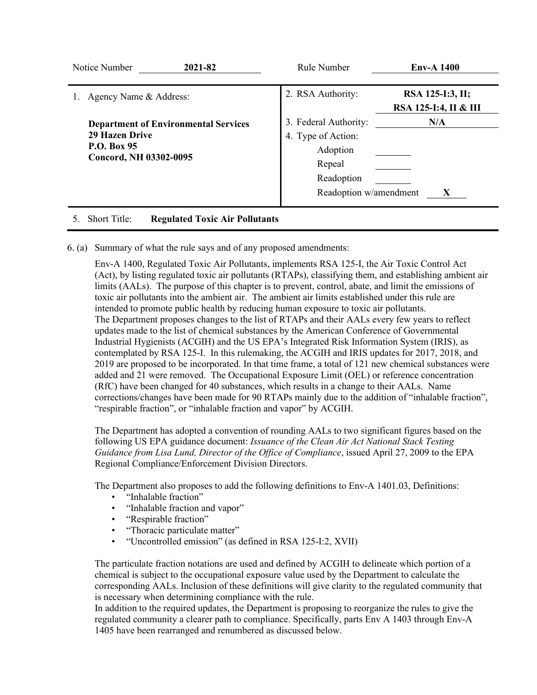| Notice Number<br>2021-82                                                                                             | Rule Number                                                                                               | <b>Env-A</b> 1400                                    |  |  |
|----------------------------------------------------------------------------------------------------------------------|-----------------------------------------------------------------------------------------------------------|------------------------------------------------------|--|--|
| Agency Name & Address:                                                                                               | 2. RSA Authority:                                                                                         | RSA 125-I:3, II;<br><b>RSA 125-I:4, II &amp; III</b> |  |  |
| <b>Department of Environmental Services</b><br><b>29 Hazen Drive</b><br><b>P.O. Box 95</b><br>Concord, NH 03302-0095 | 3. Federal Authority:<br>4. Type of Action:<br>Adoption<br>Repeal<br>Readoption<br>Readoption w/amendment | N/A<br>X                                             |  |  |
| <b>Short Title:</b><br><b>Regulated Toxic Air Pollutants</b>                                                         |                                                                                                           |                                                      |  |  |

6. (a) Summary of what the rule says and of any proposed amendments:

Env-A 1400, Regulated Toxic Air Pollutants, implements RSA 125-I, the Air Toxic Control Act (Act), by listing regulated toxic air pollutants (RTAPs), classifying them, and establishing ambient air limits (AALs). The purpose of this chapter is to prevent, control, abate, and limit the emissions of toxic air pollutants into the ambient air. The ambient air limits established under this rule are intended to promote public health by reducing human exposure to toxic air pollutants. The Department proposes changes to the list of RTAPs and their AALs every few years to reflect updates made to the list of chemical substances by the American Conference of Governmental Industrial Hygienists (ACGIH) and the US EPA's Integrated Risk Information System (IRIS), as contemplated by RSA 125-I. In this rulemaking, the ACGIH and IRIS updates for 2017, 2018, and 2019 are proposed to be incorporated. In that time frame, a total of 121 new chemical substances were added and 21 were removed. The Occupational Exposure Limit (OEL) or reference concentration (RfC) have been changed for 40 substances, which results in a change to their AALs. Name corrections/changes have been made for 90 RTAPs mainly due to the addition of "inhalable fraction", "respirable fraction", or "inhalable fraction and vapor" by ACGIH.

The Department has adopted a convention of rounding AALs to two significant figures based on the following US EPA guidance document: *Issuance of the Clean Air Act National Stack Testing Guidance from Lisa Lund, Director of the Office of Compliance*, issued April 27, 2009 to the EPA Regional Compliance/Enforcement Division Directors.

The Department also proposes to add the following definitions to Env-A 1401.03, Definitions:

- "Inhalable fraction"
- "Inhalable fraction and vapor"
- "Respirable fraction"
- "Thoracic particulate matter"
- "Uncontrolled emission" (as defined in RSA 125-I:2, XVII)

The particulate fraction notations are used and defined by ACGIH to delineate which portion of a chemical is subject to the occupational exposure value used by the Department to calculate the corresponding AALs. Inclusion of these definitions will give clarity to the regulated community that is necessary when determining compliance with the rule.

In addition to the required updates, the Department is proposing to reorganize the rules to give the regulated community a clearer path to compliance. Specifically, parts Env A 1403 through Env-A 1405 have been rearranged and renumbered as discussed below.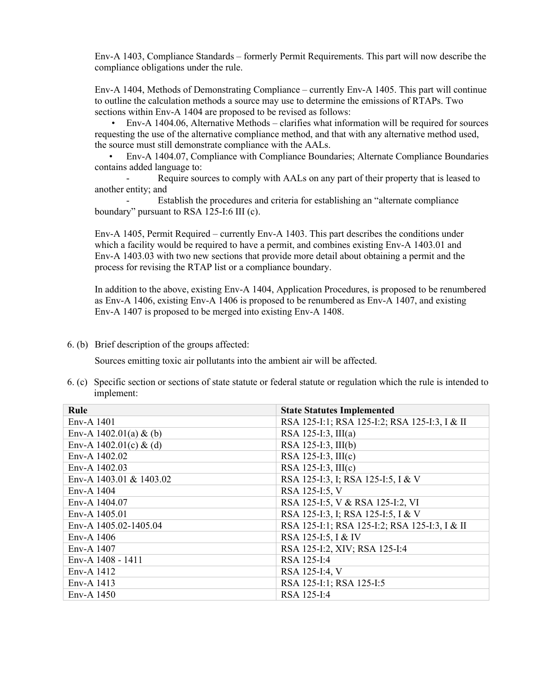Env-A 1403, Compliance Standards – formerly Permit Requirements. This part will now describe the compliance obligations under the rule.

Env-A 1404, Methods of Demonstrating Compliance – currently Env-A 1405. This part will continue to outline the calculation methods a source may use to determine the emissions of RTAPs. Two sections within Env-A 1404 are proposed to be revised as follows:

• Env-A 1404.06, Alternative Methods – clarifies what information will be required for sources requesting the use of the alternative compliance method, and that with any alternative method used, the source must still demonstrate compliance with the AALs.

 • Env-A 1404.07, Compliance with Compliance Boundaries; Alternate Compliance Boundaries contains added language to:

Require sources to comply with AALs on any part of their property that is leased to another entity; and

Establish the procedures and criteria for establishing an "alternate compliance" boundary" pursuant to RSA 125-I:6 III (c).

Env-A 1405, Permit Required – currently Env-A 1403. This part describes the conditions under which a facility would be required to have a permit, and combines existing Env-A 1403.01 and Env-A 1403.03 with two new sections that provide more detail about obtaining a permit and the process for revising the RTAP list or a compliance boundary.

In addition to the above, existing Env-A 1404, Application Procedures, is proposed to be renumbered as Env-A 1406, existing Env-A 1406 is proposed to be renumbered as Env-A 1407, and existing Env-A 1407 is proposed to be merged into existing Env-A 1408.

6. (b) Brief description of the groups affected:

Sources emitting toxic air pollutants into the ambient air will be affected.

6. (c) Specific section or sections of state statute or federal statute or regulation which the rule is intended to implement:

| Rule                     | <b>State Statutes Implemented</b>             |
|--------------------------|-----------------------------------------------|
| Env-A 1401               | RSA 125-I:1; RSA 125-I:2; RSA 125-I:3, I & II |
| Env-A $1402.01(a)$ & (b) | RSA 125-I:3, $III(a)$                         |
| Env-A $1402.01(c)$ & (d) | RSA 125-I:3, III(b)                           |
| Env-A 1402.02            | RSA $125$ -I:3, III(c)                        |
| Env-A 1402.03            | RSA 125-I:3, III(c)                           |
| Env-A 1403.01 & 1403.02  | RSA 125-I:3, I; RSA 125-I:5, I & V            |
| $Env-A$ 1404             | RSA 125-I:5, V                                |
| Env-A 1404.07            | RSA 125-I:5, V & RSA 125-I:2, VI              |
| Env-A 1405.01            | RSA 125-I:3, I; RSA 125-I:5, I & V            |
| Env-A 1405.02-1405.04    | RSA 125-I:1; RSA 125-I:2; RSA 125-I:3, I & II |
| Env-A 1406               | RSA 125-I:5, I & IV                           |
| Env-A 1407               | RSA 125-I:2, XIV; RSA 125-I:4                 |
| Env-A 1408 - 1411        | RSA 125-I:4                                   |
| Env-A 1412               | RSA 125-I:4, V                                |
| $Env-A$ 1413             | RSA 125-I:1; RSA 125-I:5                      |
| $Env-A$ 1450             | RSA 125-I:4                                   |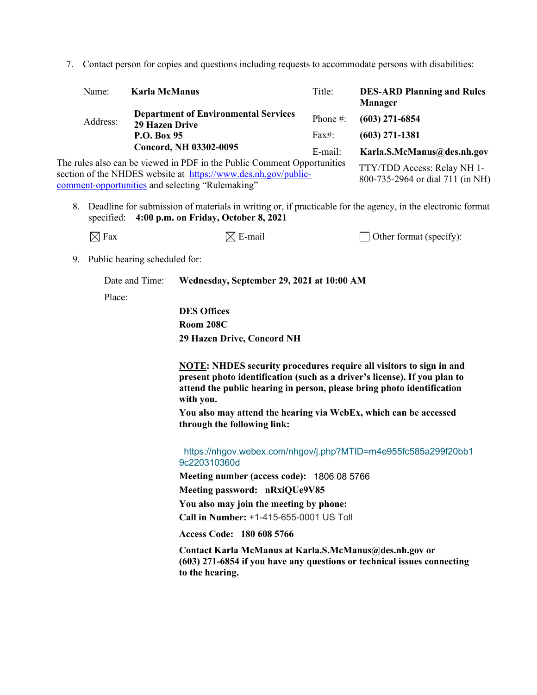7. Contact person for copies and questions including requests to accommodate persons with disabilities:

| Name:    | <b>Karla McManus</b>                                                                                                                                                                          | Title:      | <b>DES-ARD Planning and Rules</b><br><b>Manager</b>             |
|----------|-----------------------------------------------------------------------------------------------------------------------------------------------------------------------------------------------|-------------|-----------------------------------------------------------------|
| Address: | <b>Department of Environmental Services</b><br><b>29 Hazen Drive</b>                                                                                                                          | Phone $#$ : | $(603)$ 271-6854                                                |
|          | P.O. Box 95                                                                                                                                                                                   | Fast:       | $(603)$ 271-1381                                                |
|          | Concord, NH 03302-0095                                                                                                                                                                        | E-mail:     | Karla.S.McManus@des.nh.gov                                      |
|          | The rules also can be viewed in PDF in the Public Comment Opportunities<br>section of the NHDES website at https://www.des.nh.gov/public-<br>comment-opportunities and selecting "Rulemaking" |             | TTY/TDD Access: Relay NH 1-<br>800-735-2964 or dial 711 (in NH) |

8. Deadline for submission of materials in writing or, if practicable for the agency, in the electronic format specified: **4:00 p.m. on Friday, October 8, 2021**

| $\boxtimes$ Fax<br>$\boxtimes$ E-mail | $\Box$ Other format (specify): |
|---------------------------------------|--------------------------------|
|---------------------------------------|--------------------------------|

9. Public hearing scheduled for:

|        | Date and Time: Wednesday, September 29, 2021 at 10:00 AM |
|--------|----------------------------------------------------------|
| Place: |                                                          |
|        | <b>DES Offices</b>                                       |
|        | <b>Room 208C</b>                                         |
|        | 29 Hazen Drive, Concord NH                               |

**NOTE: NHDES security procedures require all visitors to sign in and present photo identification (such as a driver's license). If you plan to attend the public hearing in person, please bring photo identification with you.**

**You also may attend the hearing via WebEx, which can be accessed through the following link:**

[https://nhgov.webex.com/nhgov/j.php?MTID=m4e955fc585a299f20bb1](https://nhgov.webex.com/nhgov/j.php?MTID=m4e955fc585a299f20bb19c220310360d) [9c220310360d](https://nhgov.webex.com/nhgov/j.php?MTID=m4e955fc585a299f20bb19c220310360d)

**Meeting number (access code):** 1806 08 5766

**Meeting password: nRxiQUe9V85**

**You also may join the meeting by phone:**

**Call in Number:** +1-415-655-0001 US Toll

**Access Code: 180 608 5766**

**Contact Karla McManus at Karla.S.McManus@des.nh.gov or (603) 271-6854 if you have any questions or technical issues connecting to the hearing.**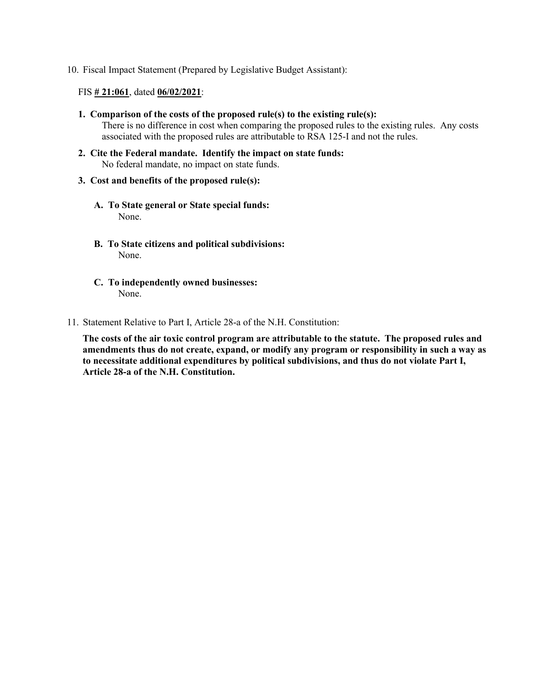10. Fiscal Impact Statement (Prepared by Legislative Budget Assistant):

FIS **# 21:061**, dated **06/02/2021**:

- **1. Comparison of the costs of the proposed rule(s) to the existing rule(s):** There is no difference in cost when comparing the proposed rules to the existing rules. Any costs associated with the proposed rules are attributable to RSA 125-I and not the rules.
- **2. Cite the Federal mandate. Identify the impact on state funds:** No federal mandate, no impact on state funds.
- **3. Cost and benefits of the proposed rule(s):**
	- **A. To State general or State special funds:** None.
	- **B. To State citizens and political subdivisions:** None.
	- **C. To independently owned businesses:** None.
- 11. Statement Relative to Part I, Article 28-a of the N.H. Constitution:

**The costs of the air toxic control program are attributable to the statute. The proposed rules and amendments thus do not create, expand, or modify any program or responsibility in such a way as to necessitate additional expenditures by political subdivisions, and thus do not violate Part I, Article 28-a of the N.H. Constitution.**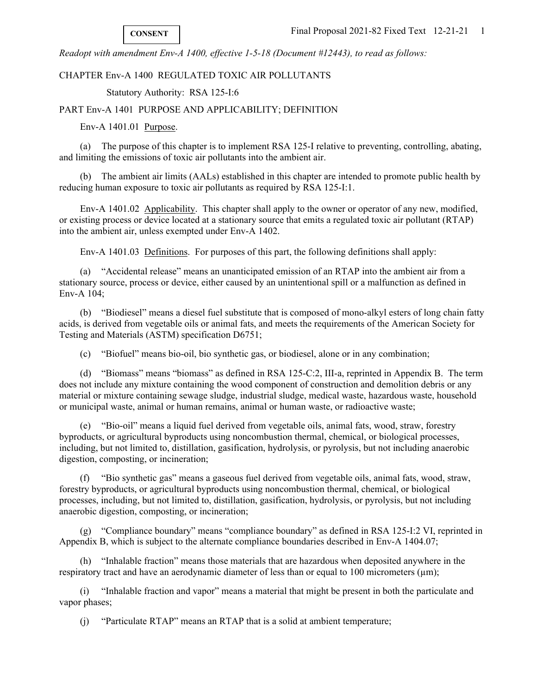**CONSENT**

*Readopt with amendment Env-A 1400, effective 1-5-18 (Document #12443), to read as follows:* 

CHAPTER Env-A 1400 REGULATED TOXIC AIR POLLUTANTS

Statutory Authority: RSA 125-I:6

PART Env-A 1401 PURPOSE AND APPLICABILITY; DEFINITION

Env-A 1401.01 Purpose.

 (a) The purpose of this chapter is to implement RSA 125-I relative to preventing, controlling, abating, and limiting the emissions of toxic air pollutants into the ambient air.

 (b) The ambient air limits (AALs) established in this chapter are intended to promote public health by reducing human exposure to toxic air pollutants as required by RSA 125-I:1.

 Env-A 1401.02 Applicability. This chapter shall apply to the owner or operator of any new, modified, or existing process or device located at a stationary source that emits a regulated toxic air pollutant (RTAP) into the ambient air, unless exempted under Env-A 1402.

Env-A 1401.03 Definitions. For purposes of this part, the following definitions shall apply:

 (a) "Accidental release" means an unanticipated emission of an RTAP into the ambient air from a stationary source, process or device, either caused by an unintentional spill or a malfunction as defined in Env-A 104;

 (b) "Biodiesel" means a diesel fuel substitute that is composed of mono-alkyl esters of long chain fatty acids, is derived from vegetable oils or animal fats, and meets the requirements of the American Society for Testing and Materials (ASTM) specification D6751;

(c) "Biofuel" means bio-oil, bio synthetic gas, or biodiesel, alone or in any combination;

 (d) "Biomass" means "biomass" as defined in RSA 125-C:2, III-a, reprinted in Appendix B. The term does not include any mixture containing the wood component of construction and demolition debris or any material or mixture containing sewage sludge, industrial sludge, medical waste, hazardous waste, household or municipal waste, animal or human remains, animal or human waste, or radioactive waste;

 (e) "Bio-oil" means a liquid fuel derived from vegetable oils, animal fats, wood, straw, forestry byproducts, or agricultural byproducts using noncombustion thermal, chemical, or biological processes, including, but not limited to, distillation, gasification, hydrolysis, or pyrolysis, but not including anaerobic digestion, composting, or incineration;

 (f) "Bio synthetic gas" means a gaseous fuel derived from vegetable oils, animal fats, wood, straw, forestry byproducts, or agricultural byproducts using noncombustion thermal, chemical, or biological processes, including, but not limited to, distillation, gasification, hydrolysis, or pyrolysis, but not including anaerobic digestion, composting, or incineration;

 (g) "Compliance boundary" means "compliance boundary" as defined in RSA 125-I:2 VI, reprinted in Appendix B, which is subject to the alternate compliance boundaries described in Env-A 1404.07;

 (h) "Inhalable fraction" means those materials that are hazardous when deposited anywhere in the respiratory tract and have an aerodynamic diameter of less than or equal to  $100$  micrometers ( $\mu$ m);

 (i) "Inhalable fraction and vapor" means a material that might be present in both the particulate and vapor phases;

(j) "Particulate RTAP" means an RTAP that is a solid at ambient temperature;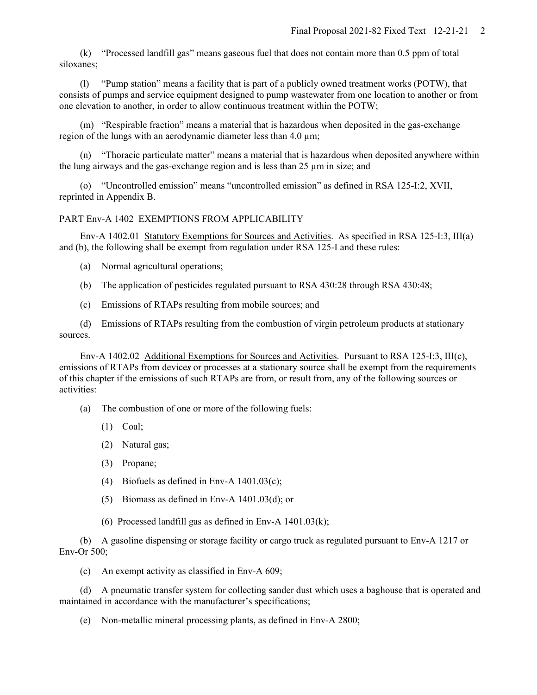(k) "Processed landfill gas" means gaseous fuel that does not contain more than 0.5 ppm of total siloxanes;

 (l) "Pump station" means a facility that is part of a publicly owned treatment works (POTW), that consists of pumps and service equipment designed to pump wastewater from one location to another or from one elevation to another, in order to allow continuous treatment within the POTW;

 (m) "Respirable fraction" means a material that is hazardous when deposited in the gas-exchange region of the lungs with an aerodynamic diameter less than 4.0  $\mu$ m;

 (n) "Thoracic particulate matter" means a material that is hazardous when deposited anywhere within the lung airways and the gas-exchange region and is less than  $25 \mu m$  in size; and

 (o) "Uncontrolled emission" means "uncontrolled emission" as defined in RSA 125-I:2, XVII, reprinted in Appendix B.

## PART Env-A 1402 EXEMPTIONS FROM APPLICABILITY

 Env-A 1402.01 Statutory Exemptions for Sources and Activities. As specified in RSA 125-I:3, III(a) and (b), the following shall be exempt from regulation under RSA 125-I and these rules:

- (a) Normal agricultural operations;
- (b) The application of pesticides regulated pursuant to RSA 430:28 through RSA 430:48;
- (c) Emissions of RTAPs resulting from mobile sources; and

 (d) Emissions of RTAPs resulting from the combustion of virgin petroleum products at stationary sources.

 Env-A 1402.02 Additional Exemptions for Sources and Activities. Pursuant to RSA 125-I:3, III(c), emissions of RTAPs from device*s* or processes at a stationary source shall be exempt from the requirements of this chapter if the emissions of such RTAPs are from, or result from, any of the following sources or activities:

(a) The combustion of one or more of the following fuels:

- (1) Coal;
- (2) Natural gas;
- (3) Propane;
- (4) Biofuels as defined in Env-A  $1401.03(c)$ ;
- (5) Biomass as defined in Env-A 1401.03(d); or
- (6) Processed landfill gas as defined in Env-A 1401.03(k);

 (b) A gasoline dispensing or storage facility or cargo truck as regulated pursuant to Env-A 1217 or Env-Or 500;

(c) An exempt activity as classified in Env-A 609;

 (d) A pneumatic transfer system for collecting sander dust which uses a baghouse that is operated and maintained in accordance with the manufacturer's specifications;

(e) Non-metallic mineral processing plants, as defined in Env-A 2800;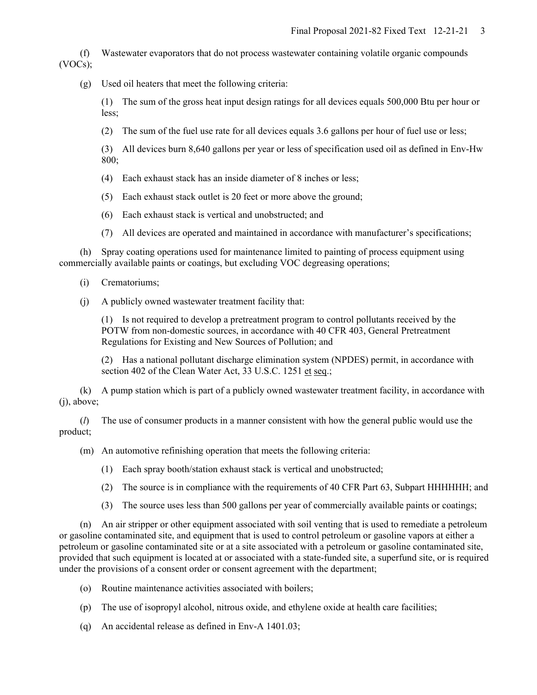(f) Wastewater evaporators that do not process wastewater containing volatile organic compounds (VOCs);

(g) Used oil heaters that meet the following criteria:

(1) The sum of the gross heat input design ratings for all devices equals 500,000 Btu per hour or less;

(2) The sum of the fuel use rate for all devices equals 3.6 gallons per hour of fuel use or less;

(3) All devices burn 8,640 gallons per year or less of specification used oil as defined in Env-Hw 800;

- (4) Each exhaust stack has an inside diameter of 8 inches or less;
- (5) Each exhaust stack outlet is 20 feet or more above the ground;
- (6) Each exhaust stack is vertical and unobstructed; and
- (7) All devices are operated and maintained in accordance with manufacturer's specifications;

 (h) Spray coating operations used for maintenance limited to painting of process equipment using commercially available paints or coatings, but excluding VOC degreasing operations;

- (i) Crematoriums;
- (j) A publicly owned wastewater treatment facility that:

(1) Is not required to develop a pretreatment program to control pollutants received by the POTW from non-domestic sources, in accordance with 40 CFR 403, General Pretreatment Regulations for Existing and New Sources of Pollution; and

(2) Has a national pollutant discharge elimination system (NPDES) permit, in accordance with section 402 of the Clean Water Act, 33 U.S.C. 1251 et seq.;

 (k) A pump station which is part of a publicly owned wastewater treatment facility, in accordance with (j), above;

 (*l*) The use of consumer products in a manner consistent with how the general public would use the product;

(m) An automotive refinishing operation that meets the following criteria:

- (1) Each spray booth/station exhaust stack is vertical and unobstructed;
- (2) The source is in compliance with the requirements of 40 CFR Part 63, Subpart HHHHHH; and
- (3) The source uses less than 500 gallons per year of commercially available paints or coatings;

 (n) An air stripper or other equipment associated with soil venting that is used to remediate a petroleum or gasoline contaminated site, and equipment that is used to control petroleum or gasoline vapors at either a petroleum or gasoline contaminated site or at a site associated with a petroleum or gasoline contaminated site, provided that such equipment is located at or associated with a state-funded site, a superfund site, or is required under the provisions of a consent order or consent agreement with the department;

- (o) Routine maintenance activities associated with boilers;
- (p) The use of isopropyl alcohol, nitrous oxide, and ethylene oxide at health care facilities;
- (q) An accidental release as defined in Env-A 1401.03;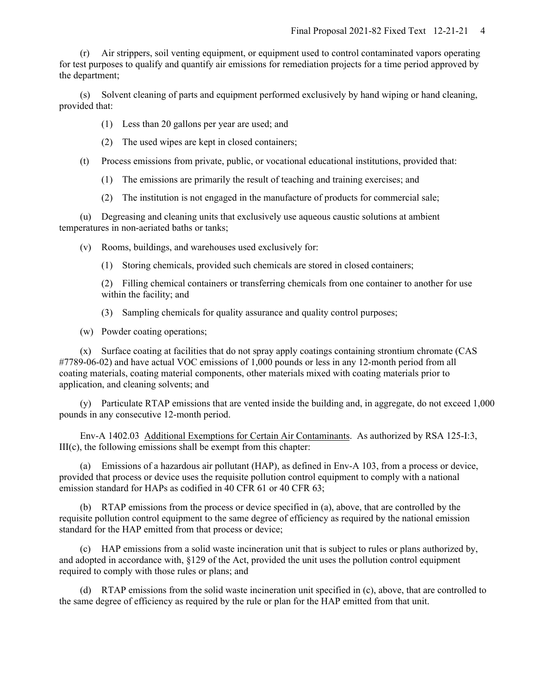(r) Air strippers, soil venting equipment, or equipment used to control contaminated vapors operating for test purposes to qualify and quantify air emissions for remediation projects for a time period approved by the department;

 (s) Solvent cleaning of parts and equipment performed exclusively by hand wiping or hand cleaning, provided that:

- (1) Less than 20 gallons per year are used; and
- (2) The used wipes are kept in closed containers;
- (t) Process emissions from private, public, or vocational educational institutions, provided that:
	- (1) The emissions are primarily the result of teaching and training exercises; and
	- (2) The institution is not engaged in the manufacture of products for commercial sale;

 (u) Degreasing and cleaning units that exclusively use aqueous caustic solutions at ambient temperatures in non-aeriated baths or tanks;

(v) Rooms, buildings, and warehouses used exclusively for:

(1) Storing chemicals, provided such chemicals are stored in closed containers;

(2) Filling chemical containers or transferring chemicals from one container to another for use within the facility; and

(3) Sampling chemicals for quality assurance and quality control purposes;

(w) Powder coating operations;

 (x) Surface coating at facilities that do not spray apply coatings containing strontium chromate (CAS #7789-06-02) and have actual VOC emissions of 1,000 pounds or less in any 12-month period from all coating materials, coating material components, other materials mixed with coating materials prior to application, and cleaning solvents; and

 (y) Particulate RTAP emissions that are vented inside the building and, in aggregate, do not exceed 1,000 pounds in any consecutive 12-month period.

 Env-A 1402.03 Additional Exemptions for Certain Air Contaminants. As authorized by RSA 125-I:3,  $III(c)$ , the following emissions shall be exempt from this chapter:

 (a) Emissions of a hazardous air pollutant (HAP), as defined in Env-A 103, from a process or device, provided that process or device uses the requisite pollution control equipment to comply with a national emission standard for HAPs as codified in 40 CFR 61 or 40 CFR 63;

 (b) RTAP emissions from the process or device specified in (a), above, that are controlled by the requisite pollution control equipment to the same degree of efficiency as required by the national emission standard for the HAP emitted from that process or device;

 (c) HAP emissions from a solid waste incineration unit that is subject to rules or plans authorized by, and adopted in accordance with, §129 of the Act, provided the unit uses the pollution control equipment required to comply with those rules or plans; and

 (d) RTAP emissions from the solid waste incineration unit specified in (c), above, that are controlled to the same degree of efficiency as required by the rule or plan for the HAP emitted from that unit.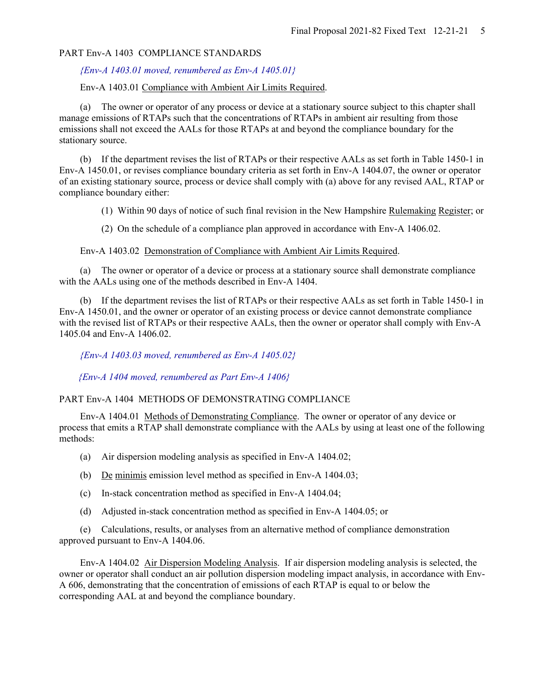## PART Env-A 1403 COMPLIANCE STANDARDS

## *{Env-A 1403.01 moved, renumbered as Env-A 1405.01}*

## Env-A 1403.01 Compliance with Ambient Air Limits Required.

 (a) The owner or operator of any process or device at a stationary source subject to this chapter shall manage emissions of RTAPs such that the concentrations of RTAPs in ambient air resulting from those emissions shall not exceed the AALs for those RTAPs at and beyond the compliance boundary for the stationary source.

 (b) If the department revises the list of RTAPs or their respective AALs as set forth in Table 1450-1 in Env-A 1450.01, or revises compliance boundary criteria as set forth in Env-A 1404.07, the owner or operator of an existing stationary source, process or device shall comply with (a) above for any revised AAL, RTAP or compliance boundary either:

- (1) Within 90 days of notice of such final revision in the New Hampshire Rulemaking Register; or
- (2) On the schedule of a compliance plan approved in accordance with Env-A 1406.02.

## Env-A 1403.02 Demonstration of Compliance with Ambient Air Limits Required.

 (a) The owner or operator of a device or process at a stationary source shall demonstrate compliance with the AALs using one of the methods described in Env-A 1404.

(b) If the department revises the list of RTAPs or their respective AALs as set forth in Table 1450-1 in Env-A 1450.01, and the owner or operator of an existing process or device cannot demonstrate compliance with the revised list of RTAPs or their respective AALs, then the owner or operator shall comply with Env-A 1405.04 and Env-A 1406.02.

 *{Env-A 1403.03 moved, renumbered as Env-A 1405.02}* 

 *{Env-A 1404 moved, renumbered as Part Env-A 1406}*

## PART Env-A 1404 METHODS OF DEMONSTRATING COMPLIANCE

 Env-A 1404.01 Methods of Demonstrating Compliance. The owner or operator of any device or process that emits a RTAP shall demonstrate compliance with the AALs by using at least one of the following methods:

- (a) Air dispersion modeling analysis as specified in Env-A 1404.02;
- (b) De minimis emission level method as specified in Env-A 1404.03;
- (c) In-stack concentration method as specified in Env-A 1404.04;
- (d) Adjusted in-stack concentration method as specified in Env-A 1404.05; or

 (e) Calculations, results, or analyses from an alternative method of compliance demonstration approved pursuant to Env-A 1404.06.

 Env-A 1404.02 Air Dispersion Modeling Analysis. If air dispersion modeling analysis is selected, the owner or operator shall conduct an air pollution dispersion modeling impact analysis, in accordance with Env-A 606, demonstrating that the concentration of emissions of each RTAP is equal to or below the corresponding AAL at and beyond the compliance boundary.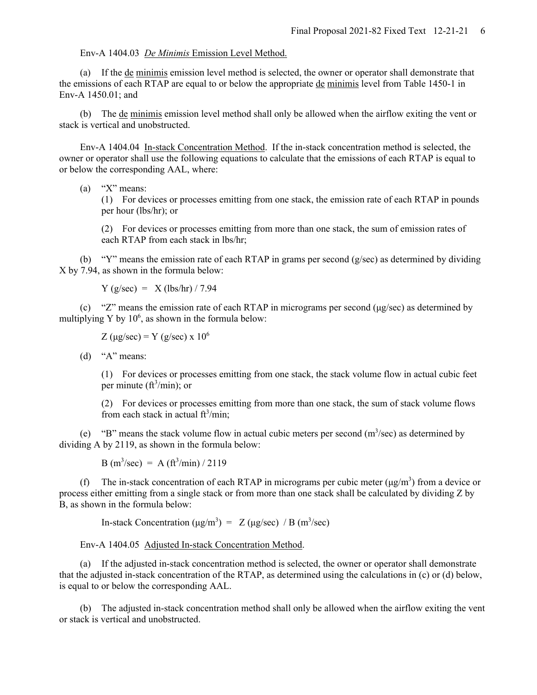#### Env-A 1404.03 *De Minimis* Emission Level Method.

 (a) If the de minimis emission level method is selected, the owner or operator shall demonstrate that the emissions of each RTAP are equal to or below the appropriate de minimis level from Table 1450-1 in Env-A 1450.01; and

 (b) The de minimis emission level method shall only be allowed when the airflow exiting the vent or stack is vertical and unobstructed.

 Env-A 1404.04 In-stack Concentration Method. If the in-stack concentration method is selected, the owner or operator shall use the following equations to calculate that the emissions of each RTAP is equal to or below the corresponding AAL, where:

(a) "X" means:

(1) For devices or processes emitting from one stack, the emission rate of each RTAP in pounds per hour (lbs/hr); or

(2) For devices or processes emitting from more than one stack, the sum of emission rates of each RTAP from each stack in lbs/hr;

(b) "Y" means the emission rate of each RTAP in grams per second  $(g/sec)$  as determined by dividing X by 7.94, as shown in the formula below:

 $Y$  (g/sec) =  $X$  (lbs/hr) / 7.94

(c) "Z" means the emission rate of each RTAP in micrograms per second ( $\mu$ g/sec) as determined by multiplying Y by  $10^6$ , as shown in the formula below:

Z (μg/sec) = Y (g/sec) x  $10^6$ 

(d) "A" means:

(1) For devices or processes emitting from one stack, the stack volume flow in actual cubic feet per minute  $(ft^3/min)$ ; or

(2) For devices or processes emitting from more than one stack, the sum of stack volume flows from each stack in actual  $ft^3/min$ ;

(e) "B" means the stack volume flow in actual cubic meters per second  $(m<sup>3</sup>/sec)$  as determined by dividing A by 2119, as shown in the formula below:

 $B(m^3/sec) = A(ft^3/min) / 2119$ 

(f) The in-stack concentration of each RTAP in micrograms per cubic meter  $(\mu g/m^3)$  from a device or process either emitting from a single stack or from more than one stack shall be calculated by dividing Z by B, as shown in the formula below:

In-stack Concentration ( $\mu g/m^3$ ) = Z ( $\mu g/sec$ ) / B (m<sup>3</sup>/sec)

Env-A 1404.05 Adjusted In-stack Concentration Method.

 (a) If the adjusted in-stack concentration method is selected, the owner or operator shall demonstrate that the adjusted in-stack concentration of the RTAP, as determined using the calculations in (c) or (d) below, is equal to or below the corresponding AAL.

(b) The adjusted in-stack concentration method shall only be allowed when the airflow exiting the vent or stack is vertical and unobstructed.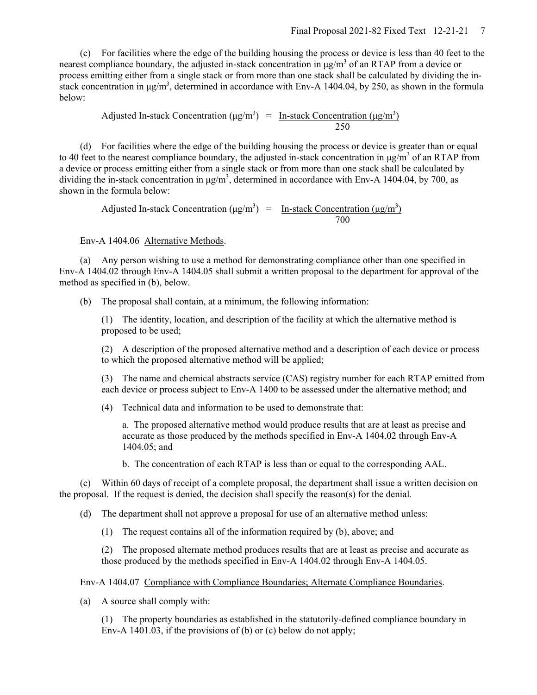(c) For facilities where the edge of the building housing the process or device is less than 40 feet to the nearest compliance boundary, the adjusted in-stack concentration in  $\mu$ g/m<sup>3</sup> of an RTAP from a device or process emitting either from a single stack or from more than one stack shall be calculated by dividing the instack concentration in  $\mu$ g/m<sup>3</sup>, determined in accordance with Env-A 1404.04, by 250, as shown in the formula below:

Adjusted In-stack Concentration ( $\mu$ g/m<sup>3</sup>) = <u>In-stack Concentration ( $\mu$ g/m<sup>3</sup>)</u> 250

 (d) For facilities where the edge of the building housing the process or device is greater than or equal to 40 feet to the nearest compliance boundary, the adjusted in-stack concentration in  $\mu$ g/m<sup>3</sup> of an RTAP from a device or process emitting either from a single stack or from more than one stack shall be calculated by dividing the in-stack concentration in  $\mu$ g/m<sup>3</sup>, determined in accordance with Env-A 1404.04, by 700, as shown in the formula below:

> Adjusted In-stack Concentration ( $\mu$ g/m<sup>3</sup>) = In-stack Concentration ( $\mu$ g/m<sup>3</sup>) 700

Env-A 1404.06 Alternative Methods.

 (a) Any person wishing to use a method for demonstrating compliance other than one specified in Env-A 1404.02 through Env-A 1404.05 shall submit a written proposal to the department for approval of the method as specified in (b), below.

(b) The proposal shall contain, at a minimum, the following information:

(1) The identity, location, and description of the facility at which the alternative method is proposed to be used;

(2) A description of the proposed alternative method and a description of each device or process to which the proposed alternative method will be applied;

(3) The name and chemical abstracts service (CAS) registry number for each RTAP emitted from each device or process subject to Env-A 1400 to be assessed under the alternative method; and

(4) Technical data and information to be used to demonstrate that:

a. The proposed alternative method would produce results that are at least as precise and accurate as those produced by the methods specified in Env-A 1404.02 through Env-A 1404.05; and

b. The concentration of each RTAP is less than or equal to the corresponding AAL.

 (c) Within 60 days of receipt of a complete proposal, the department shall issue a written decision on the proposal. If the request is denied, the decision shall specify the reason(s) for the denial.

(d) The department shall not approve a proposal for use of an alternative method unless:

(1) The request contains all of the information required by (b), above; and

(2) The proposed alternate method produces results that are at least as precise and accurate as those produced by the methods specified in Env-A 1404.02 through Env-A 1404.05.

Env-A 1404.07 Compliance with Compliance Boundaries; Alternate Compliance Boundaries.

(a) A source shall comply with:

(1) The property boundaries as established in the statutorily-defined compliance boundary in Env-A 1401.03, if the provisions of (b) or (c) below do not apply;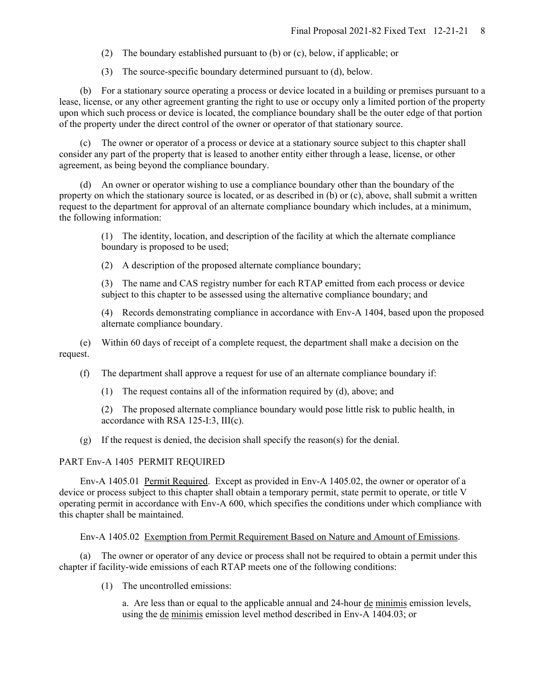(2) The boundary established pursuant to (b) or (c), below, if applicable; or

(3) The source-specific boundary determined pursuant to (d), below.

 (b) For a stationary source operating a process or device located in a building or premises pursuant to a lease, license, or any other agreement granting the right to use or occupy only a limited portion of the property upon which such process or device is located, the compliance boundary shall be the outer edge of that portion of the property under the direct control of the owner or operator of that stationary source.

 (c) The owner or operator of a process or device at a stationary source subject to this chapter shall consider any part of the property that is leased to another entity either through a lease, license, or other agreement, as being beyond the compliance boundary.

 (d) An owner or operator wishing to use a compliance boundary other than the boundary of the property on which the stationary source is located, or as described in (b) or (c), above, shall submit a written request to the department for approval of an alternate compliance boundary which includes, at a minimum, the following information:

(1) The identity, location, and description of the facility at which the alternate compliance boundary is proposed to be used;

(2) A description of the proposed alternate compliance boundary;

(3) The name and CAS registry number for each RTAP emitted from each process or device subject to this chapter to be assessed using the alternative compliance boundary; and

(4) Records demonstrating compliance in accordance with Env-A 1404, based upon the proposed alternate compliance boundary.

 (e) Within 60 days of receipt of a complete request, the department shall make a decision on the request.

(f) The department shall approve a request for use of an alternate compliance boundary if:

(1) The request contains all of the information required by (d), above; and

(2) The proposed alternate compliance boundary would pose little risk to public health, in accordance with RSA 125-I:3, III(c).

 $(g)$  If the request is denied, the decision shall specify the reason(s) for the denial.

## PART Env-A 1405 PERMIT REQUIRED

 Env-A 1405.01 Permit Required. Except as provided in Env-A 1405.02, the owner or operator of a device or process subject to this chapter shall obtain a temporary permit, state permit to operate, or title V operating permit in accordance with Env-A 600, which specifies the conditions under which compliance with this chapter shall be maintained.

Env-A 1405.02 Exemption from Permit Requirement Based on Nature and Amount of Emissions.

 (a) The owner or operator of any device or process shall not be required to obtain a permit under this chapter if facility-wide emissions of each RTAP meets one of the following conditions:

(1) The uncontrolled emissions:

a. Are less than or equal to the applicable annual and 24-hour de minimis emission levels, using the de minimis emission level method described in Env-A 1404.03; or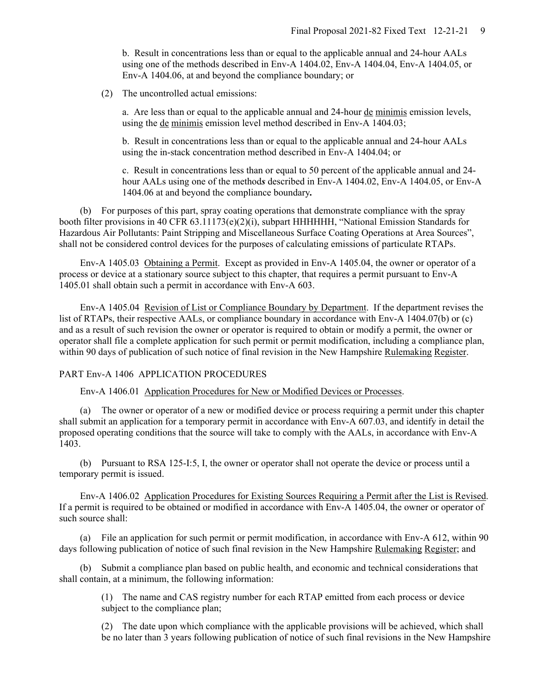b. Result in concentrations less than or equal to the applicable annual and 24-hour AALs using one of the methods described in Env-A 1404.02, Env-A 1404.04, Env-A 1404.05, or Env-A 1404.06, at and beyond the compliance boundary; or

(2) The uncontrolled actual emissions:

a. Are less than or equal to the applicable annual and  $24$ -hour  $\underline{de}$  minimis emission levels, using the de minimis emission level method described in Env-A 1404.03;

b. Result in concentrations less than or equal to the applicable annual and 24-hour AALs using the in-stack concentration method described in Env-A 1404.04; or

c. Result in concentrations less than or equal to 50 percent of the applicable annual and 24 hour AALs using one of the method*s* described in Env-A 1404.02, Env-A 1404.05, or Env-A 1404.06 at and beyond the compliance boundary*.*

 (b) For purposes of this part, spray coating operations that demonstrate compliance with the spray booth filter provisions in 40 CFR 63.11173(e)(2)(i), subpart HHHHHH, "National Emission Standards for Hazardous Air Pollutants: Paint Stripping and Miscellaneous Surface Coating Operations at Area Sources", shall not be considered control devices for the purposes of calculating emissions of particulate RTAPs.

 Env-A 1405.03 Obtaining a Permit. Except as provided in Env-A 1405.04, the owner or operator of a process or device at a stationary source subject to this chapter, that requires a permit pursuant to Env-A 1405.01 shall obtain such a permit in accordance with Env-A 603.

 Env-A 1405.04 Revision of List or Compliance Boundary by Department. If the department revises the list of RTAPs, their respective AALs, or compliance boundary in accordance with Env-A 1404.07(b) or (c) and as a result of such revision the owner or operator is required to obtain or modify a permit, the owner or operator shall file a complete application for such permit or permit modification, including a compliance plan, within 90 days of publication of such notice of final revision in the New Hampshire Rulemaking Register.

## PART Env-A 1406 APPLICATION PROCEDURES

Env-A 1406.01 Application Procedures for New or Modified Devices or Processes.

 (a) The owner or operator of a new or modified device or process requiring a permit under this chapter shall submit an application for a temporary permit in accordance with Env-A 607.03, and identify in detail the proposed operating conditions that the source will take to comply with the AALs, in accordance with Env-A 1403.

 (b) Pursuant to RSA 125-I:5, I, the owner or operator shall not operate the device or process until a temporary permit is issued.

 Env-A 1406.02 Application Procedures for Existing Sources Requiring a Permit after the List is Revised. If a permit is required to be obtained or modified in accordance with Env-A 1405.04, the owner or operator of such source shall:

(a) File an application for such permit or permit modification, in accordance with Env-A 612, within 90 days following publication of notice of such final revision in the New Hampshire Rulemaking Register; and

(b) Submit a compliance plan based on public health, and economic and technical considerations that shall contain, at a minimum, the following information:

(1) The name and CAS registry number for each RTAP emitted from each process or device subject to the compliance plan;

(2) The date upon which compliance with the applicable provisions will be achieved, which shall be no later than 3 years following publication of notice of such final revisions in the New Hampshire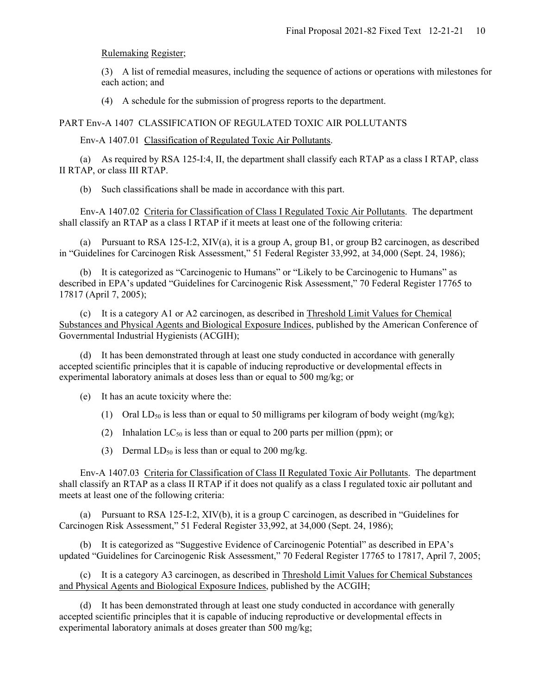Rulemaking Register;

(3) A list of remedial measures, including the sequence of actions or operations with milestones for each action; and

(4) A schedule for the submission of progress reports to the department.

## PART Env-A 1407 CLASSIFICATION OF REGULATED TOXIC AIR POLLUTANTS

Env-A 1407.01 Classification of Regulated Toxic Air Pollutants.

 (a) As required by RSA 125-I:4, II, the department shall classify each RTAP as a class I RTAP, class II RTAP, or class III RTAP.

(b) Such classifications shall be made in accordance with this part.

 Env-A 1407.02 Criteria for Classification of Class I Regulated Toxic Air Pollutants. The department shall classify an RTAP as a class I RTAP if it meets at least one of the following criteria:

 (a) Pursuant to RSA 125-I:2, XIV(a), it is a group A, group B1, or group B2 carcinogen, as described in "Guidelines for Carcinogen Risk Assessment," 51 Federal Register 33,992, at 34,000 (Sept. 24, 1986);

 (b) It is categorized as "Carcinogenic to Humans" or "Likely to be Carcinogenic to Humans" as described in EPA's updated "Guidelines for Carcinogenic Risk Assessment," 70 Federal Register 17765 to 17817 (April 7, 2005);

 (c) It is a category A1 or A2 carcinogen, as described in Threshold Limit Values for Chemical Substances and Physical Agents and Biological Exposure Indices, published by the American Conference of Governmental Industrial Hygienists (ACGIH);

 (d) It has been demonstrated through at least one study conducted in accordance with generally accepted scientific principles that it is capable of inducing reproductive or developmental effects in experimental laboratory animals at doses less than or equal to 500 mg/kg; or

(e) It has an acute toxicity where the:

- (1) Oral LD<sub>50</sub> is less than or equal to 50 milligrams per kilogram of body weight (mg/kg);
- (2) Inhalation  $LC_{50}$  is less than or equal to 200 parts per million (ppm); or
- (3) Dermal  $LD_{50}$  is less than or equal to 200 mg/kg.

 Env-A 1407.03 Criteria for Classification of Class II Regulated Toxic Air Pollutants. The department shall classify an RTAP as a class II RTAP if it does not qualify as a class I regulated toxic air pollutant and meets at least one of the following criteria:

 (a) Pursuant to RSA 125-I:2, XIV(b), it is a group C carcinogen, as described in "Guidelines for Carcinogen Risk Assessment," 51 Federal Register 33,992, at 34,000 (Sept. 24, 1986);

 (b) It is categorized as "Suggestive Evidence of Carcinogenic Potential" as described in EPA's updated "Guidelines for Carcinogenic Risk Assessment," 70 Federal Register 17765 to 17817, April 7, 2005;

 (c) It is a category A3 carcinogen, as described in Threshold Limit Values for Chemical Substances and Physical Agents and Biological Exposure Indices, published by the ACGIH;

 (d) It has been demonstrated through at least one study conducted in accordance with generally accepted scientific principles that it is capable of inducing reproductive or developmental effects in experimental laboratory animals at doses greater than 500 mg/kg;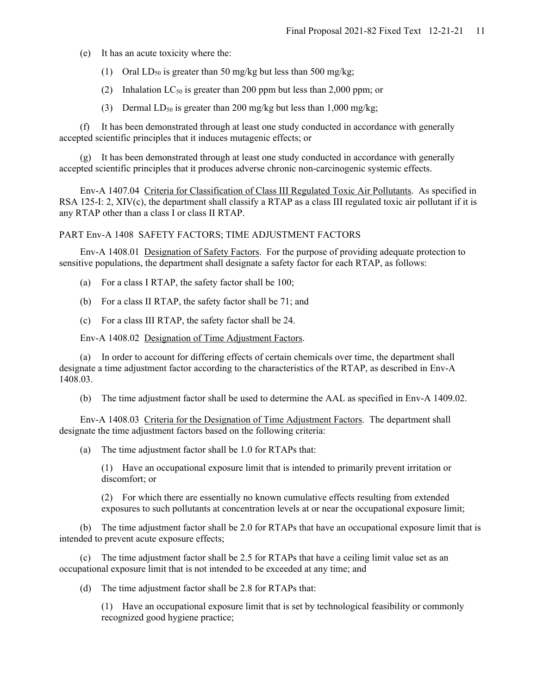(e) It has an acute toxicity where the:

- (1) Oral  $LD_{50}$  is greater than 50 mg/kg but less than 500 mg/kg;
- (2) Inhalation  $LC_{50}$  is greater than 200 ppm but less than 2,000 ppm; or
- (3) Dermal  $LD_{50}$  is greater than 200 mg/kg but less than 1,000 mg/kg;

 (f) It has been demonstrated through at least one study conducted in accordance with generally accepted scientific principles that it induces mutagenic effects; or

 (g) It has been demonstrated through at least one study conducted in accordance with generally accepted scientific principles that it produces adverse chronic non-carcinogenic systemic effects.

 Env-A 1407.04 Criteria for Classification of Class III Regulated Toxic Air Pollutants. As specified in RSA 125-I: 2,  $XIV(c)$ , the department shall classify a RTAP as a class III regulated toxic air pollutant if it is any RTAP other than a class I or class II RTAP.

PART Env-A 1408 SAFETY FACTORS; TIME ADJUSTMENT FACTORS

 Env-A 1408.01 Designation of Safety Factors. For the purpose of providing adequate protection to sensitive populations, the department shall designate a safety factor for each RTAP, as follows:

- (a) For a class I RTAP, the safety factor shall be 100;
- (b) For a class II RTAP, the safety factor shall be 71; and
- (c) For a class III RTAP, the safety factor shall be 24.

Env-A 1408.02 Designation of Time Adjustment Factors.

 (a) In order to account for differing effects of certain chemicals over time, the department shall designate a time adjustment factor according to the characteristics of the RTAP, as described in Env-A 1408.03.

(b) The time adjustment factor shall be used to determine the AAL as specified in Env-A 1409.02.

 Env-A 1408.03 Criteria for the Designation of Time Adjustment Factors. The department shall designate the time adjustment factors based on the following criteria:

(a) The time adjustment factor shall be 1.0 for RTAPs that:

(1) Have an occupational exposure limit that is intended to primarily prevent irritation or discomfort; or

(2) For which there are essentially no known cumulative effects resulting from extended exposures to such pollutants at concentration levels at or near the occupational exposure limit;

 (b) The time adjustment factor shall be 2.0 for RTAPs that have an occupational exposure limit that is intended to prevent acute exposure effects;

 (c) The time adjustment factor shall be 2.5 for RTAPs that have a ceiling limit value set as an occupational exposure limit that is not intended to be exceeded at any time; and

(d) The time adjustment factor shall be 2.8 for RTAPs that:

(1) Have an occupational exposure limit that is set by technological feasibility or commonly recognized good hygiene practice;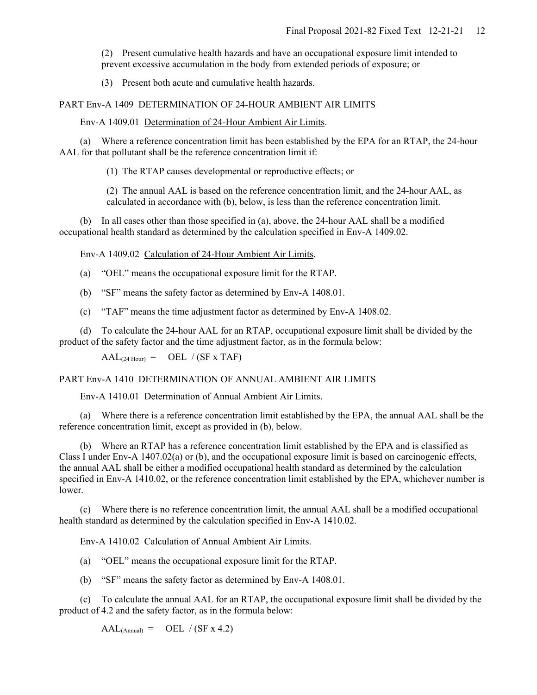(2) Present cumulative health hazards and have an occupational exposure limit intended to prevent excessive accumulation in the body from extended periods of exposure; or

(3) Present both acute and cumulative health hazards.

#### PART Env-A 1409 DETERMINATION OF 24-HOUR AMBIENT AIR LIMITS

Env-A 1409.01 Determination of 24-Hour Ambient Air Limits.

 (a) Where a reference concentration limit has been established by the EPA for an RTAP, the 24-hour AAL for that pollutant shall be the reference concentration limit if:

(1) The RTAP causes developmental or reproductive effects; or

(2) The annual AAL is based on the reference concentration limit, and the 24-hour AAL, as calculated in accordance with (b), below, is less than the reference concentration limit.

 (b) In all cases other than those specified in (a), above, the 24-hour AAL shall be a modified occupational health standard as determined by the calculation specified in Env-A 1409.02.

Env-A 1409.02 Calculation of 24-Hour Ambient Air Limits.

(a) "OEL" means the occupational exposure limit for the RTAP.

(b) "SF" means the safety factor as determined by Env-A 1408.01.

(c) "TAF" means the time adjustment factor as determined by Env-A 1408.02.

 (d) To calculate the 24-hour AAL for an RTAP, occupational exposure limit shall be divided by the product of the safety factor and the time adjustment factor, as in the formula below:

 $AAL_{(24\text{ Hour})}$  = OEL / (SF x TAF)

PART Env-A 1410 DETERMINATION OF ANNUAL AMBIENT AIR LIMITS

Env-A 1410.01 Determination of Annual Ambient Air Limits.

 (a) Where there is a reference concentration limit established by the EPA, the annual AAL shall be the reference concentration limit, except as provided in (b), below.

 (b) Where an RTAP has a reference concentration limit established by the EPA and is classified as Class I under Env-A 1407.02(a) or (b), and the occupational exposure limit is based on carcinogenic effects, the annual AAL shall be either a modified occupational health standard as determined by the calculation specified in Env-A 1410.02, or the reference concentration limit established by the EPA, whichever number is lower.

 (c) Where there is no reference concentration limit, the annual AAL shall be a modified occupational health standard as determined by the calculation specified in Env-A 1410.02.

Env-A 1410.02 Calculation of Annual Ambient Air Limits.

(a) "OEL" means the occupational exposure limit for the RTAP.

(b) "SF" means the safety factor as determined by Env-A 1408.01.

 (c) To calculate the annual AAL for an RTAP, the occupational exposure limit shall be divided by the product of 4.2 and the safety factor, as in the formula below:

 $AAL_{(Annual)} = OEL / (SF x 4.2)$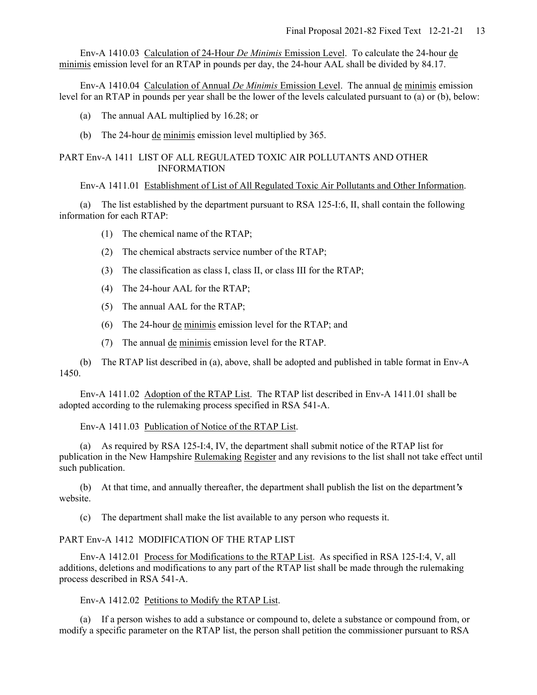Env-A 1410.03 Calculation of 24-Hour *De Minimis* Emission Level. To calculate the 24-hour de minimis emission level for an RTAP in pounds per day, the 24-hour AAL shall be divided by 84.17.

 Env-A 1410.04 Calculation of Annual *De Minimis* Emission Level. The annual de minimis emission level for an RTAP in pounds per year shall be the lower of the levels calculated pursuant to (a) or (b), below:

- (a) The annual AAL multiplied by 16.28; or
- (b) The 24-hour <u>de minimis</u> emission level multiplied by 365.

## PART Env-A 1411 LIST OF ALL REGULATED TOXIC AIR POLLUTANTS AND OTHER INFORMATION

#### Env-A 1411.01 Establishment of List of All Regulated Toxic Air Pollutants and Other Information.

 (a) The list established by the department pursuant to RSA 125-I:6, II, shall contain the following information for each RTAP:

- (1) The chemical name of the RTAP;
- (2) The chemical abstracts service number of the RTAP;
- (3) The classification as class I, class II, or class III for the RTAP;
- (4) The 24-hour AAL for the RTAP;
- (5) The annual AAL for the RTAP;
- (6) The 24-hour de minimis emission level for the RTAP; and
- (7) The annual de minimis emission level for the RTAP.

 (b) The RTAP list described in (a), above, shall be adopted and published in table format in Env-A 1450.

 Env-A 1411.02 Adoption of the RTAP List. The RTAP list described in Env-A 1411.01 shall be adopted according to the rulemaking process specified in RSA 541-A.

#### Env-A 1411.03 Publication of Notice of the RTAP List.

 (a) As required by RSA 125-I:4, IV, the department shall submit notice of the RTAP list for publication in the New Hampshire Rulemaking Register and any revisions to the list shall not take effect until such publication.

 (b) At that time, and annually thereafter, the department shall publish the list on the department*'s* website.

(c) The department shall make the list available to any person who requests it.

## PART Env-A 1412 MODIFICATION OF THE RTAP LIST

 Env-A 1412.01 Process for Modifications to the RTAP List. As specified in RSA 125-I:4, V, all additions, deletions and modifications to any part of the RTAP list shall be made through the rulemaking process described in RSA 541-A.

#### Env-A 1412.02 Petitions to Modify the RTAP List.

 (a) If a person wishes to add a substance or compound to, delete a substance or compound from, or modify a specific parameter on the RTAP list, the person shall petition the commissioner pursuant to RSA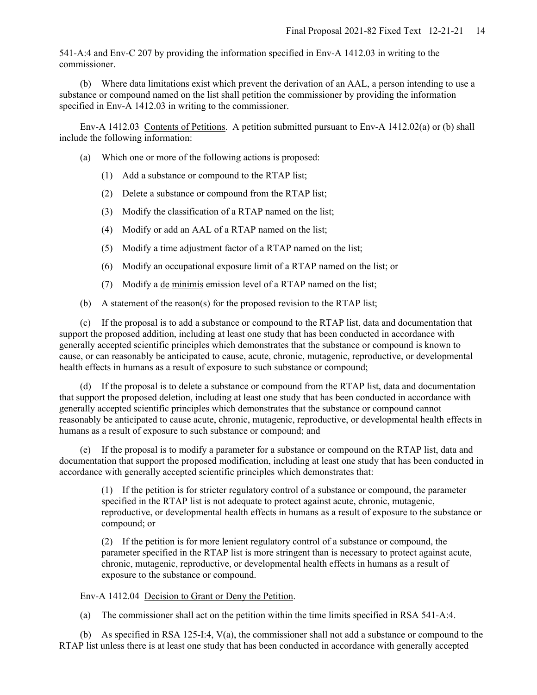541-A:4 and Env-C 207 by providing the information specified in Env-A 1412.03 in writing to the commissioner.

 (b) Where data limitations exist which prevent the derivation of an AAL, a person intending to use a substance or compound named on the list shall petition the commissioner by providing the information specified in Env-A 1412.03 in writing to the commissioner.

 Env-A 1412.03 Contents of Petitions. A petition submitted pursuant to Env-A 1412.02(a) or (b) shall include the following information:

- (a) Which one or more of the following actions is proposed:
	- (1) Add a substance or compound to the RTAP list;
	- (2) Delete a substance or compound from the RTAP list;
	- (3) Modify the classification of a RTAP named on the list;
	- (4) Modify or add an AAL of a RTAP named on the list;
	- (5) Modify a time adjustment factor of a RTAP named on the list;
	- (6) Modify an occupational exposure limit of a RTAP named on the list; or
	- (7) Modify a de minimis emission level of a RTAP named on the list;
- (b) A statement of the reason(s) for the proposed revision to the RTAP list;

 (c) If the proposal is to add a substance or compound to the RTAP list, data and documentation that support the proposed addition, including at least one study that has been conducted in accordance with generally accepted scientific principles which demonstrates that the substance or compound is known to cause, or can reasonably be anticipated to cause, acute, chronic, mutagenic, reproductive, or developmental health effects in humans as a result of exposure to such substance or compound;

 (d) If the proposal is to delete a substance or compound from the RTAP list, data and documentation that support the proposed deletion, including at least one study that has been conducted in accordance with generally accepted scientific principles which demonstrates that the substance or compound cannot reasonably be anticipated to cause acute, chronic, mutagenic, reproductive, or developmental health effects in humans as a result of exposure to such substance or compound; and

 (e) If the proposal is to modify a parameter for a substance or compound on the RTAP list, data and documentation that support the proposed modification, including at least one study that has been conducted in accordance with generally accepted scientific principles which demonstrates that:

(1) If the petition is for stricter regulatory control of a substance or compound, the parameter specified in the RTAP list is not adequate to protect against acute, chronic, mutagenic, reproductive, or developmental health effects in humans as a result of exposure to the substance or compound; or

(2) If the petition is for more lenient regulatory control of a substance or compound, the parameter specified in the RTAP list is more stringent than is necessary to protect against acute, chronic, mutagenic, reproductive, or developmental health effects in humans as a result of exposure to the substance or compound.

Env-A 1412.04 Decision to Grant or Deny the Petition.

(a) The commissioner shall act on the petition within the time limits specified in RSA 541-A:4.

 (b) As specified in RSA 125-I:4, V(a), the commissioner shall not add a substance or compound to the RTAP list unless there is at least one study that has been conducted in accordance with generally accepted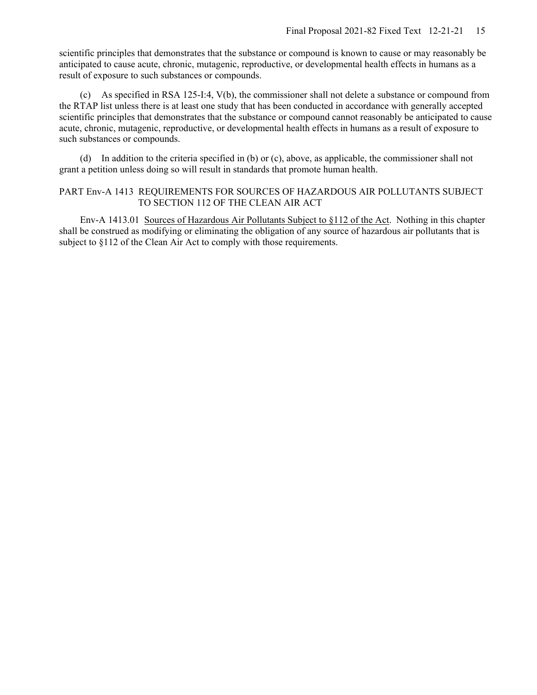scientific principles that demonstrates that the substance or compound is known to cause or may reasonably be anticipated to cause acute, chronic, mutagenic, reproductive, or developmental health effects in humans as a result of exposure to such substances or compounds.

 (c) As specified in RSA 125-I:4, V(b), the commissioner shall not delete a substance or compound from the RTAP list unless there is at least one study that has been conducted in accordance with generally accepted scientific principles that demonstrates that the substance or compound cannot reasonably be anticipated to cause acute, chronic, mutagenic, reproductive, or developmental health effects in humans as a result of exposure to such substances or compounds.

 (d) In addition to the criteria specified in (b) or (c), above, as applicable, the commissioner shall not grant a petition unless doing so will result in standards that promote human health.

## PART Env-A 1413 REQUIREMENTS FOR SOURCES OF HAZARDOUS AIR POLLUTANTS SUBJECT TO SECTION 112 OF THE CLEAN AIR ACT

 Env-A 1413.01 Sources of Hazardous Air Pollutants Subject to §112 of the Act. Nothing in this chapter shall be construed as modifying or eliminating the obligation of any source of hazardous air pollutants that is subject to §112 of the Clean Air Act to comply with those requirements.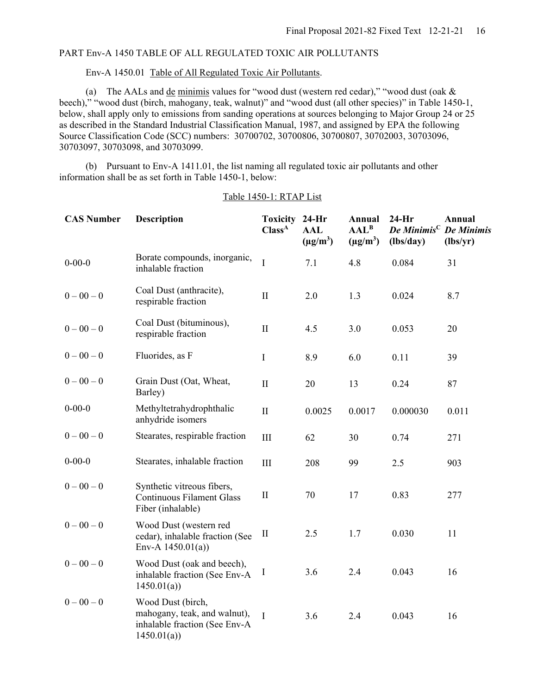## PART Env-A 1450 TABLE OF ALL REGULATED TOXIC AIR POLLUTANTS

## Env-A 1450.01 Table of All Regulated Toxic Air Pollutants.

(a) The AALs and  $de minimis$  values for "wood dust (western red cedar)," "wood dust (oak  $&$ </u> beech)," "wood dust (birch, mahogany, teak, walnut)" and "wood dust (all other species)" in Table 1450-1, below, shall apply only to emissions from sanding operations at sources belonging to Major Group 24 or 25 as described in the Standard Industrial Classification Manual, 1987, and assigned by EPA the following Source Classification Code (SCC) numbers: 30700702, 30700806, 30700807, 30702003, 30703096, 30703097, 30703098, and 30703099.

 (b) Pursuant to Env-A 1411.01, the list naming all regulated toxic air pollutants and other information shall be as set forth in Table 1450-1, below:

#### Table 1450-1: RTAP List

| <b>CAS Number</b> | <b>Description</b>                                                                               | Toxicity 24-Hr<br>Class <sup>A</sup> | <b>AAL</b><br>$(\mu g/m^3)$ | Annual<br>$AAL^B$<br>$(\mu g/m^3)$ | $24-Hr$<br>De Minimis <sup>C</sup> De Minimis<br>(lbs/day) | Annual<br>(lbs/yr) |
|-------------------|--------------------------------------------------------------------------------------------------|--------------------------------------|-----------------------------|------------------------------------|------------------------------------------------------------|--------------------|
| $0 - 00 - 0$      | Borate compounds, inorganic,<br>inhalable fraction                                               | I                                    | 7.1                         | 4.8                                | 0.084                                                      | 31                 |
| $0 - 00 - 0$      | Coal Dust (anthracite),<br>respirable fraction                                                   | $\mathbf{I}$                         | 2.0                         | 1.3                                | 0.024                                                      | 8.7                |
| $0 - 00 - 0$      | Coal Dust (bituminous),<br>respirable fraction                                                   | $\mathbf{I}$                         | 4.5                         | 3.0                                | 0.053                                                      | 20                 |
| $0 - 00 - 0$      | Fluorides, as F                                                                                  | I                                    | 8.9                         | 6.0                                | 0.11                                                       | 39                 |
| $0 - 00 - 0$      | Grain Dust (Oat, Wheat,<br>Barley)                                                               | $\mathbf{I}$                         | 20                          | 13                                 | 0.24                                                       | 87                 |
| $0 - 00 - 0$      | Methyltetrahydrophthalic<br>anhydride isomers                                                    | $\mathbf{I}$                         | 0.0025                      | 0.0017                             | 0.000030                                                   | 0.011              |
| $0 - 00 - 0$      | Stearates, respirable fraction                                                                   | III                                  | 62                          | 30                                 | 0.74                                                       | 271                |
| $0 - 00 - 0$      | Stearates, inhalable fraction                                                                    | III                                  | 208                         | 99                                 | 2.5                                                        | 903                |
| $0 - 00 - 0$      | Synthetic vitreous fibers,<br><b>Continuous Filament Glass</b><br>Fiber (inhalable)              | $\mathbf{I}$                         | 70                          | 17                                 | 0.83                                                       | 277                |
| $0 - 00 - 0$      | Wood Dust (western red<br>cedar), inhalable fraction (See<br>Env-A $1450.01(a)$ )                | $\rm II$                             | 2.5                         | 1.7                                | 0.030                                                      | 11                 |
| $0 - 00 - 0$      | Wood Dust (oak and beech),<br>inhalable fraction (See Env-A<br>1450.01(a)                        | $\mathbf{I}$                         | 3.6                         | 2.4                                | 0.043                                                      | 16                 |
| $0 - 00 - 0$      | Wood Dust (birch,<br>mahogany, teak, and walnut),<br>inhalable fraction (See Env-A<br>1450.01(a) | I                                    | 3.6                         | 2.4                                | 0.043                                                      | 16                 |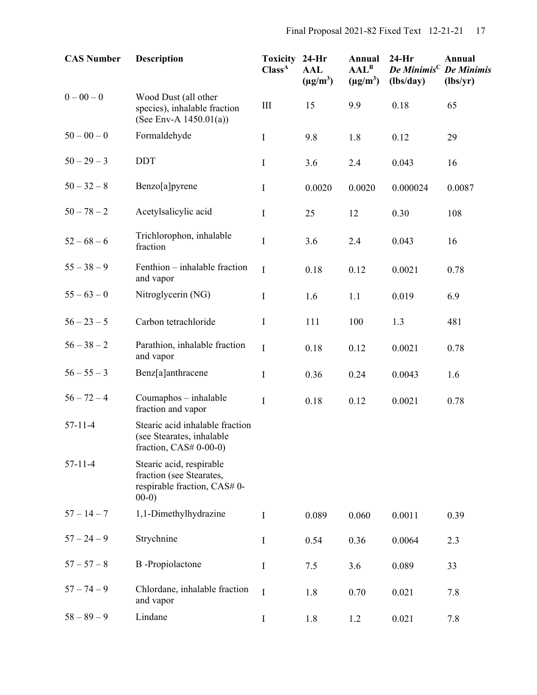| <b>CAS Number</b> | <b>Description</b>                                                                              | Toxicity 24-Hr<br>Class <sup>A</sup> | <b>AAL</b><br>$(\mu g/m^3)$ | Annual<br>$AAL^B$<br>$(\mu g/m^3)$ | $24-Hr$<br>De Minimis <sup>C</sup><br>(lbs/day) | Annual<br><b>De Minimis</b><br>(lbs/yr) |
|-------------------|-------------------------------------------------------------------------------------------------|--------------------------------------|-----------------------------|------------------------------------|-------------------------------------------------|-----------------------------------------|
| $0 - 00 - 0$      | Wood Dust (all other<br>species), inhalable fraction<br>(See Env-A $1450.01(a)$ )               | $\rm III$                            | 15                          | 9.9                                | 0.18                                            | 65                                      |
| $50 - 00 - 0$     | Formaldehyde                                                                                    | I                                    | 9.8                         | 1.8                                | 0.12                                            | 29                                      |
| $50 - 29 - 3$     | <b>DDT</b>                                                                                      | I                                    | 3.6                         | 2.4                                | 0.043                                           | 16                                      |
| $50 - 32 - 8$     | Benzo[a]pyrene                                                                                  | $\mathbf I$                          | 0.0020                      | 0.0020                             | 0.000024                                        | 0.0087                                  |
| $50 - 78 - 2$     | Acetylsalicylic acid                                                                            | $\bf{I}$                             | 25                          | 12                                 | 0.30                                            | 108                                     |
| $52 - 68 - 6$     | Trichlorophon, inhalable<br>fraction                                                            | $\mathbf I$                          | 3.6                         | 2.4                                | 0.043                                           | 16                                      |
| $55 - 38 - 9$     | Fenthion - inhalable fraction<br>and vapor                                                      | $\rm I$                              | 0.18                        | 0.12                               | 0.0021                                          | 0.78                                    |
| $55 - 63 - 0$     | Nitroglycerin (NG)                                                                              | $\mathbf I$                          | 1.6                         | 1.1                                | 0.019                                           | 6.9                                     |
| $56 - 23 - 5$     | Carbon tetrachloride                                                                            | $\mathbf I$                          | 111                         | 100                                | 1.3                                             | 481                                     |
| $56 - 38 - 2$     | Parathion, inhalable fraction<br>and vapor                                                      | $\rm I$                              | 0.18                        | 0.12                               | 0.0021                                          | 0.78                                    |
| $56 - 55 - 3$     | Benz[a]anthracene                                                                               | $\mathbf I$                          | 0.36                        | 0.24                               | 0.0043                                          | 1.6                                     |
| $56 - 72 - 4$     | Coumaphos - inhalable<br>fraction and vapor                                                     | $\mathbf I$                          | 0.18                        | 0.12                               | 0.0021                                          | 0.78                                    |
| $57 - 11 - 4$     | Stearic acid inhalable fraction<br>(see Stearates, inhalable<br>fraction, $CAS# 0-00-0$         |                                      |                             |                                    |                                                 |                                         |
| $57 - 11 - 4$     | Stearic acid, respirable<br>fraction (see Stearates,<br>respirable fraction, CAS#0-<br>$(00-0)$ |                                      |                             |                                    |                                                 |                                         |
| $57 - 14 - 7$     | 1,1-Dimethylhydrazine                                                                           | $\mathbf I$                          | 0.089                       | 0.060                              | 0.0011                                          | 0.39                                    |
| $57 - 24 - 9$     | Strychnine                                                                                      | $\mathbf I$                          | 0.54                        | 0.36                               | 0.0064                                          | 2.3                                     |
| $57 - 57 - 8$     | <b>B</b> -Propiolactone                                                                         | I                                    | 7.5                         | 3.6                                | 0.089                                           | 33                                      |
| $57 - 74 - 9$     | Chlordane, inhalable fraction<br>and vapor                                                      | $\mathbf I$                          | 1.8                         | 0.70                               | 0.021                                           | 7.8                                     |
| $58 - 89 - 9$     | Lindane                                                                                         | $\mathbf I$                          | 1.8                         | 1.2                                | 0.021                                           | 7.8                                     |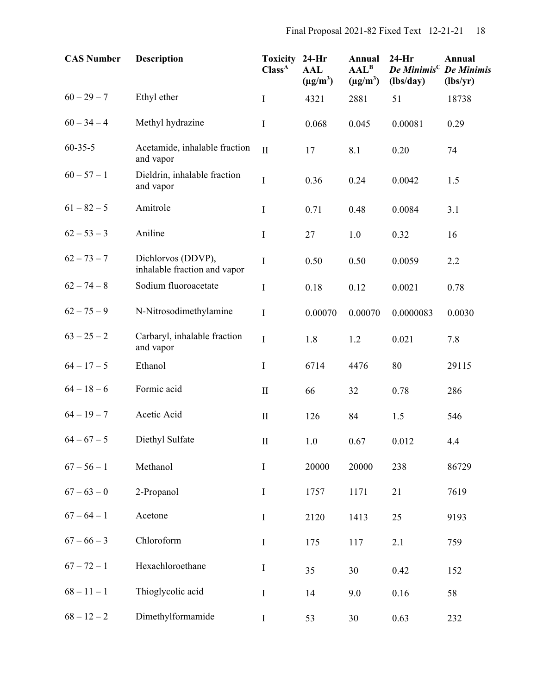| <b>CAS Number</b> | <b>Description</b>                                 | <b>Toxicity</b><br>Class <sup>A</sup> | 24-Hr<br>AAL<br>$(\mu g/m^3)$ | Annual<br>$AAL^B$<br>$(\mu g/m^3)$ | $24-Hr$<br>$De$ Minimis $C$<br>(lbs/day) | Annual<br><b>De Minimis</b><br>(lbs/yr) |
|-------------------|----------------------------------------------------|---------------------------------------|-------------------------------|------------------------------------|------------------------------------------|-----------------------------------------|
| $60 - 29 - 7$     | Ethyl ether                                        | $\mathbf I$                           | 4321                          | 2881                               | 51                                       | 18738                                   |
| $60 - 34 - 4$     | Methyl hydrazine                                   | $\mathbf I$                           | 0.068                         | 0.045                              | 0.00081                                  | 0.29                                    |
| $60 - 35 - 5$     | Acetamide, inhalable fraction<br>and vapor         | $\rm II$                              | 17                            | 8.1                                | 0.20                                     | 74                                      |
| $60 - 57 - 1$     | Dieldrin, inhalable fraction<br>and vapor          | $\rm I$                               | 0.36                          | 0.24                               | 0.0042                                   | 1.5                                     |
| $61 - 82 - 5$     | Amitrole                                           | $\rm I$                               | 0.71                          | 0.48                               | 0.0084                                   | 3.1                                     |
| $62 - 53 - 3$     | Aniline                                            | $\rm I$                               | 27                            | 1.0                                | 0.32                                     | 16                                      |
| $62 - 73 - 7$     | Dichlorvos (DDVP),<br>inhalable fraction and vapor | $\rm I$                               | 0.50                          | 0.50                               | 0.0059                                   | 2.2                                     |
| $62 - 74 - 8$     | Sodium fluoroacetate                               | $\mathbf I$                           | 0.18                          | 0.12                               | 0.0021                                   | 0.78                                    |
| $62 - 75 - 9$     | N-Nitrosodimethylamine                             | $\mathbf I$                           | 0.00070                       | 0.00070                            | 0.0000083                                | 0.0030                                  |
| $63 - 25 - 2$     | Carbaryl, inhalable fraction<br>and vapor          | $\mathbf I$                           | 1.8                           | 1.2                                | 0.021                                    | 7.8                                     |
| $64 - 17 - 5$     | Ethanol                                            | I                                     | 6714                          | 4476                               | 80                                       | 29115                                   |
| $64 - 18 - 6$     | Formic acid                                        | $\mathbf{I}$                          | 66                            | 32                                 | 0.78                                     | 286                                     |
| $64 - 19 - 7$     | Acetic Acid                                        | $\mathbf{I}$                          | 126                           | 84                                 | 1.5                                      | 546                                     |
| $64 - 67 - 5$     | Diethyl Sulfate                                    | $\rm II$                              | 1.0                           | 0.67                               | 0.012                                    | 4.4                                     |
| $67 - 56 - 1$     | Methanol                                           | $\rm I$                               | 20000                         | 20000                              | 238                                      | 86729                                   |
| $67 - 63 - 0$     | 2-Propanol                                         | $\rm I$                               | 1757                          | 1171                               | 21                                       | 7619                                    |
| $67 - 64 - 1$     | Acetone                                            | $\rm I$                               | 2120                          | 1413                               | 25                                       | 9193                                    |
| $67 - 66 - 3$     | Chloroform                                         | $\mathbf I$                           | 175                           | 117                                | 2.1                                      | 759                                     |
| $67 - 72 - 1$     | Hexachloroethane                                   | $\bf I$                               | 35                            | 30                                 | 0.42                                     | 152                                     |
| $68 - 11 - 1$     | Thioglycolic acid                                  | $\rm I$                               | 14                            | 9.0                                | 0.16                                     | 58                                      |
| $68 - 12 - 2$     | Dimethylformamide                                  | $\mathbf I$                           | 53                            | 30                                 | 0.63                                     | 232                                     |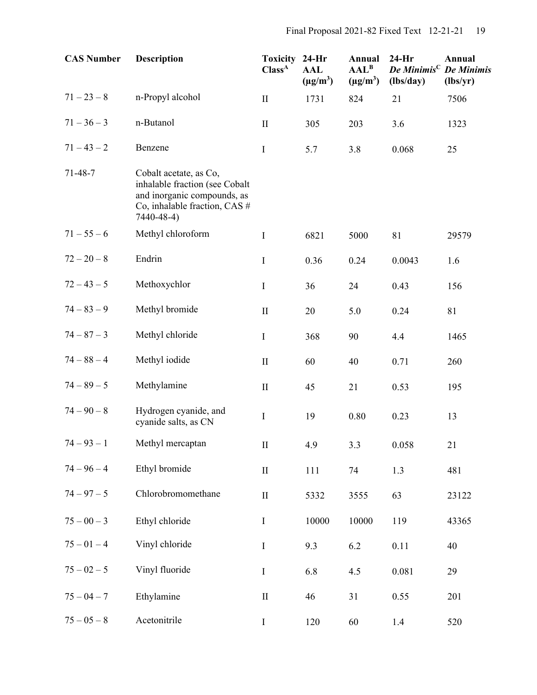| <b>CAS Number</b> | <b>Description</b>                                                                                                                     | Toxicity 24-Hr<br>Class <sup>A</sup> | <b>AAL</b><br>$(\mu g/m^3)$ | <b>Annual</b><br>$AAL^B$<br>$(\mu g/m^3)$ | $24-Hr$<br>De Minimis <sup>C</sup><br>(lbs/day) | Annual<br><b>De Minimis</b><br>(lbs/yr) |
|-------------------|----------------------------------------------------------------------------------------------------------------------------------------|--------------------------------------|-----------------------------|-------------------------------------------|-------------------------------------------------|-----------------------------------------|
| $71 - 23 - 8$     | n-Propyl alcohol                                                                                                                       | $\mathbf{I}$                         | 1731                        | 824                                       | 21                                              | 7506                                    |
| $71 - 36 - 3$     | n-Butanol                                                                                                                              | $\mathbf{I}$                         | 305                         | 203                                       | 3.6                                             | 1323                                    |
| $71 - 43 - 2$     | Benzene                                                                                                                                | $\bf I$                              | 5.7                         | 3.8                                       | 0.068                                           | 25                                      |
| 71-48-7           | Cobalt acetate, as Co,<br>inhalable fraction (see Cobalt<br>and inorganic compounds, as<br>Co, inhalable fraction, CAS #<br>7440-48-4) |                                      |                             |                                           |                                                 |                                         |
| $71 - 55 - 6$     | Methyl chloroform                                                                                                                      | $\bf{I}$                             | 6821                        | 5000                                      | 81                                              | 29579                                   |
| $72 - 20 - 8$     | Endrin                                                                                                                                 | $\mathbf I$                          | 0.36                        | 0.24                                      | 0.0043                                          | 1.6                                     |
| $72 - 43 - 5$     | Methoxychlor                                                                                                                           | $\mathbf I$                          | 36                          | 24                                        | 0.43                                            | 156                                     |
| $74 - 83 - 9$     | Methyl bromide                                                                                                                         | $\mathbf{I}$                         | 20                          | 5.0                                       | 0.24                                            | 81                                      |
| $74 - 87 - 3$     | Methyl chloride                                                                                                                        | $\mathbf I$                          | 368                         | 90                                        | 4.4                                             | 1465                                    |
| $74 - 88 - 4$     | Methyl iodide                                                                                                                          | $\mathbf{I}$                         | 60                          | 40                                        | 0.71                                            | 260                                     |
| $74 - 89 - 5$     | Methylamine                                                                                                                            | $\mathbf{I}$                         | 45                          | 21                                        | 0.53                                            | 195                                     |
| $74 - 90 - 8$     | Hydrogen cyanide, and<br>cyanide salts, as CN                                                                                          | $\bf I$                              | 19                          | 0.80                                      | 0.23                                            | 13                                      |
| $74 - 93 - 1$     | Methyl mercaptan                                                                                                                       | $\rm II$                             | 4.9                         | 3.3                                       | 0.058                                           | 21                                      |
| $74 - 96 - 4$     | Ethyl bromide                                                                                                                          | $\rm II$                             | 111                         | 74                                        | 1.3                                             | 481                                     |
| $74 - 97 - 5$     | Chlorobromomethane                                                                                                                     | $\rm II$                             | 5332                        | 3555                                      | 63                                              | 23122                                   |
| $75 - 00 - 3$     | Ethyl chloride                                                                                                                         | $\mathbf I$                          | 10000                       | 10000                                     | 119                                             | 43365                                   |
| $75 - 01 - 4$     | Vinyl chloride                                                                                                                         | $\mathbf I$                          | 9.3                         | 6.2                                       | 0.11                                            | 40                                      |
| $75 - 02 - 5$     | Vinyl fluoride                                                                                                                         | $\bf I$                              | 6.8                         | 4.5                                       | 0.081                                           | 29                                      |
| $75 - 04 - 7$     | Ethylamine                                                                                                                             | $\rm II$                             | 46                          | 31                                        | 0.55                                            | 201                                     |
| $75 - 05 - 8$     | Acetonitrile                                                                                                                           | $\mathbf I$                          | 120                         | 60                                        | 1.4                                             | 520                                     |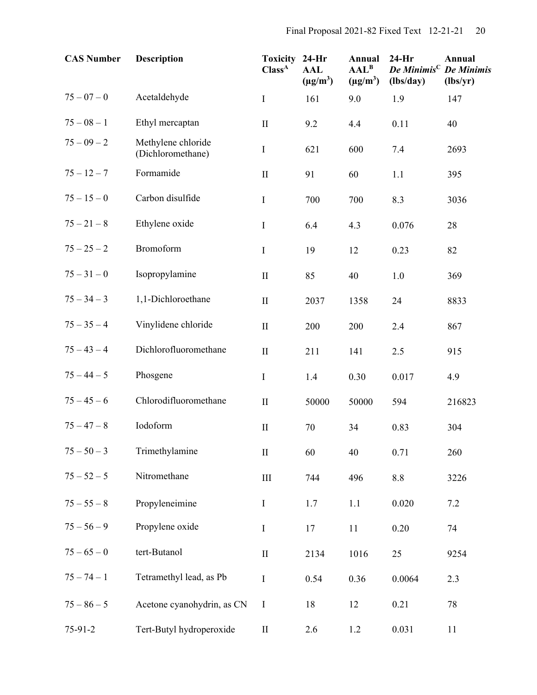| <b>CAS Number</b> | <b>Description</b>                      | Toxicity 24-Hr<br>Class <sup>A</sup> | <b>AAL</b><br>$(\mu g/m^3)$ | Annual<br>$AAL^B$<br>$(\mu g/m^3)$ | $24-Hr$<br>$De$ Minimis <sup>C</sup> De Minimis<br>(lbs/day) | <b>Annual</b><br>(lbs/yr) |
|-------------------|-----------------------------------------|--------------------------------------|-----------------------------|------------------------------------|--------------------------------------------------------------|---------------------------|
| $75 - 07 - 0$     | Acetaldehyde                            | $\mathbf I$                          | 161                         | 9.0                                | 1.9                                                          | 147                       |
| $75 - 08 - 1$     | Ethyl mercaptan                         | $\mathbf{I}$                         | 9.2                         | 4.4                                | 0.11                                                         | 40                        |
| $75 - 09 - 2$     | Methylene chloride<br>(Dichloromethane) | $\bf I$                              | 621                         | 600                                | 7.4                                                          | 2693                      |
| $75 - 12 - 7$     | Formamide                               | $\mathbf{I}$                         | 91                          | 60                                 | 1.1                                                          | 395                       |
| $75 - 15 - 0$     | Carbon disulfide                        | $\rm I$                              | 700                         | 700                                | 8.3                                                          | 3036                      |
| $75 - 21 - 8$     | Ethylene oxide                          | $\mathbf I$                          | 6.4                         | 4.3                                | 0.076                                                        | 28                        |
| $75 - 25 - 2$     | Bromoform                               | $\bf I$                              | 19                          | 12                                 | 0.23                                                         | 82                        |
| $75 - 31 - 0$     | Isopropylamine                          | $\mathbf{I}$                         | 85                          | 40                                 | 1.0                                                          | 369                       |
| $75 - 34 - 3$     | 1,1-Dichloroethane                      | $\mathbf{I}$                         | 2037                        | 1358                               | 24                                                           | 8833                      |
| $75 - 35 - 4$     | Vinylidene chloride                     | $\mathbf{I}$                         | 200                         | 200                                | 2.4                                                          | 867                       |
| $75 - 43 - 4$     | Dichlorofluoromethane                   | $\rm II$                             | 211                         | 141                                | 2.5                                                          | 915                       |
| $75 - 44 - 5$     | Phosgene                                | $\rm I$                              | 1.4                         | 0.30                               | 0.017                                                        | 4.9                       |
| $75 - 45 - 6$     | Chlorodifluoromethane                   | $\mathbf{I}$                         | 50000                       | 50000                              | 594                                                          | 216823                    |
| $75 - 47 - 8$     | Iodoform                                | $\mathbf{I}$                         | 70                          | 34                                 | 0.83                                                         | 304                       |
| $75 - 50 - 3$     | Trimethylamine                          | $\rm II$                             | 60                          | 40                                 | 0.71                                                         | 260                       |
| $75 - 52 - 5$     | Nitromethane                            | $\mathop{\rm III}$                   | 744                         | 496                                | 8.8                                                          | 3226                      |
| $75 - 55 - 8$     | Propyleneimine                          | $\bf I$                              | 1.7                         | 1.1                                | 0.020                                                        | 7.2                       |
| $75 - 56 - 9$     | Propylene oxide                         | $\rm I$                              | 17                          | 11                                 | 0.20                                                         | 74                        |
| $75 - 65 - 0$     | tert-Butanol                            | $\mathbf{I}$                         | 2134                        | 1016                               | 25                                                           | 9254                      |
| $75 - 74 - 1$     | Tetramethyl lead, as Pb                 | $\bf I$                              | 0.54                        | 0.36                               | 0.0064                                                       | 2.3                       |
| $75 - 86 - 5$     | Acetone cyanohydrin, as CN              | $\mathbf I$                          | 18                          | 12                                 | 0.21                                                         | 78                        |
| $75-91-2$         | Tert-Butyl hydroperoxide                | $\rm II$                             | 2.6                         | 1.2                                | 0.031                                                        | 11                        |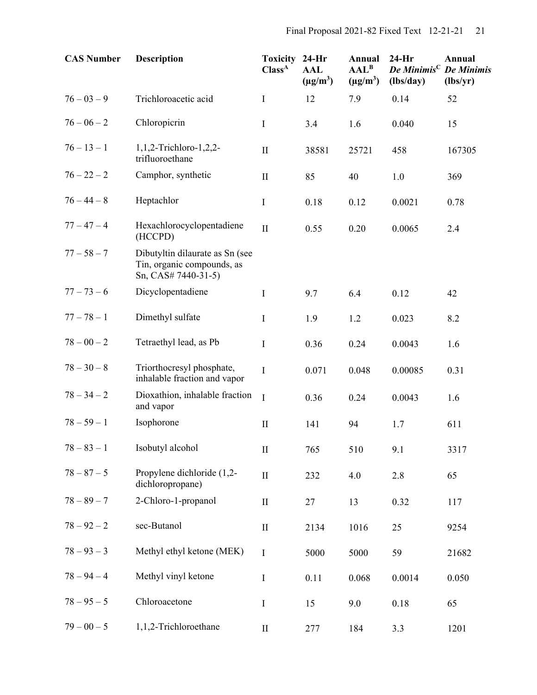| <b>CAS Number</b> | <b>Description</b>                                                                      | Toxicity 24-Hr<br>Class <sup>A</sup> | <b>AAL</b><br>$(\mu g/m^3)$ | Annual<br>$AAL^B$<br>$(\mu g/m^3)$ | $24-Hr$<br>De Minimis <sup>C</sup><br>(lbs/day) | Annual<br>De Minimis<br>(lbs/yr) |
|-------------------|-----------------------------------------------------------------------------------------|--------------------------------------|-----------------------------|------------------------------------|-------------------------------------------------|----------------------------------|
| $76 - 03 - 9$     | Trichloroacetic acid                                                                    | I                                    | 12                          | 7.9                                | 0.14                                            | 52                               |
| $76 - 06 - 2$     | Chloropicrin                                                                            | $\mathbf I$                          | 3.4                         | 1.6                                | 0.040                                           | 15                               |
| $76 - 13 - 1$     | 1,1,2-Trichloro-1,2,2-<br>trifluoroethane                                               | $\mathbf{I}$                         | 38581                       | 25721                              | 458                                             | 167305                           |
| $76 - 22 - 2$     | Camphor, synthetic                                                                      | $\mathbf{I}$                         | 85                          | 40                                 | 1.0                                             | 369                              |
| $76 - 44 - 8$     | Heptachlor                                                                              | $\bf{I}$                             | 0.18                        | 0.12                               | 0.0021                                          | 0.78                             |
| $77 - 47 - 4$     | Hexachlorocyclopentadiene<br>(HCCPD)                                                    | $\mathbf{I}$                         | 0.55                        | 0.20                               | 0.0065                                          | 2.4                              |
| $77 - 58 - 7$     | Dibutyltin dilaurate as Sn (see<br>Tin, organic compounds, as<br>Sn, CAS# $7440-31-5$ ) |                                      |                             |                                    |                                                 |                                  |
| $77 - 73 - 6$     | Dicyclopentadiene                                                                       | I                                    | 9.7                         | 6.4                                | 0.12                                            | 42                               |
| $77 - 78 - 1$     | Dimethyl sulfate                                                                        | I                                    | 1.9                         | 1.2                                | 0.023                                           | 8.2                              |
| $78 - 00 - 2$     | Tetraethyl lead, as Pb                                                                  | $\bf{I}$                             | 0.36                        | 0.24                               | 0.0043                                          | 1.6                              |
| $78 - 30 - 8$     | Triorthocresyl phosphate,<br>inhalable fraction and vapor                               | I                                    | 0.071                       | 0.048                              | 0.00085                                         | 0.31                             |
| $78 - 34 - 2$     | Dioxathion, inhalable fraction<br>and vapor                                             | $\mathbf I$                          | 0.36                        | 0.24                               | 0.0043                                          | 1.6                              |
| $78 - 59 - 1$     | Isophorone                                                                              | $\mathbf{I}$                         | 141                         | 94                                 | 1.7                                             | 611                              |
| $78 - 83 - 1$     | Isobutyl alcohol                                                                        | $\mathbf{I}$                         | 765                         | 510                                | 9.1                                             | 3317                             |
| $78 - 87 - 5$     | Propylene dichloride (1,2-<br>dichloropropane)                                          | $\rm II$                             | 232                         | 4.0                                | 2.8                                             | 65                               |
| $78 - 89 - 7$     | 2-Chloro-1-propanol                                                                     | $\mathbf{I}$                         | 27                          | 13                                 | 0.32                                            | 117                              |
| $78 - 92 - 2$     | sec-Butanol                                                                             | $\mathbf{I}$                         | 2134                        | 1016                               | 25                                              | 9254                             |
| $78 - 93 - 3$     | Methyl ethyl ketone (MEK)                                                               | $\mathbf I$                          | 5000                        | 5000                               | 59                                              | 21682                            |
| $78 - 94 - 4$     | Methyl vinyl ketone                                                                     | $\mathbf I$                          | 0.11                        | 0.068                              | 0.0014                                          | 0.050                            |
| $78 - 95 - 5$     | Chloroacetone                                                                           | $\rm I$                              | 15                          | 9.0                                | 0.18                                            | 65                               |
| $79 - 00 - 5$     | 1,1,2-Trichloroethane                                                                   | $\mathbf{I}$                         | 277                         | 184                                | 3.3                                             | 1201                             |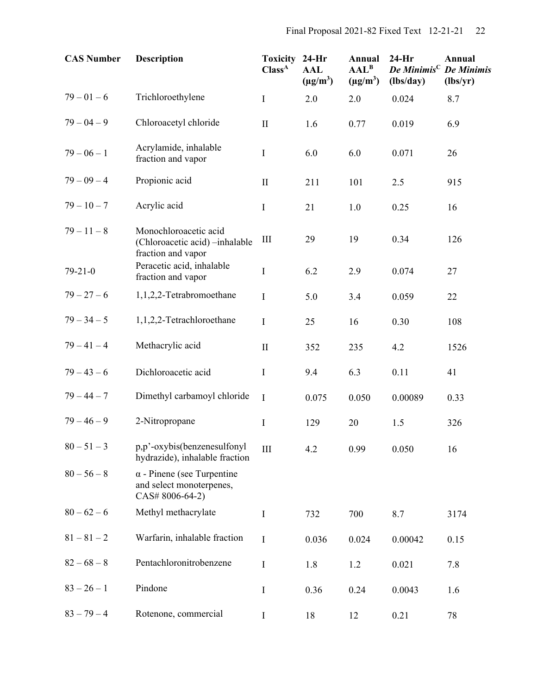| <b>CAS Number</b> | <b>Description</b>                                                               | Toxicity 24-Hr<br>Class <sup>A</sup> | <b>AAL</b><br>$(\mu g/m^3)$ | Annual<br>$AAL^B$<br>$(\mu g/m^3)$ | $24-Hr$<br>$De$ Minimis $C$<br>(lbs/day) | Annual<br><b>De Minimis</b><br>(lbs/yr) |
|-------------------|----------------------------------------------------------------------------------|--------------------------------------|-----------------------------|------------------------------------|------------------------------------------|-----------------------------------------|
| $79 - 01 - 6$     | Trichloroethylene                                                                | $\mathbf I$                          | 2.0                         | 2.0                                | 0.024                                    | 8.7                                     |
| $79 - 04 - 9$     | Chloroacetyl chloride                                                            | $\mathbf{I}$                         | 1.6                         | 0.77                               | 0.019                                    | 6.9                                     |
| $79 - 06 - 1$     | Acrylamide, inhalable<br>fraction and vapor                                      | I                                    | 6.0                         | 6.0                                | 0.071                                    | 26                                      |
| $79 - 09 - 4$     | Propionic acid                                                                   | $\mathbf{I}$                         | 211                         | 101                                | 2.5                                      | 915                                     |
| $79 - 10 - 7$     | Acrylic acid                                                                     | $\mathbf I$                          | 21                          | 1.0                                | 0.25                                     | 16                                      |
| $79 - 11 - 8$     | Monochloroacetic acid<br>(Chloroacetic acid) -inhalable<br>fraction and vapor    | III                                  | 29                          | 19                                 | 0.34                                     | 126                                     |
| $79 - 21 - 0$     | Peracetic acid, inhalable<br>fraction and vapor                                  | I                                    | 6.2                         | 2.9                                | 0.074                                    | 27                                      |
| $79 - 27 - 6$     | 1,1,2,2-Tetrabromoethane                                                         | $\mathbf I$                          | 5.0                         | 3.4                                | 0.059                                    | 22                                      |
| $79 - 34 - 5$     | 1,1,2,2-Tetrachloroethane                                                        | $\rm I$                              | 25                          | 16                                 | 0.30                                     | 108                                     |
| $79 - 41 - 4$     | Methacrylic acid                                                                 | $\mathbf{I}$                         | 352                         | 235                                | 4.2                                      | 1526                                    |
| $79 - 43 - 6$     | Dichloroacetic acid                                                              | $\mathbf I$                          | 9.4                         | 6.3                                | 0.11                                     | 41                                      |
| $79 - 44 - 7$     | Dimethyl carbamoyl chloride                                                      | I                                    | 0.075                       | 0.050                              | 0.00089                                  | 0.33                                    |
| $79 - 46 - 9$     | 2-Nitropropane                                                                   | $\mathbf I$                          | 129                         | 20                                 | 1.5                                      | 326                                     |
| $80 - 51 - 3$     | p,p'-oxybis(benzenesulfonyl<br>hydrazide), inhalable fraction                    | III                                  | 4.2                         | 0.99                               | 0.050                                    | 16                                      |
| $80 - 56 - 8$     | $\alpha$ - Pinene (see Turpentine<br>and select monoterpenes,<br>CAS# 8006-64-2) |                                      |                             |                                    |                                          |                                         |
| $80 - 62 - 6$     | Methyl methacrylate                                                              | I                                    | 732                         | 700                                | 8.7                                      | 3174                                    |
| $81 - 81 - 2$     | Warfarin, inhalable fraction                                                     | $\mathbf I$                          | 0.036                       | 0.024                              | 0.00042                                  | 0.15                                    |
| $82 - 68 - 8$     | Pentachloronitrobenzene                                                          | $\mathbf I$                          | 1.8                         | 1.2                                | 0.021                                    | 7.8                                     |
| $83 - 26 - 1$     | Pindone                                                                          | I                                    | 0.36                        | 0.24                               | 0.0043                                   | 1.6                                     |
| $83 - 79 - 4$     | Rotenone, commercial                                                             | $\bf{I}$                             | 18                          | 12                                 | 0.21                                     | 78                                      |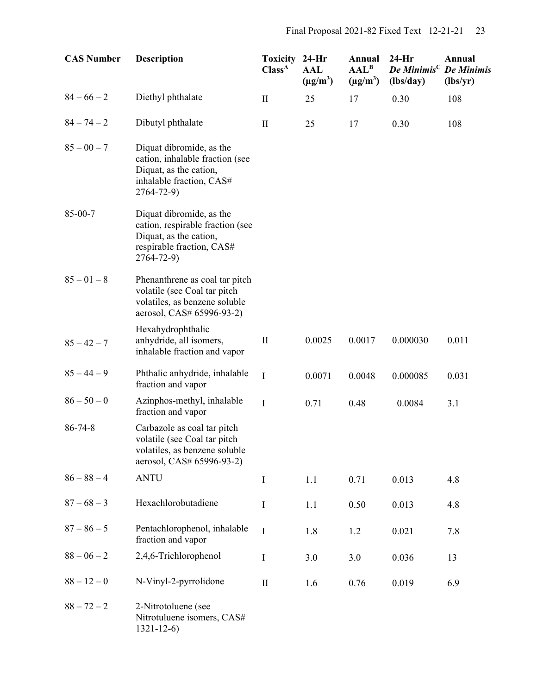| <b>CAS Number</b> | <b>Description</b>                                                                                                                     | <b>Toxicity</b><br>Class <sup>A</sup> | $24-Hr$<br><b>AAL</b><br>$(\mu g/m^3)$ | Annual<br>$AAL^B$<br>$(\mu g/m^3)$ | $24-Hr$<br>$De$ Minimis $C$<br>(lbs/day) | Annual<br>De Minimis<br>(lbs/yr) |
|-------------------|----------------------------------------------------------------------------------------------------------------------------------------|---------------------------------------|----------------------------------------|------------------------------------|------------------------------------------|----------------------------------|
| $84 - 66 - 2$     | Diethyl phthalate                                                                                                                      | $\mathbf{I}$                          | 25                                     | 17                                 | 0.30                                     | 108                              |
| $84 - 74 - 2$     | Dibutyl phthalate                                                                                                                      | $\mathbf{I}$                          | 25                                     | 17                                 | 0.30                                     | 108                              |
| $85 - 00 - 7$     | Diquat dibromide, as the<br>cation, inhalable fraction (see<br>Diquat, as the cation,<br>inhalable fraction, CAS#<br>2764-72-9)        |                                       |                                        |                                    |                                          |                                  |
| $85-00-7$         | Diquat dibromide, as the<br>cation, respirable fraction (see<br>Diquat, as the cation,<br>respirable fraction, CAS#<br>$2764 - 72 - 9$ |                                       |                                        |                                    |                                          |                                  |
| $85 - 01 - 8$     | Phenanthrene as coal tar pitch<br>volatile (see Coal tar pitch<br>volatiles, as benzene soluble<br>aerosol, CAS# 65996-93-2)           |                                       |                                        |                                    |                                          |                                  |
| $85 - 42 - 7$     | Hexahydrophthalic<br>anhydride, all isomers,<br>inhalable fraction and vapor                                                           | $\mathbf{I}$                          | 0.0025                                 | 0.0017                             | 0.000030                                 | 0.011                            |
| $85 - 44 - 9$     | Phthalic anhydride, inhalable<br>fraction and vapor                                                                                    | $\mathbf I$                           | 0.0071                                 | 0.0048                             | 0.000085                                 | 0.031                            |
| $86 - 50 - 0$     | Azinphos-methyl, inhalable<br>fraction and vapor                                                                                       | $\mathbf I$                           | 0.71                                   | 0.48                               | 0.0084                                   | 3.1                              |
| $86 - 74 - 8$     | Carbazole as coal tar pitch<br>volatile (see Coal tar pitch<br>volatiles, as benzene soluble<br>aerosol, CAS# 65996-93-2)              |                                       |                                        |                                    |                                          |                                  |
| $86 - 88 - 4$     | <b>ANTU</b>                                                                                                                            | $\mathbf I$                           | 1.1                                    | 0.71                               | 0.013                                    | 4.8                              |
| $87 - 68 - 3$     | Hexachlorobutadiene                                                                                                                    | I                                     | 1.1                                    | 0.50                               | 0.013                                    | 4.8                              |
| $87 - 86 - 5$     | Pentachlorophenol, inhalable<br>fraction and vapor                                                                                     | $\rm I$                               | 1.8                                    | 1.2                                | 0.021                                    | 7.8                              |
| $88 - 06 - 2$     | 2,4,6-Trichlorophenol                                                                                                                  | $\mathbf I$                           | 3.0                                    | 3.0                                | 0.036                                    | 13                               |
| $88 - 12 - 0$     | N-Vinyl-2-pyrrolidone                                                                                                                  | $\mathbf{I}$                          | 1.6                                    | 0.76                               | 0.019                                    | 6.9                              |
| $88 - 72 - 2$     | 2-Nitrotoluene (see<br>Nitrotuluene isomers, CAS#<br>$1321 - 12 - 6$                                                                   |                                       |                                        |                                    |                                          |                                  |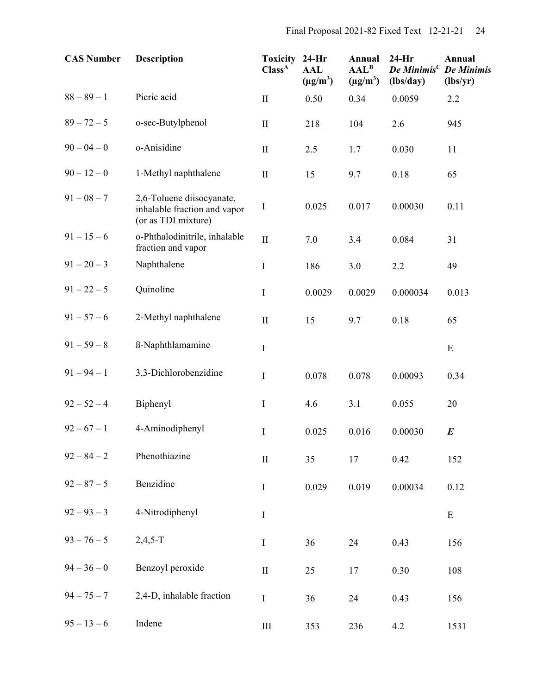| <b>CAS Number</b> | <b>Description</b>                                                               | <b>Toxicity</b><br>Class <sup>A</sup> | $24-Hr$<br><b>AAL</b><br>$(\mu g/m^3)$ | <b>Annual</b><br>$AAL^B$<br>$(\mu g/m^3)$ | $24-Hr$<br>$De$ Minimis $C$<br>(lbs/day) | <b>Annual</b><br><b>De Minimis</b><br>(lbs/yr) |
|-------------------|----------------------------------------------------------------------------------|---------------------------------------|----------------------------------------|-------------------------------------------|------------------------------------------|------------------------------------------------|
| $88 - 89 - 1$     | Picric acid                                                                      | $\mathbf{I}$                          | 0.50                                   | 0.34                                      | 0.0059                                   | 2.2                                            |
| $89 - 72 - 5$     | o-sec-Butylphenol                                                                | $\mathbf{I}$                          | 218                                    | 104                                       | 2.6                                      | 945                                            |
| $90 - 04 - 0$     | o-Anisidine                                                                      | $\mathbf{I}$                          | 2.5                                    | 1.7                                       | 0.030                                    | 11                                             |
| $90 - 12 - 0$     | 1-Methyl naphthalene                                                             | $\mathbf{I}$                          | 15                                     | 9.7                                       | 0.18                                     | 65                                             |
| $91 - 08 - 7$     | 2,6-Toluene diisocyanate,<br>inhalable fraction and vapor<br>(or as TDI mixture) | $\rm I$                               | 0.025                                  | 0.017                                     | 0.00030                                  | 0.11                                           |
| $91 - 15 - 6$     | o-Phthalodinitrile, inhalable<br>fraction and vapor                              | $\mathbf{I}$                          | 7.0                                    | 3.4                                       | 0.084                                    | 31                                             |
| $91 - 20 - 3$     | Naphthalene                                                                      | $\bf{I}$                              | 186                                    | 3.0                                       | 2.2                                      | 49                                             |
| $91 - 22 - 5$     | Quinoline                                                                        | $\mathbf I$                           | 0.0029                                 | 0.0029                                    | 0.000034                                 | 0.013                                          |
| $91 - 57 - 6$     | 2-Methyl naphthalene                                                             | $\mathbf{I}$                          | 15                                     | 9.7                                       | 0.18                                     | 65                                             |
| $91 - 59 - 8$     | ß-Naphthlamamine                                                                 | $\mathbf I$                           |                                        |                                           |                                          | ${\bf E}$                                      |
| $91 - 94 - 1$     | 3,3-Dichlorobenzidine                                                            | I                                     | 0.078                                  | 0.078                                     | 0.00093                                  | 0.34                                           |
| $92 - 52 - 4$     | Biphenyl                                                                         | $\bf{I}$                              | 4.6                                    | 3.1                                       | 0.055                                    | 20                                             |
| $92 - 67 - 1$     | 4-Aminodiphenyl                                                                  | $\mathbf I$                           | 0.025                                  | 0.016                                     | 0.00030                                  | $\boldsymbol{E}$                               |
| $92 - 84 - 2$     | Phenothiazine                                                                    | $\mathbf{I}$                          | 35                                     | 17                                        | 0.42                                     | 152                                            |
| $92 - 87 - 5$     | Benzidine                                                                        | $\bf I$                               | 0.029                                  | 0.019                                     | 0.00034                                  | 0.12                                           |
| $92 - 93 - 3$     | 4-Nitrodiphenyl                                                                  | $\bf I$                               |                                        |                                           |                                          | ${\bf E}$                                      |
| $93 - 76 - 5$     | $2,4,5-T$                                                                        | $\mathbf I$                           | 36                                     | 24                                        | 0.43                                     | 156                                            |
| $94 - 36 - 0$     | Benzoyl peroxide                                                                 | $\rm II$                              | 25                                     | 17                                        | 0.30                                     | 108                                            |
| $94 - 75 - 7$     | 2,4-D, inhalable fraction                                                        | $\bf I$                               | 36                                     | 24                                        | 0.43                                     | 156                                            |
| $95 - 13 - 6$     | Indene                                                                           | $\rm III$                             | 353                                    | 236                                       | 4.2                                      | 1531                                           |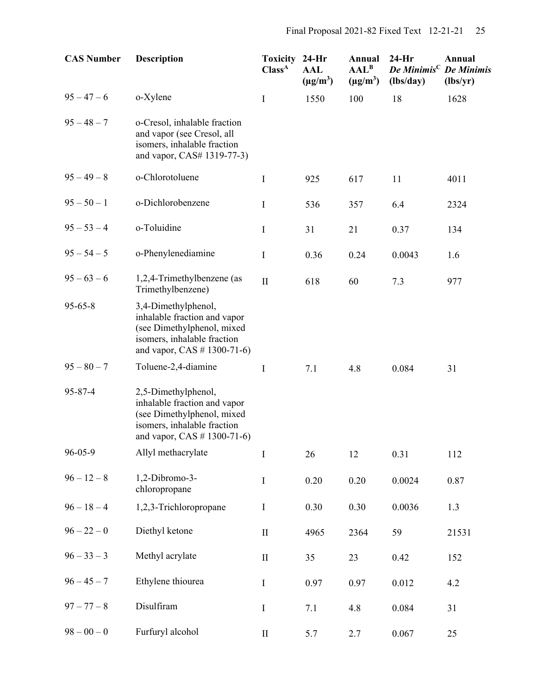| <b>CAS Number</b> | <b>Description</b>                                                                                                                                  | Toxicity 24-Hr<br>Class <sup>A</sup> | <b>AAL</b><br>$(\mu g/m^3)$ | Annual<br>$AAL^B$<br>$(\mu g/m^3)$ | $24-Hr$<br>De Minimis <sup>C</sup> De Minimis<br>(lbs/day) | Annual<br>(lbs/yr) |
|-------------------|-----------------------------------------------------------------------------------------------------------------------------------------------------|--------------------------------------|-----------------------------|------------------------------------|------------------------------------------------------------|--------------------|
| $95 - 47 - 6$     | o-Xylene                                                                                                                                            | I                                    | 1550                        | 100                                | 18                                                         | 1628               |
| $95 - 48 - 7$     | o-Cresol, inhalable fraction<br>and vapor (see Cresol, all<br>isomers, inhalable fraction<br>and vapor, CAS# 1319-77-3)                             |                                      |                             |                                    |                                                            |                    |
| $95 - 49 - 8$     | o-Chlorotoluene                                                                                                                                     | $\bf{I}$                             | 925                         | 617                                | 11                                                         | 4011               |
| $95 - 50 - 1$     | o-Dichlorobenzene                                                                                                                                   | I                                    | 536                         | 357                                | 6.4                                                        | 2324               |
| $95 - 53 - 4$     | o-Toluidine                                                                                                                                         | $\bf{I}$                             | 31                          | 21                                 | 0.37                                                       | 134                |
| $95 - 54 - 5$     | o-Phenylenediamine                                                                                                                                  | $\bf{I}$                             | 0.36                        | 0.24                               | 0.0043                                                     | 1.6                |
| $95 - 63 - 6$     | 1,2,4-Trimethylbenzene (as<br>Trimethylbenzene)                                                                                                     | $\rm II$                             | 618                         | 60                                 | 7.3                                                        | 977                |
| $95 - 65 - 8$     | 3,4-Dimethylphenol,<br>inhalable fraction and vapor<br>(see Dimethylphenol, mixed<br>isomers, inhalable fraction<br>and vapor, $CAS \# 1300-71-6$ ) |                                      |                             |                                    |                                                            |                    |
| $95 - 80 - 7$     | Toluene-2,4-diamine                                                                                                                                 | Ι                                    | 7.1                         | 4.8                                | 0.084                                                      | 31                 |
| 95-87-4           | 2,5-Dimethylphenol,<br>inhalable fraction and vapor<br>(see Dimethylphenol, mixed<br>isomers, inhalable fraction<br>and vapor, CAS # 1300-71-6)     |                                      |                             |                                    |                                                            |                    |
| 96-05-9           | Allyl methacrylate                                                                                                                                  | $\rm I$                              | 26                          | 12                                 | 0.31                                                       | 112                |
| $96 - 12 - 8$     | 1,2-Dibromo-3-<br>chloropropane                                                                                                                     | $\bf I$                              | 0.20                        | 0.20                               | 0.0024                                                     | 0.87               |
| $96 - 18 - 4$     | 1,2,3-Trichloropropane                                                                                                                              | $\bf{I}$                             | 0.30                        | 0.30                               | 0.0036                                                     | 1.3                |
| $96 - 22 - 0$     | Diethyl ketone                                                                                                                                      | $\rm II$                             | 4965                        | 2364                               | 59                                                         | 21531              |
| $96 - 33 - 3$     | Methyl acrylate                                                                                                                                     | $\mathbf{I}$                         | 35                          | 23                                 | 0.42                                                       | 152                |
| $96 - 45 - 7$     | Ethylene thiourea                                                                                                                                   | $\rm I$                              | 0.97                        | 0.97                               | 0.012                                                      | 4.2                |
| $97 - 77 - 8$     | Disulfiram                                                                                                                                          | $\mathbf I$                          | 7.1                         | 4.8                                | 0.084                                                      | 31                 |
| $98 - 00 - 0$     | Furfuryl alcohol                                                                                                                                    | $\mathbf{I}$                         | 5.7                         | 2.7                                | 0.067                                                      | 25                 |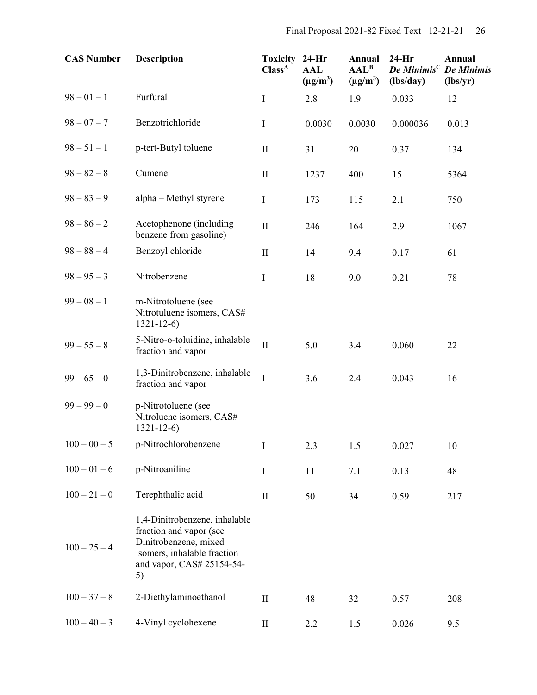| <b>CAS Number</b> | <b>Description</b>                                                                                                                                  | <b>Toxicity 24-Hr</b><br>Class <sup>A</sup> | <b>AAL</b><br>$(\mu g/m^3)$ | Annual<br>$AAL^B$<br>$(\mu g/m^3)$ | $24-Hr$<br>$De$ Minimis $C$<br>(lbs/day) | Annual<br><b>De Minimis</b><br>(lbs/yr) |
|-------------------|-----------------------------------------------------------------------------------------------------------------------------------------------------|---------------------------------------------|-----------------------------|------------------------------------|------------------------------------------|-----------------------------------------|
| $98 - 01 - 1$     | Furfural                                                                                                                                            | $\mathbf I$                                 | 2.8                         | 1.9                                | 0.033                                    | 12                                      |
| $98 - 07 - 7$     | Benzotrichloride                                                                                                                                    | $\mathbf I$                                 | 0.0030                      | 0.0030                             | 0.000036                                 | 0.013                                   |
| $98 - 51 - 1$     | p-tert-Butyl toluene                                                                                                                                | $\mathbf{I}$                                | 31                          | 20                                 | 0.37                                     | 134                                     |
| $98 - 82 - 8$     | Cumene                                                                                                                                              | $\mathbf{I}$                                | 1237                        | 400                                | 15                                       | 5364                                    |
| $98 - 83 - 9$     | alpha - Methyl styrene                                                                                                                              | $\mathbf I$                                 | 173                         | 115                                | 2.1                                      | 750                                     |
| $98 - 86 - 2$     | Acetophenone (including<br>benzene from gasoline)                                                                                                   | $\mathbf{I}$                                | 246                         | 164                                | 2.9                                      | 1067                                    |
| $98 - 88 - 4$     | Benzoyl chloride                                                                                                                                    | $\mathbf{I}$                                | 14                          | 9.4                                | 0.17                                     | 61                                      |
| $98 - 95 - 3$     | Nitrobenzene                                                                                                                                        | $\mathbf I$                                 | 18                          | 9.0                                | 0.21                                     | 78                                      |
| $99 - 08 - 1$     | m-Nitrotoluene (see<br>Nitrotuluene isomers, CAS#<br>$1321 - 12 - 6$                                                                                |                                             |                             |                                    |                                          |                                         |
| $99 - 55 - 8$     | 5-Nitro-o-toluidine, inhalable<br>fraction and vapor                                                                                                | $\mathbf{I}$                                | 5.0                         | 3.4                                | 0.060                                    | 22                                      |
| $99 - 65 - 0$     | 1,3-Dinitrobenzene, inhalable<br>fraction and vapor                                                                                                 | I                                           | 3.6                         | 2.4                                | 0.043                                    | 16                                      |
| $99 - 99 - 0$     | p-Nitrotoluene (see<br>Nitroluene isomers, CAS#<br>$1321 - 12 - 6$                                                                                  |                                             |                             |                                    |                                          |                                         |
| $100 - 00 - 5$    | p-Nitrochlorobenzene                                                                                                                                | $\mathbf{I}$                                | 2.3                         | 1.5                                | 0.027                                    | 10                                      |
| $100 - 01 - 6$    | p-Nitroaniline                                                                                                                                      | $\mathbf I$                                 | 11                          | 7.1                                | 0.13                                     | 48                                      |
| $100 - 21 - 0$    | Terephthalic acid                                                                                                                                   | $\mathbf{I}$                                | 50                          | 34                                 | 0.59                                     | 217                                     |
| $100 - 25 - 4$    | 1,4-Dinitrobenzene, inhalable<br>fraction and vapor (see<br>Dinitrobenzene, mixed<br>isomers, inhalable fraction<br>and vapor, CAS# 25154-54-<br>5) |                                             |                             |                                    |                                          |                                         |
| $100 - 37 - 8$    | 2-Diethylaminoethanol                                                                                                                               | $\mathbf{I}$                                | 48                          | 32                                 | 0.57                                     | 208                                     |
| $100 - 40 - 3$    | 4-Vinyl cyclohexene                                                                                                                                 | $\mathbf{I}$                                | 2.2                         | 1.5                                | 0.026                                    | 9.5                                     |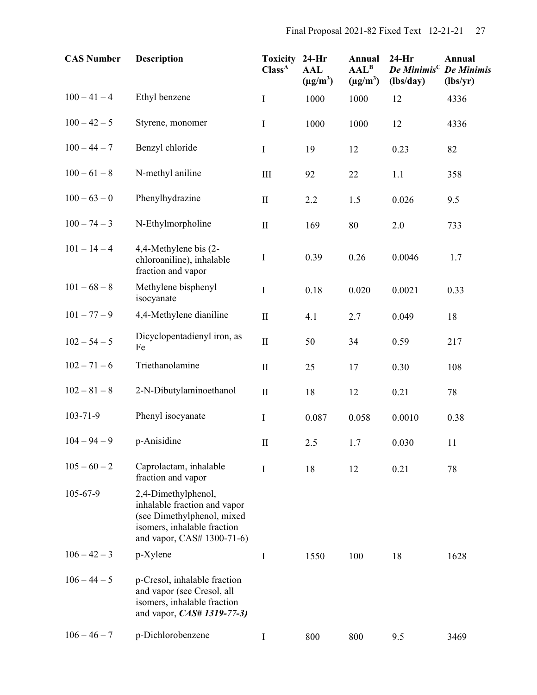| <b>CAS Number</b> | <b>Description</b>                                                                                                                             | Toxicity 24-Hr<br>Class <sup>A</sup> | <b>AAL</b><br>$(\mu g/m^3)$ | Annual<br>$AAL^B$<br>$(\mu g/m^3)$ | $24-Hr$<br>De Minimis <sup>C</sup><br>(lbs/day) | Annual<br>De Minimis<br>(lbs/yr) |
|-------------------|------------------------------------------------------------------------------------------------------------------------------------------------|--------------------------------------|-----------------------------|------------------------------------|-------------------------------------------------|----------------------------------|
| $100 - 41 - 4$    | Ethyl benzene                                                                                                                                  | $\mathbf I$                          | 1000                        | 1000                               | 12                                              | 4336                             |
| $100 - 42 - 5$    | Styrene, monomer                                                                                                                               | $\mathbf I$                          | 1000                        | 1000                               | 12                                              | 4336                             |
| $100 - 44 - 7$    | Benzyl chloride                                                                                                                                | $\bf I$                              | 19                          | 12                                 | 0.23                                            | 82                               |
| $100 - 61 - 8$    | N-methyl aniline                                                                                                                               | $\rm III$                            | 92                          | 22                                 | 1.1                                             | 358                              |
| $100 - 63 - 0$    | Phenylhydrazine                                                                                                                                | $\mathbf{I}$                         | 2.2                         | 1.5                                | 0.026                                           | 9.5                              |
| $100 - 74 - 3$    | N-Ethylmorpholine                                                                                                                              | $\mathbf{I}$                         | 169                         | 80                                 | 2.0                                             | 733                              |
| $101 - 14 - 4$    | 4,4-Methylene bis (2-<br>chloroaniline), inhalable<br>fraction and vapor                                                                       | $\mathbf I$                          | 0.39                        | 0.26                               | 0.0046                                          | 1.7                              |
| $101 - 68 - 8$    | Methylene bisphenyl<br>isocyanate                                                                                                              | I                                    | 0.18                        | 0.020                              | 0.0021                                          | 0.33                             |
| $101 - 77 - 9$    | 4,4-Methylene dianiline                                                                                                                        | $\mathbf{I}$                         | 4.1                         | 2.7                                | 0.049                                           | 18                               |
| $102 - 54 - 5$    | Dicyclopentadienyl iron, as<br>Fe                                                                                                              | $\mathbf{I}$                         | 50                          | 34                                 | 0.59                                            | 217                              |
| $102 - 71 - 6$    | Triethanolamine                                                                                                                                | $\mathbf{I}$                         | 25                          | 17                                 | 0.30                                            | 108                              |
| $102 - 81 - 8$    | 2-N-Dibutylaminoethanol                                                                                                                        | $\mathbf{I}$                         | 18                          | 12                                 | 0.21                                            | 78                               |
| $103 - 71 - 9$    | Phenyl isocyanate                                                                                                                              | I                                    | 0.087                       | 0.058                              | 0.0010                                          | 0.38                             |
| $104 - 94 - 9$    | p-Anisidine                                                                                                                                    | $\rm{II}$                            | 2.5                         | 1.7                                | 0.030                                           | 11                               |
| $105 - 60 - 2$    | Caprolactam, inhalable<br>fraction and vapor                                                                                                   | I                                    | 18                          | 12                                 | 0.21                                            | 78                               |
| 105-67-9          | 2,4-Dimethylphenol,<br>inhalable fraction and vapor<br>(see Dimethylphenol, mixed<br>isomers, inhalable fraction<br>and vapor, CAS# 1300-71-6) |                                      |                             |                                    |                                                 |                                  |
| $106 - 42 - 3$    | p-Xylene                                                                                                                                       | I                                    | 1550                        | 100                                | 18                                              | 1628                             |
| $106 - 44 - 5$    | p-Cresol, inhalable fraction<br>and vapor (see Cresol, all<br>isomers, inhalable fraction<br>and vapor, CAS# 1319-77-3)                        |                                      |                             |                                    |                                                 |                                  |
| $106 - 46 - 7$    | p-Dichlorobenzene                                                                                                                              | I                                    | 800                         | 800                                | 9.5                                             | 3469                             |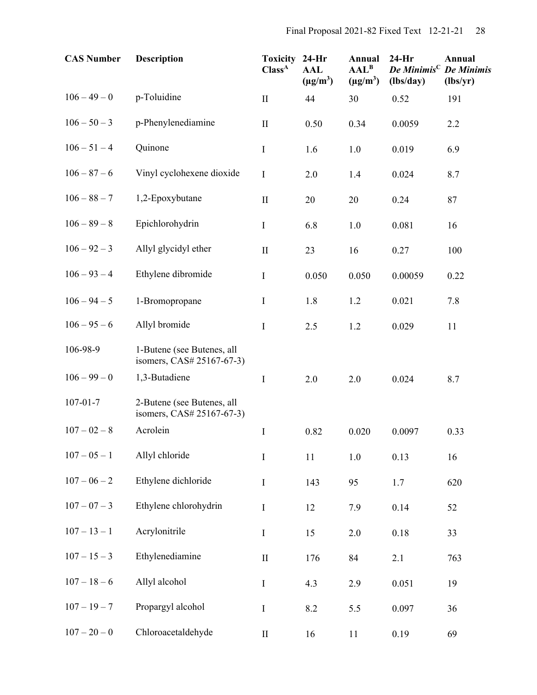| <b>CAS Number</b> | <b>Description</b>                                      | Toxicity 24-Hr<br>Class <sup>A</sup> | <b>AAL</b><br>$(\mu g/m^3)$ | Annual<br>$AAL^B$<br>$(\mu g/m^3)$ | $24-Hr$<br>$De$ Minimis $C$<br>(lbs/day) | Annual<br><b>De Minimis</b><br>(lbs/yr) |
|-------------------|---------------------------------------------------------|--------------------------------------|-----------------------------|------------------------------------|------------------------------------------|-----------------------------------------|
| $106 - 49 - 0$    | p-Toluidine                                             | $\mathbf{I}$                         | 44                          | 30                                 | 0.52                                     | 191                                     |
| $106 - 50 - 3$    | p-Phenylenediamine                                      | $\mathbf{I}$                         | 0.50                        | 0.34                               | 0.0059                                   | 2.2                                     |
| $106 - 51 - 4$    | Quinone                                                 | $\mathbf I$                          | 1.6                         | 1.0                                | 0.019                                    | 6.9                                     |
| $106 - 87 - 6$    | Vinyl cyclohexene dioxide                               | $\mathbf I$                          | 2.0                         | 1.4                                | 0.024                                    | 8.7                                     |
| $106 - 88 - 7$    | 1,2-Epoxybutane                                         | $\rm II$                             | 20                          | 20                                 | 0.24                                     | 87                                      |
| $106 - 89 - 8$    | Epichlorohydrin                                         | $\mathbf I$                          | 6.8                         | 1.0                                | 0.081                                    | 16                                      |
| $106 - 92 - 3$    | Allyl glycidyl ether                                    | $\rm II$                             | 23                          | 16                                 | 0.27                                     | 100                                     |
| $106 - 93 - 4$    | Ethylene dibromide                                      | $\rm I$                              | 0.050                       | 0.050                              | 0.00059                                  | 0.22                                    |
| $106 - 94 - 5$    | 1-Bromopropane                                          | $\bf{I}$                             | 1.8                         | 1.2                                | 0.021                                    | 7.8                                     |
| $106 - 95 - 6$    | Allyl bromide                                           | $\mathbf I$                          | 2.5                         | 1.2                                | 0.029                                    | 11                                      |
| 106-98-9          | 1-Butene (see Butenes, all<br>isomers, CAS# 25167-67-3) |                                      |                             |                                    |                                          |                                         |
| $106 - 99 - 0$    | 1,3-Butadiene                                           | $\mathbf I$                          | 2.0                         | 2.0                                | 0.024                                    | 8.7                                     |
| $107 - 01 - 7$    | 2-Butene (see Butenes, all<br>isomers, CAS# 25167-67-3) |                                      |                             |                                    |                                          |                                         |
| $107 - 02 - 8$    | Acrolein                                                | $\bf I$                              | 0.82                        | 0.020                              | 0.0097                                   | 0.33                                    |
| $107 - 05 - 1$    | Allyl chloride                                          | $\bf I$                              | 11                          | $1.0\,$                            | 0.13                                     | 16                                      |
| $107 - 06 - 2$    | Ethylene dichloride                                     | $\bf I$                              | 143                         | 95                                 | 1.7                                      | 620                                     |
| $107 - 07 - 3$    | Ethylene chlorohydrin                                   | $\rm I$                              | 12                          | 7.9                                | 0.14                                     | 52                                      |
| $107 - 13 - 1$    | Acrylonitrile                                           | $\mathbf I$                          | 15                          | 2.0                                | 0.18                                     | 33                                      |
| $107 - 15 - 3$    | Ethylenediamine                                         | $\rm II$                             | 176                         | 84                                 | 2.1                                      | 763                                     |
| $107 - 18 - 6$    | Allyl alcohol                                           | $\rm I$                              | 4.3                         | 2.9                                | 0.051                                    | 19                                      |
| $107 - 19 - 7$    | Propargyl alcohol                                       | $\rm I$                              | 8.2                         | 5.5                                | 0.097                                    | 36                                      |
| $107 - 20 - 0$    | Chloroacetaldehyde                                      | $\rm II$                             | 16                          | 11                                 | 0.19                                     | 69                                      |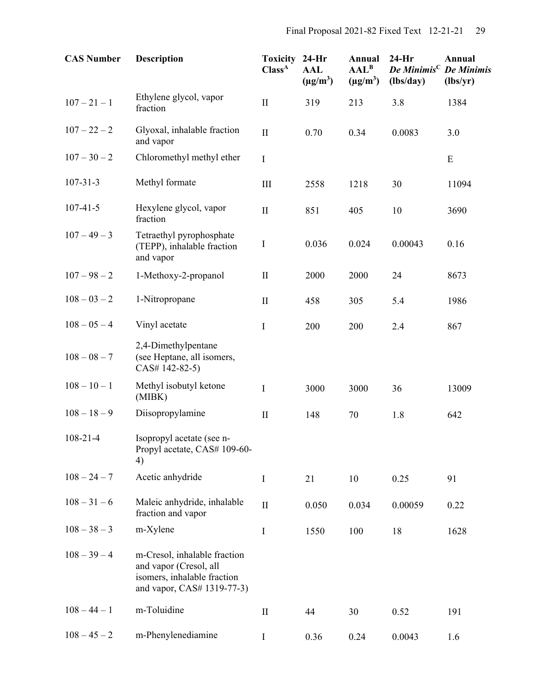| <b>CAS Number</b> | <b>Description</b>                                                                                                  | Toxicity 24-Hr<br>Class <sup>A</sup> | AAL<br>$(\mu g/m^3)$ | Annual<br>$AAL^B$<br>$(\mu g/m^3)$ | $24-Hr$<br>$De$ Minimis <sup>C</sup> De Minimis<br>(lbs/day) | <b>Annual</b><br>(lbs/yr) |
|-------------------|---------------------------------------------------------------------------------------------------------------------|--------------------------------------|----------------------|------------------------------------|--------------------------------------------------------------|---------------------------|
| $107 - 21 - 1$    | Ethylene glycol, vapor<br>fraction                                                                                  | $\mathbf{I}$                         | 319                  | 213                                | 3.8                                                          | 1384                      |
| $107 - 22 - 2$    | Glyoxal, inhalable fraction<br>and vapor                                                                            | $\mathbf{I}$                         | 0.70                 | 0.34                               | 0.0083                                                       | 3.0                       |
| $107 - 30 - 2$    | Chloromethyl methyl ether                                                                                           | I                                    |                      |                                    |                                                              | E                         |
| $107 - 31 - 3$    | Methyl formate                                                                                                      | III                                  | 2558                 | 1218                               | 30                                                           | 11094                     |
| $107 - 41 - 5$    | Hexylene glycol, vapor<br>fraction                                                                                  | $\mathbf{I}$                         | 851                  | 405                                | 10                                                           | 3690                      |
| $107 - 49 - 3$    | Tetraethyl pyrophosphate<br>(TEPP), inhalable fraction<br>and vapor                                                 | I                                    | 0.036                | 0.024                              | 0.00043                                                      | 0.16                      |
| $107 - 98 - 2$    | 1-Methoxy-2-propanol                                                                                                | $\mathbf{I}$                         | 2000                 | 2000                               | 24                                                           | 8673                      |
| $108 - 03 - 2$    | 1-Nitropropane                                                                                                      | $\mathbf{I}$                         | 458                  | 305                                | 5.4                                                          | 1986                      |
| $108 - 05 - 4$    | Vinyl acetate                                                                                                       | $\rm I$                              | 200                  | 200                                | 2.4                                                          | 867                       |
| $108 - 08 - 7$    | 2,4-Dimethylpentane<br>(see Heptane, all isomers,<br>CAS# 142-82-5)                                                 |                                      |                      |                                    |                                                              |                           |
| $108 - 10 - 1$    | Methyl isobutyl ketone<br>(MIBK)                                                                                    | $\rm I$                              | 3000                 | 3000                               | 36                                                           | 13009                     |
| $108 - 18 - 9$    | Diisopropylamine                                                                                                    | $\mathbf{I}$                         | 148                  | 70                                 | 1.8                                                          | 642                       |
| $108 - 21 - 4$    | Isopropyl acetate (see n-<br>Propyl acetate, CAS# 109-60-<br>4)                                                     |                                      |                      |                                    |                                                              |                           |
| $108 - 24 - 7$    | Acetic anhydride                                                                                                    | $\bf{I}$                             | 21                   | 10                                 | 0.25                                                         | 91                        |
| $108 - 31 - 6$    | Maleic anhydride, inhalable<br>fraction and vapor                                                                   | $\mathbf{I}$                         | 0.050                | 0.034                              | 0.00059                                                      | 0.22                      |
| $108 - 38 - 3$    | m-Xylene                                                                                                            | I                                    | 1550                 | 100                                | 18                                                           | 1628                      |
| $108 - 39 - 4$    | m-Cresol, inhalable fraction<br>and vapor (Cresol, all<br>isomers, inhalable fraction<br>and vapor, CAS# 1319-77-3) |                                      |                      |                                    |                                                              |                           |
| $108 - 44 - 1$    | m-Toluidine                                                                                                         | $\rm II$                             | 44                   | 30                                 | 0.52                                                         | 191                       |
| $108 - 45 - 2$    | m-Phenylenediamine                                                                                                  | I                                    | 0.36                 | 0.24                               | 0.0043                                                       | 1.6                       |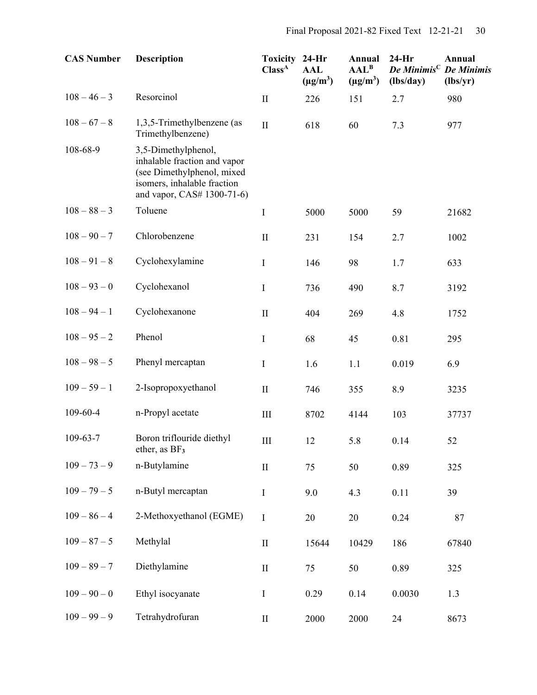| <b>CAS Number</b> | <b>Description</b>                                                                                                                             | Toxicity 24-Hr<br>Class <sup>A</sup> | <b>AAL</b><br>$(\mu g/m^3)$ | Annual<br>$AAL^B$<br>$(\mu g/m^3)$ | $24-Hr$<br>$De$ Minimis <sup>C</sup> De Minimis<br>(lbs/day) | <b>Annual</b><br>(lbs/yr) |
|-------------------|------------------------------------------------------------------------------------------------------------------------------------------------|--------------------------------------|-----------------------------|------------------------------------|--------------------------------------------------------------|---------------------------|
| $108 - 46 - 3$    | Resorcinol                                                                                                                                     | $\mathbf{I}$                         | 226                         | 151                                | 2.7                                                          | 980                       |
| $108 - 67 - 8$    | 1,3,5-Trimethylbenzene (as<br>Trimethylbenzene)                                                                                                | $\mathbf{I}$                         | 618                         | 60                                 | 7.3                                                          | 977                       |
| 108-68-9          | 3,5-Dimethylphenol,<br>inhalable fraction and vapor<br>(see Dimethylphenol, mixed<br>isomers, inhalable fraction<br>and vapor, CAS# 1300-71-6) |                                      |                             |                                    |                                                              |                           |
| $108 - 88 - 3$    | Toluene                                                                                                                                        | I                                    | 5000                        | 5000                               | 59                                                           | 21682                     |
| $108 - 90 - 7$    | Chlorobenzene                                                                                                                                  | $\rm II$                             | 231                         | 154                                | 2.7                                                          | 1002                      |
| $108 - 91 - 8$    | Cyclohexylamine                                                                                                                                | $\bf I$                              | 146                         | 98                                 | 1.7                                                          | 633                       |
| $108 - 93 - 0$    | Cyclohexanol                                                                                                                                   | $\bf I$                              | 736                         | 490                                | 8.7                                                          | 3192                      |
| $108 - 94 - 1$    | Cyclohexanone                                                                                                                                  | $\mathbf{I}$                         | 404                         | 269                                | 4.8                                                          | 1752                      |
| $108 - 95 - 2$    | Phenol                                                                                                                                         | I                                    | 68                          | 45                                 | 0.81                                                         | 295                       |
| $108 - 98 - 5$    | Phenyl mercaptan                                                                                                                               | $\bf I$                              | 1.6                         | 1.1                                | 0.019                                                        | 6.9                       |
| $109 - 59 - 1$    | 2-Isopropoxyethanol                                                                                                                            | $\mathbf{I}$                         | 746                         | 355                                | 8.9                                                          | 3235                      |
| 109-60-4          | n-Propyl acetate                                                                                                                               | $\mathop{\rm III}$                   | 8702                        | 4144                               | 103                                                          | 37737                     |
| $109 - 63 - 7$    | Boron triflouride diethyl<br>ether, as BF <sub>3</sub>                                                                                         | III                                  | 12                          | 5.8                                | 0.14                                                         | 52                        |
| $109 - 73 - 9$    | n-Butylamine                                                                                                                                   | $\rm II$                             | 75                          | 50                                 | 0.89                                                         | 325                       |
| $109 - 79 - 5$    | n-Butyl mercaptan                                                                                                                              | $\rm I$                              | 9.0                         | 4.3                                | 0.11                                                         | 39                        |
| $109 - 86 - 4$    | 2-Methoxyethanol (EGME)                                                                                                                        | $\bf I$                              | 20                          | $20\,$                             | 0.24                                                         | 87                        |
| $109 - 87 - 5$    | Methylal                                                                                                                                       | $\mathop{\mathrm{II}}\nolimits$      | 15644                       | 10429                              | 186                                                          | 67840                     |
| $109 - 89 - 7$    | Diethylamine                                                                                                                                   | $\rm II$                             | 75                          | 50                                 | 0.89                                                         | 325                       |
| $109 - 90 - 0$    | Ethyl isocyanate                                                                                                                               | $\rm I$                              | 0.29                        | 0.14                               | 0.0030                                                       | 1.3                       |
| $109 - 99 - 9$    | Tetrahydrofuran                                                                                                                                | $\mathbf{I}$                         | 2000                        | 2000                               | 24                                                           | 8673                      |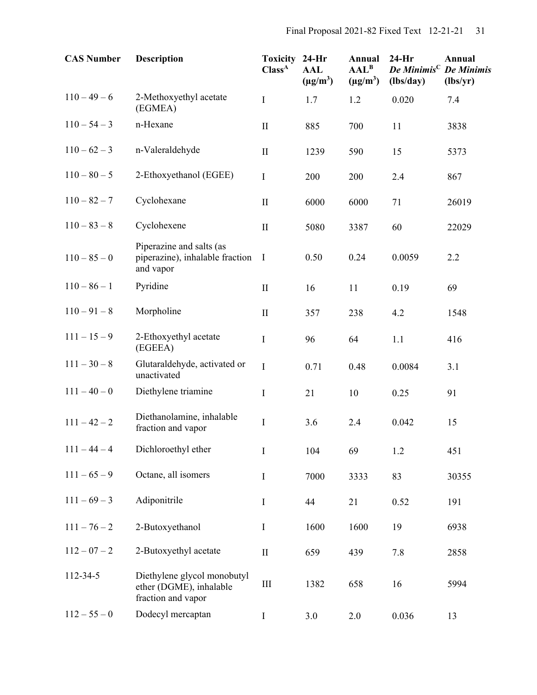| <b>CAS Number</b> | <b>Description</b>                                                           | Toxicity 24-Hr<br>Class <sup>A</sup> | <b>AAL</b><br>$(\mu g/m^3)$ | Annual<br>$AAL^B$<br>$(\mu g/m^3)$ | $24-Hr$<br>$De$ Minimis <sup>C</sup> De Minimis<br>(lbs/day) | Annual<br>(lbs/yr) |
|-------------------|------------------------------------------------------------------------------|--------------------------------------|-----------------------------|------------------------------------|--------------------------------------------------------------|--------------------|
| $110 - 49 - 6$    | 2-Methoxyethyl acetate<br>(EGMEA)                                            | $\mathbf I$                          | 1.7                         | 1.2                                | 0.020                                                        | 7.4                |
| $110 - 54 - 3$    | n-Hexane                                                                     | $\mathbf{I}$                         | 885                         | 700                                | 11                                                           | 3838               |
| $110 - 62 - 3$    | n-Valeraldehyde                                                              | $\mathbf{I}$                         | 1239                        | 590                                | 15                                                           | 5373               |
| $110 - 80 - 5$    | 2-Ethoxyethanol (EGEE)                                                       | $\bf I$                              | 200                         | 200                                | 2.4                                                          | 867                |
| $110 - 82 - 7$    | Cyclohexane                                                                  | $\mathbf{I}$                         | 6000                        | 6000                               | 71                                                           | 26019              |
| $110 - 83 - 8$    | Cyclohexene                                                                  | $\mathbf{I}$                         | 5080                        | 3387                               | 60                                                           | 22029              |
| $110 - 85 - 0$    | Piperazine and salts (as<br>piperazine), inhalable fraction I<br>and vapor   |                                      | 0.50                        | 0.24                               | 0.0059                                                       | 2.2                |
| $110 - 86 - 1$    | Pyridine                                                                     | $\mathbf{I}$                         | 16                          | 11                                 | 0.19                                                         | 69                 |
| $110 - 91 - 8$    | Morpholine                                                                   | $\mathbf{I}$                         | 357                         | 238                                | 4.2                                                          | 1548               |
| $111 - 15 - 9$    | 2-Ethoxyethyl acetate<br>(EGEEA)                                             | $\bf I$                              | 96                          | 64                                 | 1.1                                                          | 416                |
| $111 - 30 - 8$    | Glutaraldehyde, activated or<br>unactivated                                  | $\mathbf I$                          | 0.71                        | 0.48                               | 0.0084                                                       | 3.1                |
| $111 - 40 - 0$    | Diethylene triamine                                                          | $\mathbf I$                          | 21                          | 10                                 | 0.25                                                         | 91                 |
| $111 - 42 - 2$    | Diethanolamine, inhalable<br>fraction and vapor                              | $\rm I$                              | 3.6                         | 2.4                                | 0.042                                                        | 15                 |
| $111 - 44 - 4$    | Dichloroethyl ether                                                          | $\rm I$                              | 104                         | 69                                 | 1.2                                                          | 451                |
| $111 - 65 - 9$    | Octane, all isomers                                                          | $\rm I$                              | 7000                        | 3333                               | 83                                                           | 30355              |
| $111 - 69 - 3$    | Adiponitrile                                                                 | $\rm I$                              | 44                          | 21                                 | 0.52                                                         | 191                |
| $111 - 76 - 2$    | 2-Butoxyethanol                                                              | $\bf{I}$                             | 1600                        | 1600                               | 19                                                           | 6938               |
| $112 - 07 - 2$    | 2-Butoxyethyl acetate                                                        | $\rm II$                             | 659                         | 439                                | 7.8                                                          | 2858               |
| 112-34-5          | Diethylene glycol monobutyl<br>ether (DGME), inhalable<br>fraction and vapor | $\rm III$                            | 1382                        | 658                                | 16                                                           | 5994               |
| $112 - 55 - 0$    | Dodecyl mercaptan                                                            | I                                    | 3.0                         | 2.0                                | 0.036                                                        | 13                 |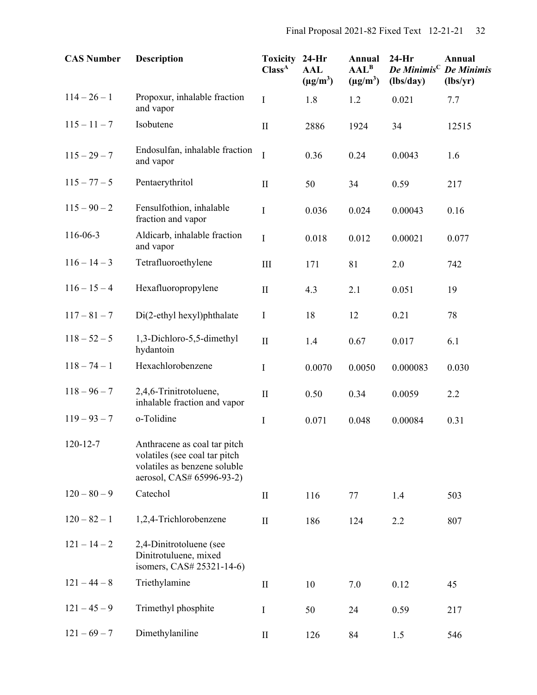| <b>CAS Number</b> | <b>Description</b>                                                                                                         | <b>Toxicity</b><br>Class <sup>A</sup> | $24-Hr$<br><b>AAL</b><br>$(\mu g/m^3)$ | Annual<br>$AAL^B$<br>$(\mu g/m^3)$ | $24-Hr$<br>De Minimis <sup>C</sup><br>(lbs/day) | Annual<br>De Minimis<br>(lbs/yr) |
|-------------------|----------------------------------------------------------------------------------------------------------------------------|---------------------------------------|----------------------------------------|------------------------------------|-------------------------------------------------|----------------------------------|
| $114 - 26 - 1$    | Propoxur, inhalable fraction<br>and vapor                                                                                  | I                                     | 1.8                                    | 1.2                                | 0.021                                           | 7.7                              |
| $115 - 11 - 7$    | Isobutene                                                                                                                  | $\rm II$                              | 2886                                   | 1924                               | 34                                              | 12515                            |
| $115 - 29 - 7$    | Endosulfan, inhalable fraction<br>and vapor                                                                                | I                                     | 0.36                                   | 0.24                               | 0.0043                                          | 1.6                              |
| $115 - 77 - 5$    | Pentaerythritol                                                                                                            | $\mathbf{I}$                          | 50                                     | 34                                 | 0.59                                            | 217                              |
| $115 - 90 - 2$    | Fensulfothion, inhalable<br>fraction and vapor                                                                             | $\mathbf I$                           | 0.036                                  | 0.024                              | 0.00043                                         | 0.16                             |
| 116-06-3          | Aldicarb, inhalable fraction<br>and vapor                                                                                  | $\rm I$                               | 0.018                                  | 0.012                              | 0.00021                                         | 0.077                            |
| $116 - 14 - 3$    | Tetrafluoroethylene                                                                                                        | $\rm III$                             | 171                                    | 81                                 | 2.0                                             | 742                              |
| $116 - 15 - 4$    | Hexafluoropropylene                                                                                                        | $\mathbf{I}$                          | 4.3                                    | 2.1                                | 0.051                                           | 19                               |
| $117 - 81 - 7$    | Di(2-ethyl hexyl)phthalate                                                                                                 | I                                     | 18                                     | 12                                 | 0.21                                            | 78                               |
| $118 - 52 - 5$    | 1,3-Dichloro-5,5-dimethyl<br>hydantoin                                                                                     | $\mathbf{I}$                          | 1.4                                    | 0.67                               | 0.017                                           | 6.1                              |
| $118 - 74 - 1$    | Hexachlorobenzene                                                                                                          | I                                     | 0.0070                                 | 0.0050                             | 0.000083                                        | 0.030                            |
| $118 - 96 - 7$    | 2,4,6-Trinitrotoluene,<br>inhalable fraction and vapor                                                                     | $\mathbf{I}$                          | 0.50                                   | 0.34                               | 0.0059                                          | 2.2                              |
| $119 - 93 - 7$    | o-Tolidine                                                                                                                 | $\rm I$                               | 0.071                                  | 0.048                              | 0.00084                                         | 0.31                             |
| $120 - 12 - 7$    | Anthracene as coal tar pitch<br>volatiles (see coal tar pitch<br>volatiles as benzene soluble<br>aerosol, CAS# 65996-93-2) |                                       |                                        |                                    |                                                 |                                  |
| $120 - 80 - 9$    | Catechol                                                                                                                   | $\rm II$                              | 116                                    | 77                                 | 1.4                                             | 503                              |
| $120 - 82 - 1$    | 1,2,4-Trichlorobenzene                                                                                                     | $\mathbf{I}$                          | 186                                    | 124                                | 2.2                                             | 807                              |
| $121 - 14 - 2$    | 2,4-Dinitrotoluene (see<br>Dinitrotuluene, mixed<br>isomers, CAS# 25321-14-6)                                              |                                       |                                        |                                    |                                                 |                                  |
| $121 - 44 - 8$    | Triethylamine                                                                                                              | $\mathbf{I}$                          | 10                                     | 7.0                                | 0.12                                            | 45                               |
| $121 - 45 - 9$    | Trimethyl phosphite                                                                                                        | I                                     | 50                                     | 24                                 | 0.59                                            | 217                              |
| $121 - 69 - 7$    | Dimethylaniline                                                                                                            | $\mathbf{I}$                          | 126                                    | 84                                 | 1.5                                             | 546                              |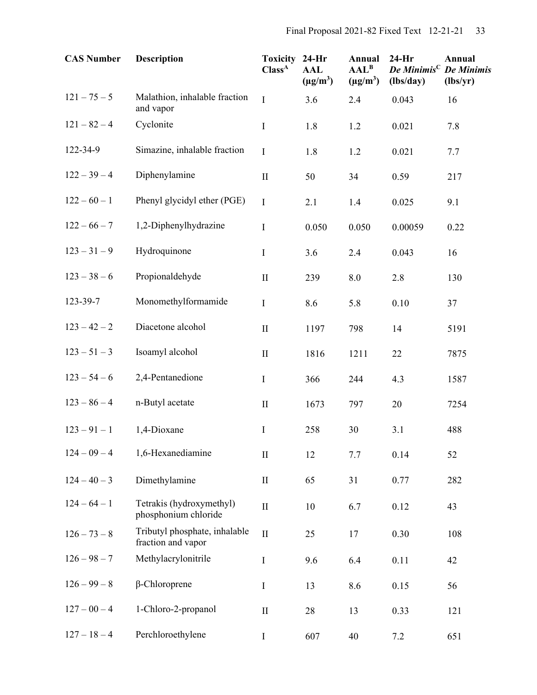| <b>CAS Number</b> | <b>Description</b>                                  | Toxicity 24-Hr<br>Class <sup>A</sup> | <b>AAL</b><br>$(\mu g/m^3)$ | Annual<br>$AAL^B$<br>$(\mu g/m^3)$ | $24-Hr$<br>$De$ Minimis <sup>C</sup> De Minimis<br>(lbs/day) | <b>Annual</b><br>(lbs/yr) |
|-------------------|-----------------------------------------------------|--------------------------------------|-----------------------------|------------------------------------|--------------------------------------------------------------|---------------------------|
| $121 - 75 - 5$    | Malathion, inhalable fraction<br>and vapor          | $\mathbf I$                          | 3.6                         | 2.4                                | 0.043                                                        | 16                        |
| $121 - 82 - 4$    | Cyclonite                                           | $\rm I$                              | 1.8                         | 1.2                                | 0.021                                                        | 7.8                       |
| 122-34-9          | Simazine, inhalable fraction                        | $\bf I$                              | 1.8                         | 1.2                                | 0.021                                                        | 7.7                       |
| $122 - 39 - 4$    | Diphenylamine                                       | $\mathbf{I}$                         | 50                          | 34                                 | 0.59                                                         | 217                       |
| $122 - 60 - 1$    | Phenyl glycidyl ether (PGE)                         | $\mathbf I$                          | 2.1                         | 1.4                                | 0.025                                                        | 9.1                       |
| $122 - 66 - 7$    | 1,2-Diphenylhydrazine                               | I                                    | 0.050                       | 0.050                              | 0.00059                                                      | 0.22                      |
| $123 - 31 - 9$    | Hydroquinone                                        | $\bf I$                              | 3.6                         | 2.4                                | 0.043                                                        | 16                        |
| $123 - 38 - 6$    | Propionaldehyde                                     | $\mathbf{I}$                         | 239                         | 8.0                                | 2.8                                                          | 130                       |
| 123-39-7          | Monomethylformamide                                 | $\rm I$                              | 8.6                         | 5.8                                | 0.10                                                         | 37                        |
| $123 - 42 - 2$    | Diacetone alcohol                                   | $\mathbf{I}$                         | 1197                        | 798                                | 14                                                           | 5191                      |
| $123 - 51 - 3$    | Isoamyl alcohol                                     | $\rm II$                             | 1816                        | 1211                               | 22                                                           | 7875                      |
| $123 - 54 - 6$    | 2,4-Pentanedione                                    | $\bf I$                              | 366                         | 244                                | 4.3                                                          | 1587                      |
| $123 - 86 - 4$    | n-Butyl acetate                                     | $\mathbf{I}$                         | 1673                        | 797                                | 20                                                           | 7254                      |
| $123 - 91 - 1$    | 1,4-Dioxane                                         | $\rm I$                              | 258                         | 30                                 | 3.1                                                          | 488                       |
| $124 - 09 - 4$    | 1,6-Hexanediamine                                   | $\mathbf{I}$                         | 12                          | 7.7                                | 0.14                                                         | 52                        |
| $124 - 40 - 3$    | Dimethylamine                                       | $\rm II$                             | 65                          | 31                                 | 0.77                                                         | 282                       |
| $124 - 64 - 1$    | Tetrakis (hydroxymethyl)<br>phosphonium chloride    | $\mathbf{I}$                         | 10                          | 6.7                                | 0.12                                                         | 43                        |
| $126 - 73 - 8$    | Tributyl phosphate, inhalable<br>fraction and vapor | $\mathbf{I}$                         | 25                          | 17                                 | 0.30                                                         | 108                       |
| $126 - 98 - 7$    | Methylacrylonitrile                                 | I                                    | 9.6                         | 6.4                                | 0.11                                                         | 42                        |
| $126 - 99 - 8$    | $\beta$ -Chloroprene                                | $\bf I$                              | 13                          | 8.6                                | 0.15                                                         | 56                        |
| $127 - 00 - 4$    | 1-Chloro-2-propanol                                 | $\mathbf{I}$                         | 28                          | 13                                 | 0.33                                                         | 121                       |
| $127 - 18 - 4$    | Perchloroethylene                                   | I                                    | 607                         | 40                                 | 7.2                                                          | 651                       |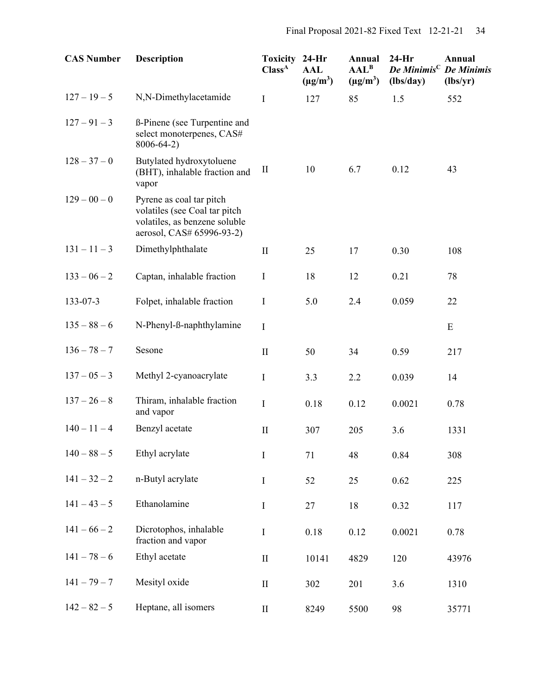| <b>CAS Number</b> | <b>Description</b>                                                                                                      | <b>Toxicity 24-Hr</b><br>Class <sup>A</sup> | <b>AAL</b><br>$(\mu g/m^3)$ | Annual<br>$AAL^B$<br>$(\mu g/m^3)$ | $24-Hr$<br>De Minimis <sup>C</sup><br>(lbs/day) | Annual<br>De Minimis<br>(lbs/yr) |
|-------------------|-------------------------------------------------------------------------------------------------------------------------|---------------------------------------------|-----------------------------|------------------------------------|-------------------------------------------------|----------------------------------|
| $127 - 19 - 5$    | N,N-Dimethylacetamide                                                                                                   | I                                           | 127                         | 85                                 | 1.5                                             | 552                              |
| $127 - 91 - 3$    | ß-Pinene (see Turpentine and<br>select monoterpenes, CAS#<br>$8006 - 64 - 2)$                                           |                                             |                             |                                    |                                                 |                                  |
| $128 - 37 - 0$    | Butylated hydroxytoluene<br>(BHT), inhalable fraction and<br>vapor                                                      | $\rm II$                                    | 10                          | 6.7                                | 0.12                                            | 43                               |
| $129 - 00 - 0$    | Pyrene as coal tar pitch<br>volatiles (see Coal tar pitch<br>volatiles, as benzene soluble<br>aerosol, CAS# 65996-93-2) |                                             |                             |                                    |                                                 |                                  |
| $131 - 11 - 3$    | Dimethylphthalate                                                                                                       | $\mathbf{I}$                                | 25                          | 17                                 | 0.30                                            | 108                              |
| $133 - 06 - 2$    | Captan, inhalable fraction                                                                                              | $\bf{I}$                                    | 18                          | 12                                 | 0.21                                            | 78                               |
| 133-07-3          | Folpet, inhalable fraction                                                                                              | I                                           | 5.0                         | 2.4                                | 0.059                                           | 22                               |
| $135 - 88 - 6$    | N-Phenyl-ß-naphthylamine                                                                                                | $\mathbf I$                                 |                             |                                    |                                                 | E                                |
| $136 - 78 - 7$    | Sesone                                                                                                                  | $\mathbf{I}$                                | 50                          | 34                                 | 0.59                                            | 217                              |
| $137 - 05 - 3$    | Methyl 2-cyanoacrylate                                                                                                  | $\mathbf I$                                 | 3.3                         | 2.2                                | 0.039                                           | 14                               |
| $137 - 26 - 8$    | Thiram, inhalable fraction<br>and vapor                                                                                 | $\mathbf I$                                 | 0.18                        | 0.12                               | 0.0021                                          | 0.78                             |
| $140 - 11 - 4$    | Benzyl acetate                                                                                                          | $\mathbf{I}$                                | 307                         | 205                                | 3.6                                             | 1331                             |
| $140 - 88 - 5$    | Ethyl acrylate                                                                                                          | $\rm I$                                     | 71                          | 48                                 | 0.84                                            | 308                              |
| $141 - 32 - 2$    | n-Butyl acrylate                                                                                                        | $\mathbf I$                                 | 52                          | 25                                 | 0.62                                            | 225                              |
| $141 - 43 - 5$    | Ethanolamine                                                                                                            | $\mathbf I$                                 | 27                          | 18                                 | 0.32                                            | 117                              |
| $141 - 66 - 2$    | Dicrotophos, inhalable<br>fraction and vapor                                                                            | $\rm I$                                     | 0.18                        | 0.12                               | 0.0021                                          | 0.78                             |
| $141 - 78 - 6$    | Ethyl acetate                                                                                                           | $\mathbf{I}$                                | 10141                       | 4829                               | 120                                             | 43976                            |
| $141 - 79 - 7$    | Mesityl oxide                                                                                                           | $\rm II$                                    | 302                         | 201                                | 3.6                                             | 1310                             |
| $142 - 82 - 5$    | Heptane, all isomers                                                                                                    | $\mathbf{I}$                                | 8249                        | 5500                               | 98                                              | 35771                            |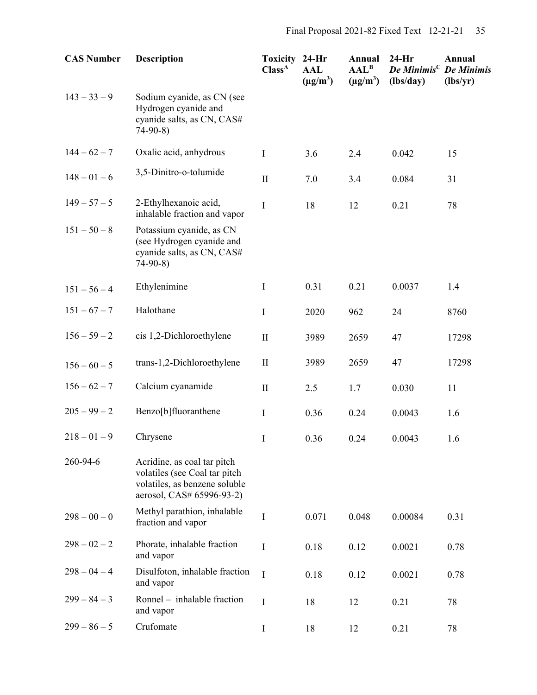| <b>CAS Number</b> | <b>Description</b>                                                                                                         | Toxicity 24-Hr<br>Class <sup>A</sup> | <b>AAL</b><br>$(\mu g/m^3)$ | Annual<br>$AAL^B$<br>$(\mu g/m^3)$ | $24-Hr$<br>$De$ Minimis <sup>C</sup> De Minimis<br>(lbs/day) | Annual<br>(lbs/yr) |
|-------------------|----------------------------------------------------------------------------------------------------------------------------|--------------------------------------|-----------------------------|------------------------------------|--------------------------------------------------------------|--------------------|
| $143 - 33 - 9$    | Sodium cyanide, as CN (see<br>Hydrogen cyanide and<br>cyanide salts, as CN, CAS#<br>$74-90-8$                              |                                      |                             |                                    |                                                              |                    |
| $144 - 62 - 7$    | Oxalic acid, anhydrous                                                                                                     | I                                    | 3.6                         | 2.4                                | 0.042                                                        | 15                 |
| $148 - 01 - 6$    | 3,5-Dinitro-o-tolumide                                                                                                     | $\mathbf{I}$                         | 7.0                         | 3.4                                | 0.084                                                        | 31                 |
| $149 - 57 - 5$    | 2-Ethylhexanoic acid,<br>inhalable fraction and vapor                                                                      | I                                    | 18                          | 12                                 | 0.21                                                         | 78                 |
| $151 - 50 - 8$    | Potassium cyanide, as CN<br>(see Hydrogen cyanide and<br>cyanide salts, as CN, CAS#<br>$74-90-8$                           |                                      |                             |                                    |                                                              |                    |
| $151 - 56 - 4$    | Ethylenimine                                                                                                               | $\bf{I}$                             | 0.31                        | 0.21                               | 0.0037                                                       | 1.4                |
| $151 - 67 - 7$    | Halothane                                                                                                                  | $\bf{I}$                             | 2020                        | 962                                | 24                                                           | 8760               |
| $156 - 59 - 2$    | cis 1,2-Dichloroethylene                                                                                                   | $\mathbf{I}$                         | 3989                        | 2659                               | 47                                                           | 17298              |
| $156 - 60 - 5$    | trans-1,2-Dichloroethylene                                                                                                 | $\mathbf{I}$                         | 3989                        | 2659                               | 47                                                           | 17298              |
| $156 - 62 - 7$    | Calcium cyanamide                                                                                                          | $\mathbf{I}$                         | 2.5                         | 1.7                                | 0.030                                                        | 11                 |
| $205 - 99 - 2$    | Benzo[b]fluoranthene                                                                                                       | $\mathbf I$                          | 0.36                        | 0.24                               | 0.0043                                                       | 1.6                |
| $218 - 01 - 9$    | Chrysene                                                                                                                   | I                                    | 0.36                        | 0.24                               | 0.0043                                                       | 1.6                |
| 260-94-6          | Acridine, as coal tar pitch<br>volatiles (see Coal tar pitch<br>volatiles, as benzene soluble<br>aerosol, CAS# 65996-93-2) |                                      |                             |                                    |                                                              |                    |
| $298 - 00 - 0$    | Methyl parathion, inhalable<br>fraction and vapor                                                                          | $\overline{I}$                       | 0.071                       | 0.048                              | 0.00084                                                      | 0.31               |
| $298 - 02 - 2$    | Phorate, inhalable fraction<br>and vapor                                                                                   | $\mathbf I$                          | 0.18                        | 0.12                               | 0.0021                                                       | 0.78               |
| $298 - 04 - 4$    | Disulfoton, inhalable fraction<br>and vapor                                                                                | $\mathbf I$                          | 0.18                        | 0.12                               | 0.0021                                                       | 0.78               |
| $299 - 84 - 3$    | Ronnel - inhalable fraction<br>and vapor                                                                                   | $\mathbf I$                          | 18                          | 12                                 | 0.21                                                         | 78                 |
| $299 - 86 - 5$    | Crufomate                                                                                                                  | I                                    | 18                          | 12                                 | 0.21                                                         | 78                 |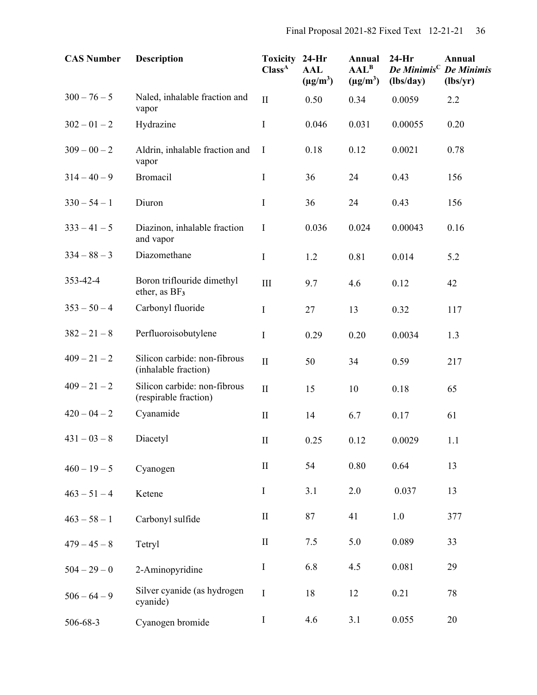| <b>CAS Number</b> | <b>Description</b>                                    | Toxicity 24-Hr<br>Class <sup>A</sup> | <b>AAL</b><br>$(\mu g/m^3)$ | <b>Annual</b><br>$AAL^B$<br>$(\mu g/m^3)$ | $24-Hr$<br>$De$ Minimis <sup>C</sup> De Minimis<br>(lbs/day) | Annual<br>(lbs/yr) |
|-------------------|-------------------------------------------------------|--------------------------------------|-----------------------------|-------------------------------------------|--------------------------------------------------------------|--------------------|
| $300 - 76 - 5$    | Naled, inhalable fraction and<br>vapor                | $\mathbf{I}$                         | 0.50                        | 0.34                                      | 0.0059                                                       | 2.2                |
| $302 - 01 - 2$    | Hydrazine                                             | $\bf I$                              | 0.046                       | 0.031                                     | 0.00055                                                      | 0.20               |
| $309 - 00 - 2$    | Aldrin, inhalable fraction and<br>vapor               | $\mathbf I$                          | 0.18                        | 0.12                                      | 0.0021                                                       | 0.78               |
| $314 - 40 - 9$    | Bromacil                                              | $\mathbf I$                          | 36                          | 24                                        | 0.43                                                         | 156                |
| $330 - 54 - 1$    | Diuron                                                | $\rm I$                              | 36                          | 24                                        | 0.43                                                         | 156                |
| $333 - 41 - 5$    | Diazinon, inhalable fraction<br>and vapor             | I                                    | 0.036                       | 0.024                                     | 0.00043                                                      | 0.16               |
| $334 - 88 - 3$    | Diazomethane                                          | $\mathbf I$                          | 1.2                         | 0.81                                      | 0.014                                                        | 5.2                |
| 353-42-4          | Boron triflouride dimethyl<br>ether, as $BF_3$        | III                                  | 9.7                         | 4.6                                       | 0.12                                                         | 42                 |
| $353 - 50 - 4$    | Carbonyl fluoride                                     | I                                    | 27                          | 13                                        | 0.32                                                         | 117                |
| $382 - 21 - 8$    | Perfluoroisobutylene                                  | I                                    | 0.29                        | 0.20                                      | 0.0034                                                       | 1.3                |
| $409 - 21 - 2$    | Silicon carbide: non-fibrous<br>(inhalable fraction)  | $\mathbf{I}$                         | 50                          | 34                                        | 0.59                                                         | 217                |
| $409 - 21 - 2$    | Silicon carbide: non-fibrous<br>(respirable fraction) | $\mathbf{I}$                         | 15                          | 10                                        | 0.18                                                         | 65                 |
| $420 - 04 - 2$    | Cyanamide                                             | $\mathbf{I}$                         | 14                          | 6.7                                       | 0.17                                                         | 61                 |
| $431 - 03 - 8$    | Diacetyl                                              | $\rm II$                             | 0.25                        | 0.12                                      | 0.0029                                                       | 1.1                |
| $460 - 19 - 5$    | Cyanogen                                              | $\mathbf{I}$                         | 54                          | 0.80                                      | 0.64                                                         | 13                 |
| $463 - 51 - 4$    | Ketene                                                | $\bf{I}$                             | 3.1                         | 2.0                                       | 0.037                                                        | 13                 |
| $463 - 58 - 1$    | Carbonyl sulfide                                      | $\mathbf{I}$                         | 87                          | 41                                        | $1.0\,$                                                      | 377                |
| $479 - 45 - 8$    | Tetryl                                                | $\rm II$                             | 7.5                         | 5.0                                       | 0.089                                                        | 33                 |
| $504 - 29 - 0$    | 2-Aminopyridine                                       | $\mathbf I$                          | 6.8                         | 4.5                                       | 0.081                                                        | 29                 |
| $506 - 64 - 9$    | Silver cyanide (as hydrogen<br>cyanide)               | $\bf I$                              | 18                          | 12                                        | 0.21                                                         | 78                 |
| 506-68-3          | Cyanogen bromide                                      | $\mathbf I$                          | 4.6                         | 3.1                                       | 0.055                                                        | 20                 |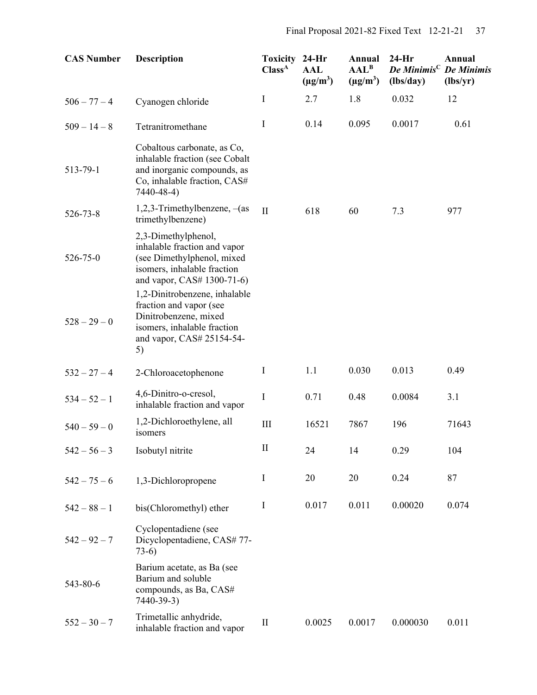| <b>CAS Number</b> | <b>Description</b>                                                                                                                                  | Toxicity 24-Hr<br>Class <sup>A</sup> | <b>AAL</b><br>$(\mu g/m^3)$ | Annual<br>$AAL^B$<br>$(\mu g/m^3)$ | $24-Hr$<br>$De$ Minimis <sup>C</sup> De Minimis<br>(lbs/day) | Annual<br>(lbs/yr) |
|-------------------|-----------------------------------------------------------------------------------------------------------------------------------------------------|--------------------------------------|-----------------------------|------------------------------------|--------------------------------------------------------------|--------------------|
| $506 - 77 - 4$    | Cyanogen chloride                                                                                                                                   | Ι                                    | 2.7                         | 1.8                                | 0.032                                                        | 12                 |
| $509 - 14 - 8$    | Tetranitromethane                                                                                                                                   | Ι                                    | 0.14                        | 0.095                              | 0.0017                                                       | 0.61               |
| 513-79-1          | Cobaltous carbonate, as Co,<br>inhalable fraction (see Cobalt<br>and inorganic compounds, as<br>Co, inhalable fraction, CAS#<br>7440-48-4)          |                                      |                             |                                    |                                                              |                    |
| 526-73-8          | 1,2,3-Trimethylbenzene, -(as<br>trimethylbenzene)                                                                                                   | $\mathbf{I}$                         | 618                         | 60                                 | 7.3                                                          | 977                |
| $526 - 75 - 0$    | 2,3-Dimethylphenol,<br>inhalable fraction and vapor<br>(see Dimethylphenol, mixed<br>isomers, inhalable fraction<br>and vapor, CAS# 1300-71-6)      |                                      |                             |                                    |                                                              |                    |
| $528 - 29 - 0$    | 1,2-Dinitrobenzene, inhalable<br>fraction and vapor (see<br>Dinitrobenzene, mixed<br>isomers, inhalable fraction<br>and vapor, CAS# 25154-54-<br>5) |                                      |                             |                                    |                                                              |                    |
| $532 - 27 - 4$    | 2-Chloroacetophenone                                                                                                                                | I                                    | 1.1                         | 0.030                              | 0.013                                                        | 0.49               |
| $534 - 52 - 1$    | 4,6-Dinitro-o-cresol,<br>inhalable fraction and vapor                                                                                               | I                                    | 0.71                        | 0.48                               | 0.0084                                                       | 3.1                |
| $540 - 59 - 0$    | 1,2-Dichloroethylene, all<br>isomers                                                                                                                | III                                  | 16521                       | 7867                               | 196                                                          | 71643              |
| $542 - 56 - 3$    | Isobutyl nitrite                                                                                                                                    | $\rm _{II}$                          | 24                          | 14                                 | 0.29                                                         | 104                |
| $542 - 75 - 6$    | 1,3-Dichloropropene                                                                                                                                 | I                                    | 20                          | 20                                 | 0.24                                                         | 87                 |
| $542 - 88 - 1$    | bis(Chloromethyl) ether                                                                                                                             | $\mathbf I$                          | 0.017                       | 0.011                              | 0.00020                                                      | 0.074              |
| $542 - 92 - 7$    | Cyclopentadiene (see<br>Dicyclopentadiene, CAS# 77-<br>$73-6)$                                                                                      |                                      |                             |                                    |                                                              |                    |
| 543-80-6          | Barium acetate, as Ba (see<br>Barium and soluble<br>compounds, as Ba, CAS#<br>7440-39-3)                                                            |                                      |                             |                                    |                                                              |                    |
| $552 - 30 - 7$    | Trimetallic anhydride,<br>inhalable fraction and vapor                                                                                              | $\mathbf{I}$                         | 0.0025                      | 0.0017                             | 0.000030                                                     | 0.011              |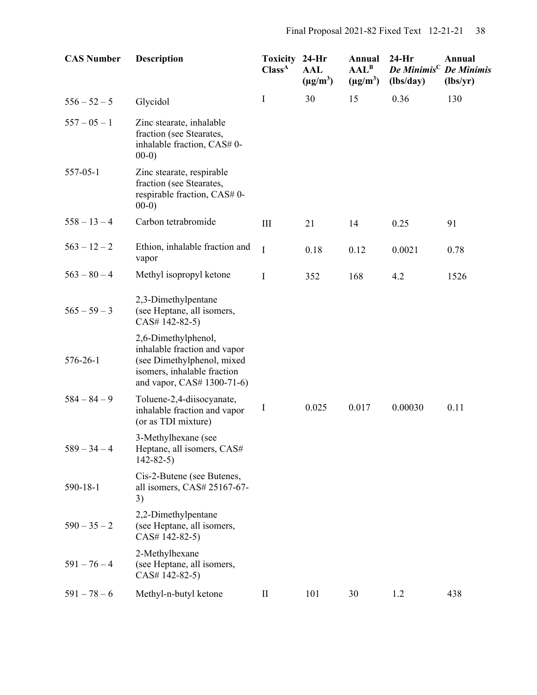| <b>CAS Number</b> | <b>Description</b>                                                                                                                             | Toxicity 24-Hr<br>Class <sup>A</sup> | <b>AAL</b><br>$(\mu g/m^3)$ | Annual<br>$AAL^B$<br>$(\mu g/m^3)$ | $24-Hr$<br>$De$ Minimis <sup>C</sup> De Minimis<br>(lbs/day) | Annual<br>(lbs/yr) |
|-------------------|------------------------------------------------------------------------------------------------------------------------------------------------|--------------------------------------|-----------------------------|------------------------------------|--------------------------------------------------------------|--------------------|
| $556 - 52 - 5$    | Glycidol                                                                                                                                       | I                                    | 30                          | 15                                 | 0.36                                                         | 130                |
| $557 - 05 - 1$    | Zinc stearate, inhalable<br>fraction (see Stearates,<br>inhalable fraction, CAS# 0-<br>$(00-0)$                                                |                                      |                             |                                    |                                                              |                    |
| 557-05-1          | Zinc stearate, respirable<br>fraction (see Stearates,<br>respirable fraction, CAS# 0-<br>$(00-0)$                                              |                                      |                             |                                    |                                                              |                    |
| $558 - 13 - 4$    | Carbon tetrabromide                                                                                                                            | III                                  | 21                          | 14                                 | 0.25                                                         | 91                 |
| $563 - 12 - 2$    | Ethion, inhalable fraction and<br>vapor                                                                                                        | I                                    | 0.18                        | 0.12                               | 0.0021                                                       | 0.78               |
| $563 - 80 - 4$    | Methyl isopropyl ketone                                                                                                                        | $\mathbf I$                          | 352                         | 168                                | 4.2                                                          | 1526               |
| $565 - 59 - 3$    | 2,3-Dimethylpentane<br>(see Heptane, all isomers,<br>$CAS# 142-82-5$                                                                           |                                      |                             |                                    |                                                              |                    |
| 576-26-1          | 2,6-Dimethylphenol,<br>inhalable fraction and vapor<br>(see Dimethylphenol, mixed<br>isomers, inhalable fraction<br>and vapor, CAS# 1300-71-6) |                                      |                             |                                    |                                                              |                    |
| $584 - 84 - 9$    | Toluene-2,4-diisocyanate,<br>inhalable fraction and vapor<br>(or as TDI mixture)                                                               | $\bf{I}$                             | 0.025                       | 0.017                              | 0.00030                                                      | 0.11               |
| $589 - 34 - 4$    | 3-Methylhexane (see<br>Heptane, all isomers, CAS#<br>$142 - 82 - 5$                                                                            |                                      |                             |                                    |                                                              |                    |
| $590 - 18 - 1$    | Cis-2-Butene (see Butenes,<br>all isomers, CAS# 25167-67-<br>3)                                                                                |                                      |                             |                                    |                                                              |                    |
| $590 - 35 - 2$    | 2,2-Dimethylpentane<br>(see Heptane, all isomers,<br>$CAS# 142-82-5)$                                                                          |                                      |                             |                                    |                                                              |                    |
| $591 - 76 - 4$    | 2-Methylhexane<br>(see Heptane, all isomers,<br>CAS# 142-82-5)                                                                                 |                                      |                             |                                    |                                                              |                    |
| $591 - 78 - 6$    | Methyl-n-butyl ketone                                                                                                                          | $\rm _{II}$                          | 101                         | 30                                 | 1.2                                                          | 438                |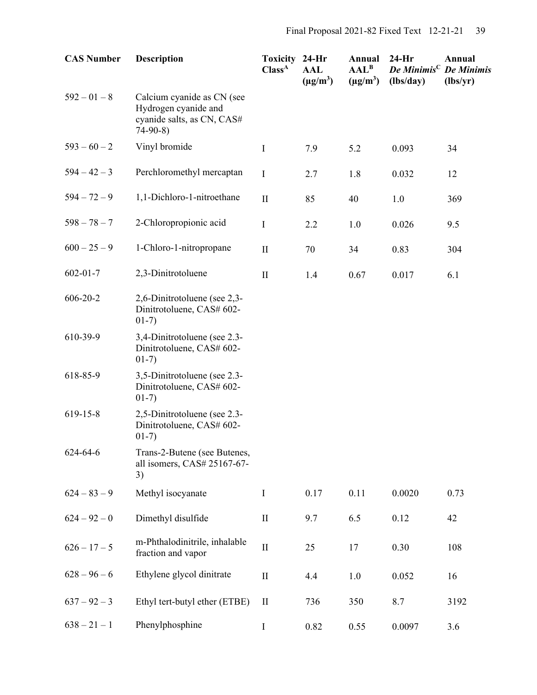| <b>CAS Number</b> | <b>Description</b>                                                                            | Toxicity 24-Hr<br>Class <sup>A</sup> | <b>AAL</b><br>$(\mu g/m^3)$ | Annual<br>$AAL^B$<br>$(\mu g/m^3)$ | $24-Hr$<br>De Minimis $C$ De Minimis<br>(lbs/day) | Annual<br>(lbs/yr) |
|-------------------|-----------------------------------------------------------------------------------------------|--------------------------------------|-----------------------------|------------------------------------|---------------------------------------------------|--------------------|
| $592 - 01 - 8$    | Calcium cyanide as CN (see<br>Hydrogen cyanide and<br>cyanide salts, as CN, CAS#<br>$74-90-8$ |                                      |                             |                                    |                                                   |                    |
| $593 - 60 - 2$    | Vinyl bromide                                                                                 | $\bf{I}$                             | 7.9                         | 5.2                                | 0.093                                             | 34                 |
| $594 - 42 - 3$    | Perchloromethyl mercaptan                                                                     | I                                    | 2.7                         | 1.8                                | 0.032                                             | 12                 |
| $594 - 72 - 9$    | 1,1-Dichloro-1-nitroethane                                                                    | $\mathbf{I}$                         | 85                          | 40                                 | 1.0                                               | 369                |
| $598 - 78 - 7$    | 2-Chloropropionic acid                                                                        | $\mathbf I$                          | 2.2                         | 1.0                                | 0.026                                             | 9.5                |
| $600 - 25 - 9$    | 1-Chloro-1-nitropropane                                                                       | $\mathbf{I}$                         | 70                          | 34                                 | 0.83                                              | 304                |
| $602 - 01 - 7$    | 2,3-Dinitrotoluene                                                                            | $\mathbf{I}$                         | 1.4                         | 0.67                               | 0.017                                             | 6.1                |
| $606 - 20 - 2$    | 2,6-Dinitrotoluene (see 2,3-<br>Dinitrotoluene, CAS# 602-<br>$01-7)$                          |                                      |                             |                                    |                                                   |                    |
| 610-39-9          | 3,4-Dinitrotoluene (see 2.3-<br>Dinitrotoluene, CAS# 602-<br>$01-7)$                          |                                      |                             |                                    |                                                   |                    |
| 618-85-9          | 3,5-Dinitrotoluene (see 2.3-<br>Dinitrotoluene, CAS# 602-<br>$01-7)$                          |                                      |                             |                                    |                                                   |                    |
| 619-15-8          | 2,5-Dinitrotoluene (see 2.3-<br>Dinitrotoluene, CAS# 602-<br>$01-7)$                          |                                      |                             |                                    |                                                   |                    |
| 624-64-6          | Trans-2-Butene (see Butenes,<br>all isomers, CAS# 25167-67-<br>3)                             |                                      |                             |                                    |                                                   |                    |
| $624 - 83 - 9$    | Methyl isocyanate                                                                             | $\mathbf I$                          | 0.17                        | 0.11                               | 0.0020                                            | 0.73               |
| $624 - 92 - 0$    | Dimethyl disulfide                                                                            | $\mathbf{I}$                         | 9.7                         | 6.5                                | 0.12                                              | 42                 |
| $626 - 17 - 5$    | m-Phthalodinitrile, inhalable<br>fraction and vapor                                           | $\rm II$                             | 25                          | 17                                 | 0.30                                              | 108                |
| $628 - 96 - 6$    | Ethylene glycol dinitrate                                                                     | $\mathbf{I}$                         | 4.4                         | 1.0                                | 0.052                                             | 16                 |
| $637 - 92 - 3$    | Ethyl tert-butyl ether (ETBE)                                                                 | $\mathbf{I}$                         | 736                         | 350                                | 8.7                                               | 3192               |
| $638 - 21 - 1$    | Phenylphosphine                                                                               | $\mathbf I$                          | 0.82                        | 0.55                               | 0.0097                                            | 3.6                |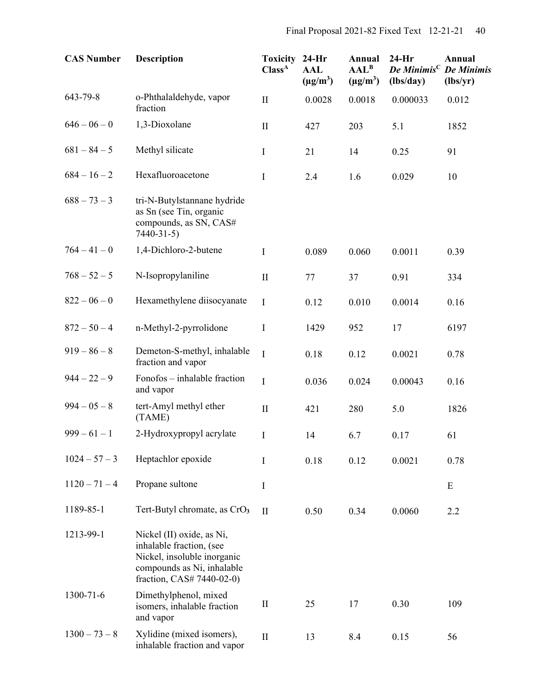| <b>CAS Number</b> | <b>Description</b>                                                                                                                              | <b>Toxicity</b><br>Class <sup>A</sup> | $24-Hr$<br><b>AAL</b><br>$(\mu g/m^3)$ | Annual<br>$AAL^B$<br>$(\mu g/m^3)$ | $24-Hr$<br>De Minimis <sup>C</sup><br>(lbs/day) | Annual<br>De Minimis<br>(lbs/yr) |
|-------------------|-------------------------------------------------------------------------------------------------------------------------------------------------|---------------------------------------|----------------------------------------|------------------------------------|-------------------------------------------------|----------------------------------|
| 643-79-8          | o-Phthalaldehyde, vapor<br>fraction                                                                                                             | $\mathbf{I}$                          | 0.0028                                 | 0.0018                             | 0.000033                                        | 0.012                            |
| $646 - 06 - 0$    | 1,3-Dioxolane                                                                                                                                   | $\mathbf{I}$                          | 427                                    | 203                                | 5.1                                             | 1852                             |
| $681 - 84 - 5$    | Methyl silicate                                                                                                                                 | $\mathbf I$                           | 21                                     | 14                                 | 0.25                                            | 91                               |
| $684 - 16 - 2$    | Hexafluoroacetone                                                                                                                               | $\mathbf I$                           | 2.4                                    | 1.6                                | 0.029                                           | 10                               |
| $688 - 73 - 3$    | tri-N-Butylstannane hydride<br>as Sn (see Tin, organic<br>compounds, as SN, CAS#<br>$7440 - 31 - 5$                                             |                                       |                                        |                                    |                                                 |                                  |
| $764 - 41 - 0$    | 1,4-Dichloro-2-butene                                                                                                                           | $\mathbf I$                           | 0.089                                  | 0.060                              | 0.0011                                          | 0.39                             |
| $768 - 52 - 5$    | N-Isopropylaniline                                                                                                                              | $\mathbf{I}$                          | 77                                     | 37                                 | 0.91                                            | 334                              |
| $822 - 06 - 0$    | Hexamethylene diisocyanate                                                                                                                      | $\bf I$                               | 0.12                                   | 0.010                              | 0.0014                                          | 0.16                             |
| $872 - 50 - 4$    | n-Methyl-2-pyrrolidone                                                                                                                          | I                                     | 1429                                   | 952                                | 17                                              | 6197                             |
| $919 - 86 - 8$    | Demeton-S-methyl, inhalable<br>fraction and vapor                                                                                               | $\rm I$                               | 0.18                                   | 0.12                               | 0.0021                                          | 0.78                             |
| $944 - 22 - 9$    | Fonofos - inhalable fraction<br>and vapor                                                                                                       | $\mathbf I$                           | 0.036                                  | 0.024                              | 0.00043                                         | 0.16                             |
| $994 - 05 - 8$    | tert-Amyl methyl ether<br>(TAME)                                                                                                                | $\mathbf{I}$                          | 421                                    | 280                                | 5.0                                             | 1826                             |
| $999 - 61 - 1$    | 2-Hydroxypropyl acrylate                                                                                                                        | $\mathbf I$                           | 14                                     | 6.7                                | 0.17                                            | 61                               |
| $1024 - 57 - 3$   | Heptachlor epoxide                                                                                                                              | $\mathbf I$                           | 0.18                                   | 0.12                               | 0.0021                                          | 0.78                             |
| $1120 - 71 - 4$   | Propane sultone                                                                                                                                 | $\mathbf I$                           |                                        |                                    |                                                 | E                                |
| 1189-85-1         | Tert-Butyl chromate, as CrO <sub>3</sub>                                                                                                        | $\mathbf{I}$                          | 0.50                                   | 0.34                               | 0.0060                                          | 2.2                              |
| 1213-99-1         | Nickel (II) oxide, as Ni,<br>inhalable fraction, (see<br>Nickel, insoluble inorganic<br>compounds as Ni, inhalable<br>fraction, CAS# 7440-02-0) |                                       |                                        |                                    |                                                 |                                  |
| 1300-71-6         | Dimethylphenol, mixed<br>isomers, inhalable fraction<br>and vapor                                                                               | $\rm II$                              | 25                                     | 17                                 | 0.30                                            | 109                              |
| $1300 - 73 - 8$   | Xylidine (mixed isomers),<br>inhalable fraction and vapor                                                                                       | $\mathbf{I}$                          | 13                                     | 8.4                                | 0.15                                            | 56                               |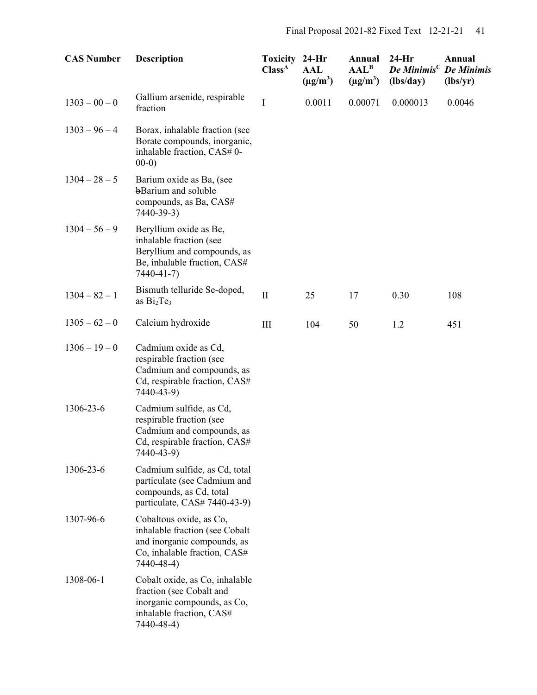| <b>CAS Number</b> | <b>Description</b>                                                                                                                       | Toxicity 24-Hr<br>Class <sup>A</sup> | <b>AAL</b><br>$(\mu g/m^3)$ | Annual<br>$AAL^B$<br>$(\mu g/m^3)$ | $24-Hr$<br>De Minimis <sup>C</sup> De Minimis<br>(lbs/day) | Annual<br>(lbs/yr) |
|-------------------|------------------------------------------------------------------------------------------------------------------------------------------|--------------------------------------|-----------------------------|------------------------------------|------------------------------------------------------------|--------------------|
| $1303 - 00 - 0$   | Gallium arsenide, respirable<br>fraction                                                                                                 | $\rm I$                              | 0.0011                      | 0.00071                            | 0.000013                                                   | 0.0046             |
| $1303 - 96 - 4$   | Borax, inhalable fraction (see<br>Borate compounds, inorganic,<br>inhalable fraction, CAS# 0-<br>$(00-0)$                                |                                      |                             |                                    |                                                            |                    |
| $1304 - 28 - 5$   | Barium oxide as Ba, (see<br><b>b</b> Barium and soluble<br>compounds, as Ba, CAS#<br>7440-39-3)                                          |                                      |                             |                                    |                                                            |                    |
| $1304 - 56 - 9$   | Beryllium oxide as Be,<br>inhalable fraction (see<br>Beryllium and compounds, as<br>Be, inhalable fraction, CAS#<br>$7440 - 41 - 7$ )    |                                      |                             |                                    |                                                            |                    |
| $1304 - 82 - 1$   | Bismuth telluride Se-doped,<br>as $Bi2Te3$                                                                                               | $\mathbf{I}$                         | 25                          | 17                                 | 0.30                                                       | 108                |
| $1305 - 62 - 0$   | Calcium hydroxide                                                                                                                        | III                                  | 104                         | 50                                 | 1.2                                                        | 451                |
| $1306 - 19 - 0$   | Cadmium oxide as Cd,<br>respirable fraction (see<br>Cadmium and compounds, as<br>Cd, respirable fraction, CAS#<br>7440-43-9)             |                                      |                             |                                    |                                                            |                    |
| 1306-23-6         | Cadmium sulfide, as Cd,<br>respirable fraction (see<br>Cadmium and compounds, as<br>Cd, respirable fraction, CAS#<br>7440-43-9)          |                                      |                             |                                    |                                                            |                    |
| 1306-23-6         | Cadmium sulfide, as Cd, total<br>particulate (see Cadmium and<br>compounds, as Cd, total<br>particulate, CAS# 7440-43-9)                 |                                      |                             |                                    |                                                            |                    |
| 1307-96-6         | Cobaltous oxide, as Co,<br>inhalable fraction (see Cobalt<br>and inorganic compounds, as<br>Co, inhalable fraction, CAS#<br>7440-48-4)   |                                      |                             |                                    |                                                            |                    |
| 1308-06-1         | Cobalt oxide, as Co, inhalable<br>fraction (see Cobalt and<br>inorganic compounds, as Co,<br>inhalable fraction, CAS#<br>$7440 - 48 - 4$ |                                      |                             |                                    |                                                            |                    |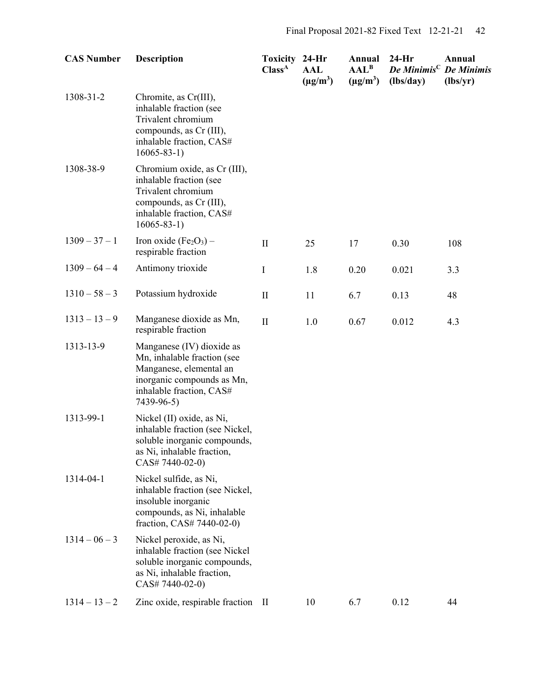| <b>CAS Number</b> | <b>Description</b>                                                                                                                                          | Toxicity 24-Hr<br>Class <sup>A</sup> | AAL<br>$(\mu g/m^3)$ | Annual<br>$AAL^B$<br>$(\mu g/m^3)$ | $24-Hr$<br>$De$ Minimis <sup>C</sup> De Minimis<br>(lbs/day) | Annual<br>(lbs/yr) |
|-------------------|-------------------------------------------------------------------------------------------------------------------------------------------------------------|--------------------------------------|----------------------|------------------------------------|--------------------------------------------------------------|--------------------|
| 1308-31-2         | Chromite, as Cr(III),<br>inhalable fraction (see<br>Trivalent chromium<br>compounds, as Cr (III),<br>inhalable fraction, CAS#<br>$16065 - 83 - 1)$          |                                      |                      |                                    |                                                              |                    |
| 1308-38-9         | Chromium oxide, as Cr (III),<br>inhalable fraction (see<br>Trivalent chromium<br>compounds, as Cr (III),<br>inhalable fraction, CAS#<br>$16065 - 83 - 1)$   |                                      |                      |                                    |                                                              |                    |
| $1309 - 37 - 1$   | Iron oxide $(Fe2O3)$ –<br>respirable fraction                                                                                                               | $\mathbf{I}$                         | 25                   | 17                                 | 0.30                                                         | 108                |
| $1309 - 64 - 4$   | Antimony trioxide                                                                                                                                           | $\bf{I}$                             | 1.8                  | 0.20                               | 0.021                                                        | 3.3                |
| $1310 - 58 - 3$   | Potassium hydroxide                                                                                                                                         | $\mathbf{I}$                         | 11                   | 6.7                                | 0.13                                                         | 48                 |
| $1313 - 13 - 9$   | Manganese dioxide as Mn,<br>respirable fraction                                                                                                             | $\mathbf{I}$                         | 1.0                  | 0.67                               | 0.012                                                        | 4.3                |
| 1313-13-9         | Manganese (IV) dioxide as<br>Mn, inhalable fraction (see<br>Manganese, elemental an<br>inorganic compounds as Mn,<br>inhalable fraction, CAS#<br>7439-96-5) |                                      |                      |                                    |                                                              |                    |
| 1313-99-1         | Nickel (II) oxide, as Ni,<br>inhalable fraction (see Nickel,<br>soluble inorganic compounds,<br>as Ni, inhalable fraction,<br>CAS#7440-02-0)                |                                      |                      |                                    |                                                              |                    |
| 1314-04-1         | Nickel sulfide, as Ni,<br>inhalable fraction (see Nickel,<br>insoluble inorganic<br>compounds, as Ni, inhalable<br>fraction, CAS# 7440-02-0)                |                                      |                      |                                    |                                                              |                    |
| $1314 - 06 - 3$   | Nickel peroxide, as Ni,<br>inhalable fraction (see Nickel<br>soluble inorganic compounds,<br>as Ni, inhalable fraction,<br>$CAS# 7440-02-0$                 |                                      |                      |                                    |                                                              |                    |
| $1314 - 13 - 2$   | Zinc oxide, respirable fraction                                                                                                                             | $\mathbf{I}$                         | 10                   | 6.7                                | 0.12                                                         | 44                 |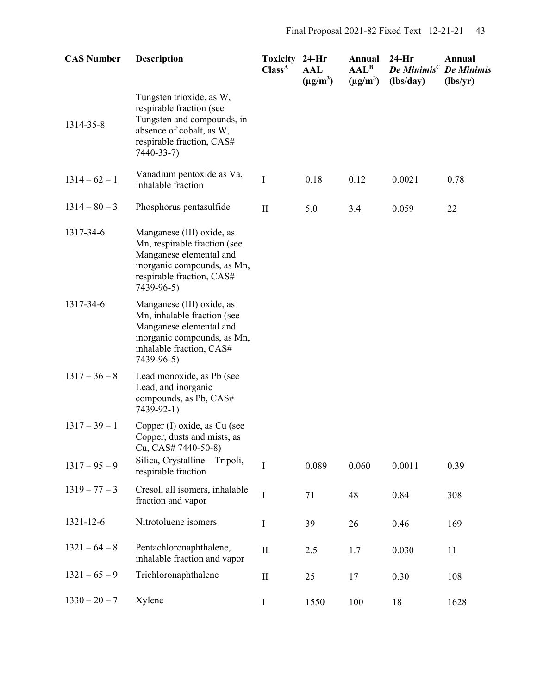| <b>CAS Number</b> | <b>Description</b>                                                                                                                                             | Toxicity 24-Hr<br>Class <sup>A</sup> | <b>AAL</b><br>$(\mu g/m^3)$ | Annual<br>$AAL^B$<br>$(\mu g/m^3)$ | $24-Hr$<br>$De$ Minimis <sup>C</sup> De Minimis<br>(lbs/day) | Annual<br>(lbs/yr) |
|-------------------|----------------------------------------------------------------------------------------------------------------------------------------------------------------|--------------------------------------|-----------------------------|------------------------------------|--------------------------------------------------------------|--------------------|
| 1314-35-8         | Tungsten trioxide, as W,<br>respirable fraction (see<br>Tungsten and compounds, in<br>absence of cobalt, as W,<br>respirable fraction, CAS#<br>7440-33-7)      |                                      |                             |                                    |                                                              |                    |
| $1314 - 62 - 1$   | Vanadium pentoxide as Va,<br>inhalable fraction                                                                                                                | I                                    | 0.18                        | 0.12                               | 0.0021                                                       | 0.78               |
| $1314 - 80 - 3$   | Phosphorus pentasulfide                                                                                                                                        | $\mathbf{I}$                         | 5.0                         | 3.4                                | 0.059                                                        | 22                 |
| 1317-34-6         | Manganese (III) oxide, as<br>Mn, respirable fraction (see<br>Manganese elemental and<br>inorganic compounds, as Mn,<br>respirable fraction, CAS#<br>7439-96-5) |                                      |                             |                                    |                                                              |                    |
| 1317-34-6         | Manganese (III) oxide, as<br>Mn, inhalable fraction (see<br>Manganese elemental and<br>inorganic compounds, as Mn,<br>inhalable fraction, CAS#<br>7439-96-5)   |                                      |                             |                                    |                                                              |                    |
| $1317 - 36 - 8$   | Lead monoxide, as Pb (see<br>Lead, and inorganic<br>compounds, as Pb, CAS#<br>7439-92-1)                                                                       |                                      |                             |                                    |                                                              |                    |
| $1317 - 39 - 1$   | Copper (I) oxide, as Cu (see<br>Copper, dusts and mists, as<br>Cu, CAS# 7440-50-8)                                                                             |                                      |                             |                                    |                                                              |                    |
| $1317 - 95 - 9$   | Silica, Crystalline - Tripoli,<br>respirable fraction                                                                                                          | $\mathbf I$                          | 0.089                       | 0.060                              | 0.0011                                                       | 0.39               |
| $1319 - 77 - 3$   | Cresol, all isomers, inhalable<br>fraction and vapor                                                                                                           | $\bar{\rm I}$                        | 71                          | 48                                 | 0.84                                                         | 308                |
| 1321-12-6         | Nitrotoluene isomers                                                                                                                                           | $\mathbf I$                          | 39                          | 26                                 | 0.46                                                         | 169                |
| $1321 - 64 - 8$   | Pentachloronaphthalene,<br>inhalable fraction and vapor                                                                                                        | $\rm II$                             | 2.5                         | 1.7                                | 0.030                                                        | 11                 |
| $1321 - 65 - 9$   | Trichloronaphthalene                                                                                                                                           | $\mathbf{I}$                         | 25                          | 17                                 | 0.30                                                         | 108                |
| $1330 - 20 - 7$   | Xylene                                                                                                                                                         | $\bf{I}$                             | 1550                        | 100                                | 18                                                           | 1628               |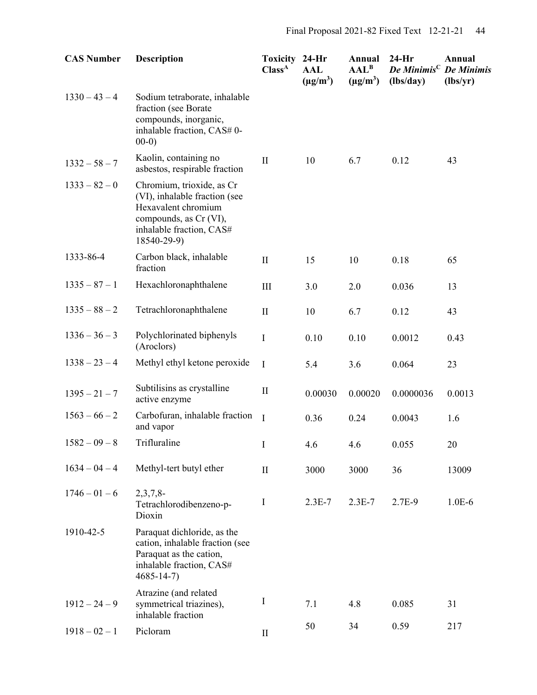| <b>CAS Number</b> | <b>Description</b>                                                                                                                                     | Toxicity 24-Hr<br>Class <sup>A</sup> | <b>AAL</b><br>$(\mu g/m^3)$ | Annual<br>$AAL^B$<br>$(\mu g/m^3)$ | $24-Hr$<br>De Minimis <sup>C</sup> De Minimis<br>(lbs/day) | Annual<br>(lbs/yr) |
|-------------------|--------------------------------------------------------------------------------------------------------------------------------------------------------|--------------------------------------|-----------------------------|------------------------------------|------------------------------------------------------------|--------------------|
| $1330 - 43 - 4$   | Sodium tetraborate, inhalable<br>fraction (see Borate<br>compounds, inorganic,<br>inhalable fraction, CAS# 0-<br>$(00-0)$                              |                                      |                             |                                    |                                                            |                    |
| $1332 - 58 - 7$   | Kaolin, containing no<br>asbestos, respirable fraction                                                                                                 | $\mathbf{I}$                         | 10                          | 6.7                                | 0.12                                                       | 43                 |
| $1333 - 82 - 0$   | Chromium, trioxide, as Cr<br>(VI), inhalable fraction (see<br>Hexavalent chromium<br>compounds, as Cr (VI),<br>inhalable fraction, CAS#<br>18540-29-9) |                                      |                             |                                    |                                                            |                    |
| 1333-86-4         | Carbon black, inhalable<br>fraction                                                                                                                    | $\mathbf{I}$                         | 15                          | 10                                 | 0.18                                                       | 65                 |
| $1335 - 87 - 1$   | Hexachloronaphthalene                                                                                                                                  | $\rm III$                            | 3.0                         | 2.0                                | 0.036                                                      | 13                 |
| $1335 - 88 - 2$   | Tetrachloronaphthalene                                                                                                                                 | $\mathbf{I}$                         | 10                          | 6.7                                | 0.12                                                       | 43                 |
| $1336 - 36 - 3$   | Polychlorinated biphenyls<br>(Aroclors)                                                                                                                | $\mathbf I$                          | 0.10                        | 0.10                               | 0.0012                                                     | 0.43               |
| $1338 - 23 - 4$   | Methyl ethyl ketone peroxide                                                                                                                           | $\mathbf I$                          | 5.4                         | 3.6                                | 0.064                                                      | 23                 |
| $1395 - 21 - 7$   | Subtilisins as crystalline<br>active enzyme                                                                                                            | $\mathbf{I}$                         | 0.00030                     | 0.00020                            | 0.0000036                                                  | 0.0013             |
| $1563 - 66 - 2$   | Carbofuran, inhalable fraction<br>and vapor                                                                                                            | $\mathbf{I}$                         | 0.36                        | 0.24                               | 0.0043                                                     | 1.6                |
| $1582 - 09 - 8$   | Trifluraline                                                                                                                                           | $\bf{I}$                             | 4.6                         | 4.6                                | 0.055                                                      | 20                 |
| $1634 - 04 - 4$   | Methyl-tert butyl ether                                                                                                                                | $\mathbf{I}$                         | 3000                        | 3000                               | 36                                                         | 13009              |
| $1746 - 01 - 6$   | $2,3,7,8-$<br>Tetrachlorodibenzeno-p-<br>Dioxin                                                                                                        | I                                    | $2.3E-7$                    | $2.3E-7$                           | 2.7E-9                                                     | $1.0E-6$           |
| 1910-42-5         | Paraquat dichloride, as the<br>cation, inhalable fraction (see<br>Paraquat as the cation,<br>inhalable fraction, CAS#<br>$4685 - 14 - 7$ )             |                                      |                             |                                    |                                                            |                    |
| $1912 - 24 - 9$   | Atrazine (and related<br>symmetrical triazines),<br>inhalable fraction                                                                                 | I                                    | 7.1                         | 4.8                                | 0.085                                                      | 31                 |
| $1918 - 02 - 1$   | Picloram                                                                                                                                               | $\mathbf{I}$                         | 50                          | 34                                 | 0.59                                                       | 217                |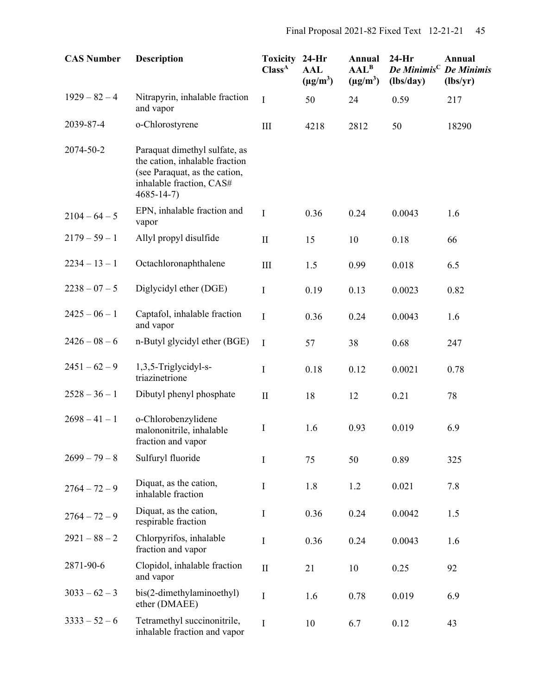| <b>CAS Number</b> | <b>Description</b>                                                                                                                                | <b>Toxicity</b><br>Class <sup>A</sup> | $24-Hr$<br><b>AAL</b><br>$(\mu g/m^3)$ | Annual<br>$AAL^B$<br>$(\mu g/m^3)$ | $24-Hr$<br>$De$ Minimis $C$<br>(lbs/day) | Annual<br><b>De Minimis</b><br>(lbs/yr) |
|-------------------|---------------------------------------------------------------------------------------------------------------------------------------------------|---------------------------------------|----------------------------------------|------------------------------------|------------------------------------------|-----------------------------------------|
| $1929 - 82 - 4$   | Nitrapyrin, inhalable fraction<br>and vapor                                                                                                       | $\mathbf I$                           | 50                                     | 24                                 | 0.59                                     | 217                                     |
| 2039-87-4         | o-Chlorostyrene                                                                                                                                   | III                                   | 4218                                   | 2812                               | 50                                       | 18290                                   |
| 2074-50-2         | Paraquat dimethyl sulfate, as<br>the cation, inhalable fraction<br>(see Paraquat, as the cation,<br>inhalable fraction, CAS#<br>$4685 - 14 - 7$ ) |                                       |                                        |                                    |                                          |                                         |
| $2104 - 64 - 5$   | EPN, inhalable fraction and<br>vapor                                                                                                              | $\mathbf I$                           | 0.36                                   | 0.24                               | 0.0043                                   | 1.6                                     |
| $2179 - 59 - 1$   | Allyl propyl disulfide                                                                                                                            | $\mathbf{I}$                          | 15                                     | 10                                 | 0.18                                     | 66                                      |
| $2234 - 13 - 1$   | Octachloronaphthalene                                                                                                                             | $\rm III$                             | 1.5                                    | 0.99                               | 0.018                                    | 6.5                                     |
| $2238 - 07 - 5$   | Diglycidyl ether (DGE)                                                                                                                            | $\mathbf I$                           | 0.19                                   | 0.13                               | 0.0023                                   | 0.82                                    |
| $2425 - 06 - 1$   | Captafol, inhalable fraction<br>and vapor                                                                                                         | $\mathbf I$                           | 0.36                                   | 0.24                               | 0.0043                                   | 1.6                                     |
| $2426 - 08 - 6$   | n-Butyl glycidyl ether (BGE)                                                                                                                      | $\mathbf I$                           | 57                                     | 38                                 | 0.68                                     | 247                                     |
| $2451 - 62 - 9$   | 1,3,5-Triglycidyl-s-<br>triazinetrione                                                                                                            | $\bf{I}$                              | 0.18                                   | 0.12                               | 0.0021                                   | 0.78                                    |
| $2528 - 36 - 1$   | Dibutyl phenyl phosphate                                                                                                                          | $\mathbf{I}$                          | 18                                     | 12                                 | 0.21                                     | 78                                      |
| $2698 - 41 - 1$   | o-Chlorobenzylidene<br>malononitrile, inhalable<br>fraction and vapor                                                                             | I                                     | 1.6                                    | 0.93                               | 0.019                                    | 6.9                                     |
| $2699 - 79 - 8$   | Sulfuryl fluoride                                                                                                                                 | $\mathbf I$                           | 75                                     | 50                                 | 0.89                                     | 325                                     |
| $2764 - 72 - 9$   | Diquat, as the cation,<br>inhalable fraction                                                                                                      | $\mathbf I$                           | 1.8                                    | 1.2                                | 0.021                                    | 7.8                                     |
| $2764 - 72 - 9$   | Diquat, as the cation,<br>respirable fraction                                                                                                     | $\mathbf I$                           | 0.36                                   | 0.24                               | 0.0042                                   | 1.5                                     |
| $2921 - 88 - 2$   | Chlorpyrifos, inhalable<br>fraction and vapor                                                                                                     | $\mathbf I$                           | 0.36                                   | 0.24                               | 0.0043                                   | 1.6                                     |
| 2871-90-6         | Clopidol, inhalable fraction<br>and vapor                                                                                                         | $\mathbf{I}$                          | 21                                     | 10                                 | 0.25                                     | 92                                      |
| $3033 - 62 - 3$   | bis(2-dimethylaminoethyl)<br>ether (DMAEE)                                                                                                        | $\mathbf I$                           | 1.6                                    | 0.78                               | 0.019                                    | 6.9                                     |
| $3333 - 52 - 6$   | Tetramethyl succinonitrile,<br>inhalable fraction and vapor                                                                                       | $\mathbf I$                           | 10                                     | 6.7                                | 0.12                                     | 43                                      |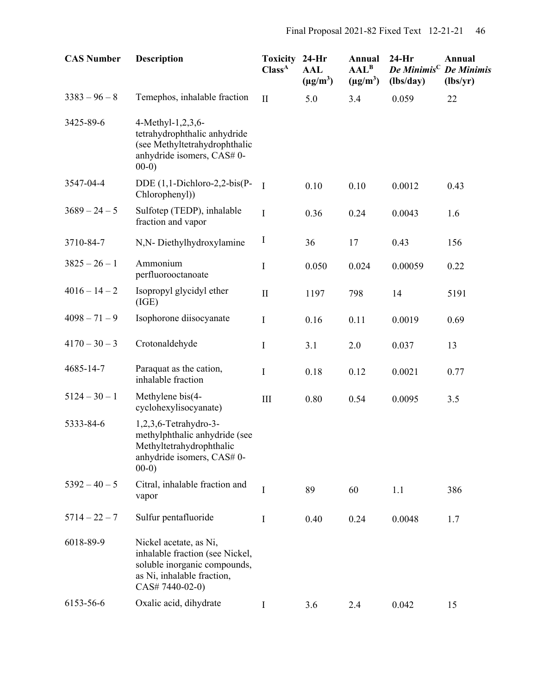| <b>CAS Number</b> | <b>Description</b>                                                                                                                        | Toxicity 24-Hr<br>Class <sup>A</sup> | <b>AAL</b><br>$(\mu g/m^3)$ | Annual<br>$AAL^B$<br>$(\mu g/m^3)$ | $24-Hr$<br>$De$ Minimis <sup>C</sup> De Minimis<br>(lbs/day) | Annual<br>(lbs/yr) |
|-------------------|-------------------------------------------------------------------------------------------------------------------------------------------|--------------------------------------|-----------------------------|------------------------------------|--------------------------------------------------------------|--------------------|
| $3383 - 96 - 8$   | Temephos, inhalable fraction                                                                                                              | $\mathbf{I}$                         | 5.0                         | 3.4                                | 0.059                                                        | 22                 |
| 3425-89-6         | 4-Methyl-1,2,3,6-<br>tetrahydrophthalic anhydride<br>(see Methyltetrahydrophthalic<br>anhydride isomers, CAS# 0-<br>$(00-0)$              |                                      |                             |                                    |                                                              |                    |
| 3547-04-4         | DDE (1,1-Dichloro-2,2-bis(P-<br>Chlorophenyl))                                                                                            | $\mathbf I$                          | 0.10                        | 0.10                               | 0.0012                                                       | 0.43               |
| $3689 - 24 - 5$   | Sulfotep (TEDP), inhalable<br>fraction and vapor                                                                                          | $\mathbf I$                          | 0.36                        | 0.24                               | 0.0043                                                       | 1.6                |
| 3710-84-7         | N,N- Diethylhydroxylamine                                                                                                                 | I                                    | 36                          | 17                                 | 0.43                                                         | 156                |
| $3825 - 26 - 1$   | Ammonium<br>perfluorooctanoate                                                                                                            | $\mathbf I$                          | 0.050                       | 0.024                              | 0.00059                                                      | 0.22               |
| $4016 - 14 - 2$   | Isopropyl glycidyl ether<br>(IGE)                                                                                                         | $\mathbf{I}$                         | 1197                        | 798                                | 14                                                           | 5191               |
| $4098 - 71 - 9$   | Isophorone diisocyanate                                                                                                                   | I                                    | 0.16                        | 0.11                               | 0.0019                                                       | 0.69               |
| $4170 - 30 - 3$   | Crotonaldehyde                                                                                                                            | $\bf{I}$                             | 3.1                         | 2.0                                | 0.037                                                        | 13                 |
| 4685-14-7         | Paraquat as the cation,<br>inhalable fraction                                                                                             | $\mathbf I$                          | 0.18                        | 0.12                               | 0.0021                                                       | 0.77               |
| $5124 - 30 - 1$   | Methylene bis(4-<br>cyclohexylisocyanate)                                                                                                 | III                                  | 0.80                        | 0.54                               | 0.0095                                                       | 3.5                |
| 5333-84-6         | 1,2,3,6-Tetrahydro-3-<br>methylphthalic anhydride (see<br>Methyltetrahydrophthalic<br>anhydride isomers, CAS# 0-<br>$00-0)$               |                                      |                             |                                    |                                                              |                    |
| $5392 - 40 - 5$   | Citral, inhalable fraction and<br>vapor                                                                                                   | $\rm I$                              | 89                          | 60                                 | 1.1                                                          | 386                |
| $5714 - 22 - 7$   | Sulfur pentafluoride                                                                                                                      | Ι                                    | 0.40                        | 0.24                               | 0.0048                                                       | 1.7                |
| 6018-89-9         | Nickel acetate, as Ni,<br>inhalable fraction (see Nickel,<br>soluble inorganic compounds,<br>as Ni, inhalable fraction,<br>CAS#7440-02-0) |                                      |                             |                                    |                                                              |                    |
| 6153-56-6         | Oxalic acid, dihydrate                                                                                                                    | $\bf{I}$                             | 3.6                         | 2.4                                | 0.042                                                        | 15                 |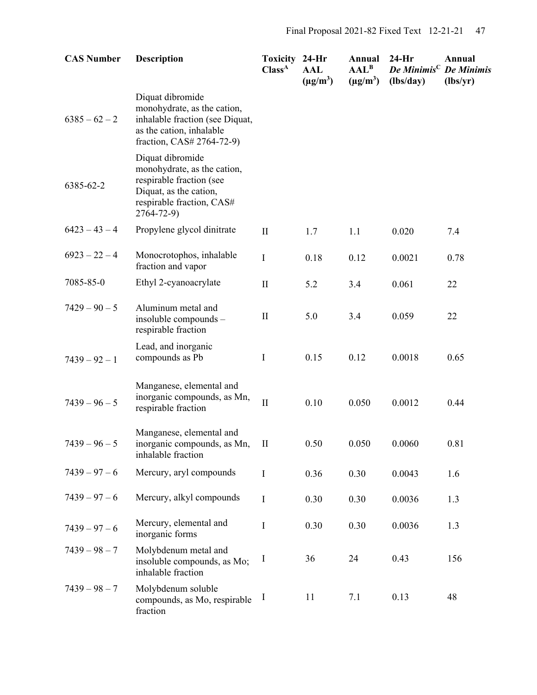| <b>CAS Number</b> | <b>Description</b>                                                                                                                                    | Toxicity 24-Hr<br>Class <sup>A</sup> | <b>AAL</b><br>$(\mu g/m^3)$ | Annual<br>$AAL^B$<br>$(\mu g/m^3)$ | $24-Hr$<br>$De$ Minimis <sup>C</sup> De Minimis<br>(lbs/day) | Annual<br>(lbs/yr) |
|-------------------|-------------------------------------------------------------------------------------------------------------------------------------------------------|--------------------------------------|-----------------------------|------------------------------------|--------------------------------------------------------------|--------------------|
| $6385 - 62 - 2$   | Diquat dibromide<br>monohydrate, as the cation,<br>inhalable fraction (see Diquat,<br>as the cation, inhalable<br>fraction, CAS# 2764-72-9)           |                                      |                             |                                    |                                                              |                    |
| 6385-62-2         | Diquat dibromide<br>monohydrate, as the cation,<br>respirable fraction (see<br>Diquat, as the cation,<br>respirable fraction, CAS#<br>$2764 - 72 - 9$ |                                      |                             |                                    |                                                              |                    |
| $6423 - 43 - 4$   | Propylene glycol dinitrate                                                                                                                            | $\mathbf{I}$                         | 1.7                         | 1.1                                | 0.020                                                        | 7.4                |
| $6923 - 22 - 4$   | Monocrotophos, inhalable<br>fraction and vapor                                                                                                        | I                                    | 0.18                        | 0.12                               | 0.0021                                                       | 0.78               |
| 7085-85-0         | Ethyl 2-cyanoacrylate                                                                                                                                 | $\mathbf{I}$                         | 5.2                         | 3.4                                | 0.061                                                        | 22                 |
| $7429 - 90 - 5$   | Aluminum metal and<br>insoluble compounds -<br>respirable fraction                                                                                    | $\mathbf{I}$                         | 5.0                         | 3.4                                | 0.059                                                        | 22                 |
| $7439 - 92 - 1$   | Lead, and inorganic<br>compounds as Pb                                                                                                                | $\mathbf I$                          | 0.15                        | 0.12                               | 0.0018                                                       | 0.65               |
| $7439 - 96 - 5$   | Manganese, elemental and<br>inorganic compounds, as Mn,<br>respirable fraction                                                                        | $\rm II$                             | 0.10                        | 0.050                              | 0.0012                                                       | 0.44               |
| $7439 - 96 - 5$   | Manganese, elemental and<br>inorganic compounds, as Mn,<br>inhalable fraction                                                                         | $\mathbf{I}$                         | 0.50                        | 0.050                              | 0.0060                                                       | 0.81               |
| $7439 - 97 - 6$   | Mercury, aryl compounds                                                                                                                               | $\mathbf I$                          | 0.36                        | 0.30                               | 0.0043                                                       | 1.6                |
| $7439 - 97 - 6$   | Mercury, alkyl compounds                                                                                                                              | $\mathbf I$                          | 0.30                        | 0.30                               | 0.0036                                                       | 1.3                |
| $7439 - 97 - 6$   | Mercury, elemental and<br>inorganic forms                                                                                                             | $\mathbf I$                          | 0.30                        | 0.30                               | 0.0036                                                       | 1.3                |
| $7439 - 98 - 7$   | Molybdenum metal and<br>insoluble compounds, as Mo;<br>inhalable fraction                                                                             | $\bf{I}$                             | 36                          | 24                                 | 0.43                                                         | 156                |
| $7439 - 98 - 7$   | Molybdenum soluble<br>compounds, as Mo, respirable<br>fraction                                                                                        | $\mathbf{I}$                         | 11                          | 7.1                                | 0.13                                                         | 48                 |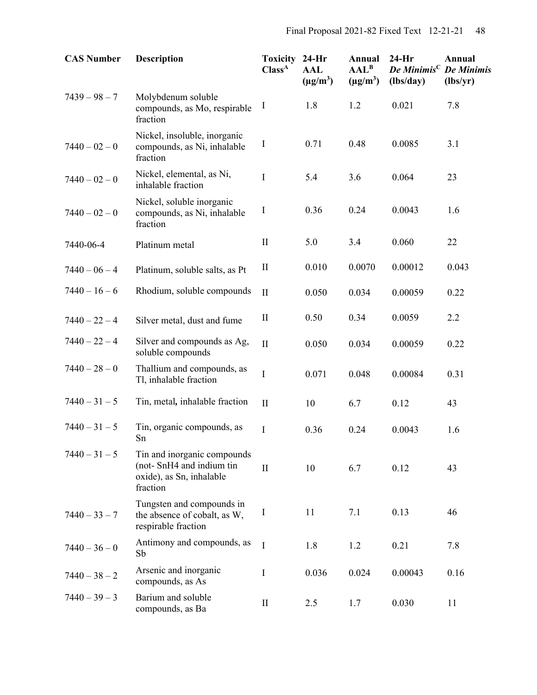| <b>CAS Number</b> | <b>Description</b>                                                                              | Toxicity 24-Hr<br>Class <sup>A</sup> | AAL<br>$(\mu g/m^3)$ | Annual<br>$AAL^B$<br>$(\mu g/m^3)$ | $24-Hr$<br>$De$ Minimis <sup>C</sup> De Minimis<br>(lbs/day) | <b>Annual</b><br>(lbs/yr) |
|-------------------|-------------------------------------------------------------------------------------------------|--------------------------------------|----------------------|------------------------------------|--------------------------------------------------------------|---------------------------|
| $7439 - 98 - 7$   | Molybdenum soluble<br>compounds, as Mo, respirable<br>fraction                                  | I                                    | 1.8                  | 1.2                                | 0.021                                                        | 7.8                       |
| $7440 - 02 - 0$   | Nickel, insoluble, inorganic<br>compounds, as Ni, inhalable<br>fraction                         | I                                    | 0.71                 | 0.48                               | 0.0085                                                       | 3.1                       |
| $7440 - 02 - 0$   | Nickel, elemental, as Ni,<br>inhalable fraction                                                 | $\mathbf I$                          | 5.4                  | 3.6                                | 0.064                                                        | 23                        |
| $7440 - 02 - 0$   | Nickel, soluble inorganic<br>compounds, as Ni, inhalable<br>fraction                            | I                                    | 0.36                 | 0.24                               | 0.0043                                                       | 1.6                       |
| 7440-06-4         | Platinum metal                                                                                  | $\mathbf{I}$                         | 5.0                  | 3.4                                | 0.060                                                        | 22                        |
| $7440 - 06 - 4$   | Platinum, soluble salts, as Pt                                                                  | $\mathbf{I}$                         | 0.010                | 0.0070                             | 0.00012                                                      | 0.043                     |
| $7440 - 16 - 6$   | Rhodium, soluble compounds                                                                      | $\mathbf{I}$                         | 0.050                | 0.034                              | 0.00059                                                      | 0.22                      |
| $7440 - 22 - 4$   | Silver metal, dust and fume                                                                     | $\mathbf{I}$                         | 0.50                 | 0.34                               | 0.0059                                                       | 2.2                       |
| $7440 - 22 - 4$   | Silver and compounds as Ag,<br>soluble compounds                                                | $\mathbf{I}$                         | 0.050                | 0.034                              | 0.00059                                                      | 0.22                      |
| $7440 - 28 - 0$   | Thallium and compounds, as<br>Tl, inhalable fraction                                            | $\rm I$                              | 0.071                | 0.048                              | 0.00084                                                      | 0.31                      |
| $7440 - 31 - 5$   | Tin, metal, inhalable fraction                                                                  | $\mathbf{I}$                         | 10                   | 6.7                                | 0.12                                                         | 43                        |
| $7440 - 31 - 5$   | Tin, organic compounds, as<br>Sn                                                                | I                                    | 0.36                 | 0.24                               | 0.0043                                                       | 1.6                       |
| $7440 - 31 - 5$   | Tin and inorganic compounds<br>(not-SnH4 and indium tin<br>oxide), as Sn, inhalable<br>fraction | $\mathbf{I}$                         | 10                   | 6.7                                | 0.12                                                         | 43                        |
| $7440 - 33 - 7$   | Tungsten and compounds in<br>the absence of cobalt, as W,<br>respirable fraction                | I                                    | 11                   | 7.1                                | 0.13                                                         | 46                        |
| $7440 - 36 - 0$   | Antimony and compounds, as<br>Sb                                                                | $\mathbf I$                          | 1.8                  | 1.2                                | 0.21                                                         | 7.8                       |
| $7440 - 38 - 2$   | Arsenic and inorganic<br>compounds, as As                                                       | I                                    | 0.036                | 0.024                              | 0.00043                                                      | 0.16                      |
| $7440 - 39 - 3$   | Barium and soluble<br>compounds, as Ba                                                          | $\mathbf{I}$                         | 2.5                  | 1.7                                | 0.030                                                        | 11                        |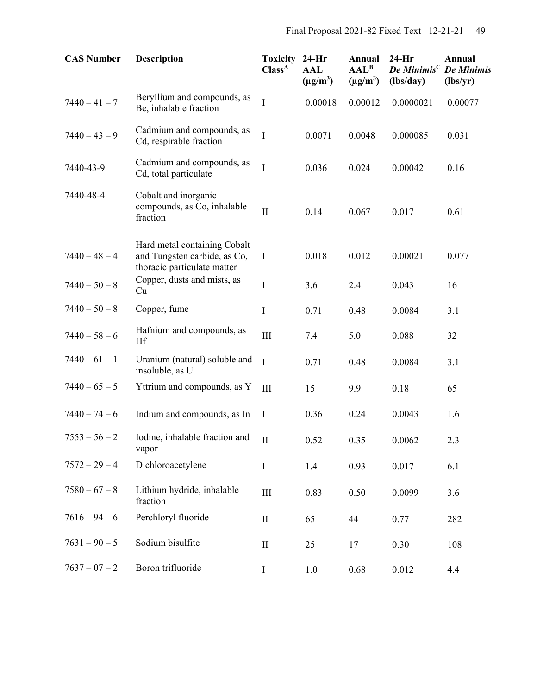| <b>CAS Number</b> | <b>Description</b>                                                                          | <b>Toxicity</b><br>Class <sup>A</sup> | $24-Hr$<br>AAL<br>$(\mu g/m^3)$ | Annual<br>$AAL^B$<br>$(\mu g/m^3)$ | $24-Hr$<br>De Minimis <sup>C</sup><br>(lbs/day) | Annual<br><b>De Minimis</b><br>(lbs/yr) |
|-------------------|---------------------------------------------------------------------------------------------|---------------------------------------|---------------------------------|------------------------------------|-------------------------------------------------|-----------------------------------------|
| $7440 - 41 - 7$   | Beryllium and compounds, as<br>Be, inhalable fraction                                       | $\rm I$                               | 0.00018                         | 0.00012                            | 0.0000021                                       | 0.00077                                 |
| $7440 - 43 - 9$   | Cadmium and compounds, as<br>Cd, respirable fraction                                        | $\overline{I}$                        | 0.0071                          | 0.0048                             | 0.000085                                        | 0.031                                   |
| 7440-43-9         | Cadmium and compounds, as<br>Cd, total particulate                                          | $\overline{I}$                        | 0.036                           | 0.024                              | 0.00042                                         | 0.16                                    |
| 7440-48-4         | Cobalt and inorganic<br>compounds, as Co, inhalable<br>fraction                             | $\mathbf{I}$                          | 0.14                            | 0.067                              | 0.017                                           | 0.61                                    |
| $7440 - 48 - 4$   | Hard metal containing Cobalt<br>and Tungsten carbide, as Co,<br>thoracic particulate matter | $\bf{I}$                              | 0.018                           | 0.012                              | 0.00021                                         | 0.077                                   |
| $7440 - 50 - 8$   | Copper, dusts and mists, as<br>Cu                                                           | I                                     | 3.6                             | 2.4                                | 0.043                                           | 16                                      |
| $7440 - 50 - 8$   | Copper, fume                                                                                | I                                     | 0.71                            | 0.48                               | 0.0084                                          | 3.1                                     |
| $7440 - 58 - 6$   | Hafnium and compounds, as<br>Hf                                                             | $\rm III$                             | 7.4                             | 5.0                                | 0.088                                           | 32                                      |
| $7440 - 61 - 1$   | Uranium (natural) soluble and<br>insoluble, as U                                            | $\mathbf I$                           | 0.71                            | 0.48                               | 0.0084                                          | 3.1                                     |
| $7440 - 65 - 5$   | Yttrium and compounds, as Y                                                                 | III                                   | 15                              | 9.9                                | 0.18                                            | 65                                      |
| $7440 - 74 - 6$   | Indium and compounds, as In                                                                 | $\bf{I}$                              | 0.36                            | 0.24                               | 0.0043                                          | 1.6                                     |
| $7553 - 56 - 2$   | Iodine, inhalable fraction and<br>vapor                                                     | $\mathbf{I}$                          | 0.52                            | 0.35                               | 0.0062                                          | 2.3                                     |
| $7572 - 29 - 4$   | Dichloroacetylene                                                                           | $\mathbf I$                           | 1.4                             | 0.93                               | 0.017                                           | 6.1                                     |
| $7580 - 67 - 8$   | Lithium hydride, inhalable<br>fraction                                                      | $\rm III$                             | 0.83                            | 0.50                               | 0.0099                                          | 3.6                                     |
| $7616 - 94 - 6$   | Perchloryl fluoride                                                                         | $\rm II$                              | 65                              | 44                                 | 0.77                                            | 282                                     |
| $7631 - 90 - 5$   | Sodium bisulfite                                                                            | $\mathbf{I}$                          | 25                              | 17                                 | 0.30                                            | 108                                     |
| $7637 - 07 - 2$   | Boron trifluoride                                                                           | $\bf{I}$                              | 1.0                             | 0.68                               | 0.012                                           | 4.4                                     |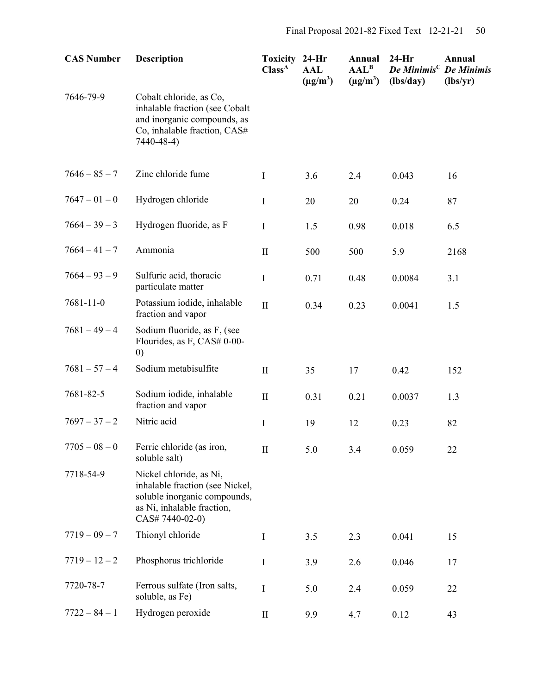| <b>CAS Number</b> | <b>Description</b>                                                                                                                         | Toxicity 24-Hr<br>Class <sup>A</sup> | <b>AAL</b><br>$(\mu g/m^3)$ | Annual<br>$AAL^B$<br>$(\mu g/m^3)$ | $24-Hr$<br>$De$ Minimis <sup>C</sup> De Minimis<br>(lbs/day) | Annual<br>(lbs/yr) |
|-------------------|--------------------------------------------------------------------------------------------------------------------------------------------|--------------------------------------|-----------------------------|------------------------------------|--------------------------------------------------------------|--------------------|
| 7646-79-9         | Cobalt chloride, as Co,<br>inhalable fraction (see Cobalt<br>and inorganic compounds, as<br>Co, inhalable fraction, CAS#<br>7440-48-4)     |                                      |                             |                                    |                                                              |                    |
| $7646 - 85 - 7$   | Zinc chloride fume                                                                                                                         | $\mathbf I$                          | 3.6                         | 2.4                                | 0.043                                                        | 16                 |
| $7647 - 01 - 0$   | Hydrogen chloride                                                                                                                          | $\mathbf I$                          | 20                          | 20                                 | 0.24                                                         | 87                 |
| $7664 - 39 - 3$   | Hydrogen fluoride, as F                                                                                                                    | $\mathbf I$                          | 1.5                         | 0.98                               | 0.018                                                        | 6.5                |
| $7664 - 41 - 7$   | Ammonia                                                                                                                                    | $\mathbf{I}$                         | 500                         | 500                                | 5.9                                                          | 2168               |
| $7664 - 93 - 9$   | Sulfuric acid, thoracic<br>particulate matter                                                                                              | $\mathbf I$                          | 0.71                        | 0.48                               | 0.0084                                                       | 3.1                |
| $7681 - 11 - 0$   | Potassium iodide, inhalable<br>fraction and vapor                                                                                          | $\rm II$                             | 0.34                        | 0.23                               | 0.0041                                                       | 1.5                |
| $7681 - 49 - 4$   | Sodium fluoride, as F, (see<br>Flourides, as F, CAS# 0-00-<br>$\left( 0\right)$                                                            |                                      |                             |                                    |                                                              |                    |
| $7681 - 57 - 4$   | Sodium metabisulfite                                                                                                                       | $\mathbf{I}$                         | 35                          | 17                                 | 0.42                                                         | 152                |
| 7681-82-5         | Sodium iodide, inhalable<br>fraction and vapor                                                                                             | $\mathbf{I}$                         | 0.31                        | 0.21                               | 0.0037                                                       | 1.3                |
| $7697 - 37 - 2$   | Nitric acid                                                                                                                                | $\mathbf I$                          | 19                          | 12                                 | 0.23                                                         | 82                 |
| $7705-08-0$       | Ferric chloride (as iron,<br>soluble salt)                                                                                                 | $\rm II$                             | 5.0                         | 3.4                                | 0.059                                                        | 22                 |
| 7718-54-9         | Nickel chloride, as Ni,<br>inhalable fraction (see Nickel,<br>soluble inorganic compounds,<br>as Ni, inhalable fraction,<br>CAS#7440-02-0) |                                      |                             |                                    |                                                              |                    |
| $7719 - 09 - 7$   | Thionyl chloride                                                                                                                           | $\mathbf I$                          | 3.5                         | 2.3                                | 0.041                                                        | 15                 |
| $7719 - 12 - 2$   | Phosphorus trichloride                                                                                                                     | I                                    | 3.9                         | 2.6                                | 0.046                                                        | 17                 |
| 7720-78-7         | Ferrous sulfate (Iron salts,<br>soluble, as Fe)                                                                                            | I                                    | 5.0                         | 2.4                                | 0.059                                                        | 22                 |
| $7722 - 84 - 1$   | Hydrogen peroxide                                                                                                                          | $\rm II$                             | 9.9                         | 4.7                                | 0.12                                                         | 43                 |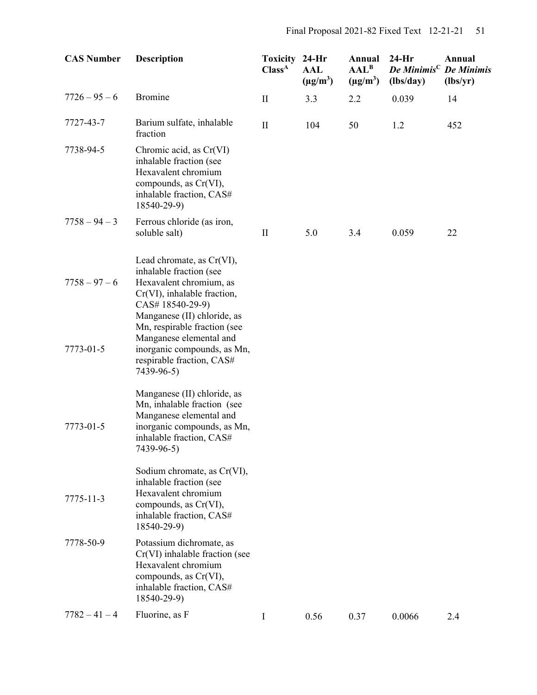| <b>CAS Number</b>            | <b>Description</b>                                                                                                                                                                                                                                             | Toxicity 24-Hr<br>Class <sup>A</sup> | <b>AAL</b><br>$(\mu g/m^3)$ | Annual<br>$AAL^B$<br>$(\mu g/m^3)$ | $24-Hr$<br>De Minimis $C$ De Minimis<br>(lbs/day) | Annual<br>(lbs/yr) |
|------------------------------|----------------------------------------------------------------------------------------------------------------------------------------------------------------------------------------------------------------------------------------------------------------|--------------------------------------|-----------------------------|------------------------------------|---------------------------------------------------|--------------------|
| $7726 - 95 - 6$              | <b>Bromine</b>                                                                                                                                                                                                                                                 | $\mathbf{I}$                         | 3.3                         | 2.2                                | 0.039                                             | 14                 |
| 7727-43-7                    | Barium sulfate, inhalable<br>fraction                                                                                                                                                                                                                          | $\mathbf{I}$                         | 104                         | 50                                 | 1.2                                               | 452                |
| 7738-94-5                    | Chromic acid, as Cr(VI)<br>inhalable fraction (see<br>Hexavalent chromium<br>compounds, as Cr(VI),<br>inhalable fraction, CAS#<br>18540-29-9)                                                                                                                  |                                      |                             |                                    |                                                   |                    |
| $7758 - 94 - 3$              | Ferrous chloride (as iron,<br>soluble salt)                                                                                                                                                                                                                    | $\mathbf{I}$                         | 5.0                         | 3.4                                | 0.059                                             | 22                 |
| $7758 - 97 - 6$<br>7773-01-5 | Lead chromate, as Cr(VI),<br>inhalable fraction (see<br>Hexavalent chromium, as<br>$Cr(VI)$ , inhalable fraction,<br>CAS# 18540-29-9)<br>Manganese (II) chloride, as<br>Mn, respirable fraction (see<br>Manganese elemental and<br>inorganic compounds, as Mn, |                                      |                             |                                    |                                                   |                    |
|                              | respirable fraction, CAS#<br>7439-96-5)                                                                                                                                                                                                                        |                                      |                             |                                    |                                                   |                    |
| 7773-01-5                    | Manganese (II) chloride, as<br>Mn, inhalable fraction (see<br>Manganese elemental and<br>inorganic compounds, as Mn,<br>inhalable fraction, CAS#<br>7439-96-5)                                                                                                 |                                      |                             |                                    |                                                   |                    |
| $7775 - 11 - 3$              | Sodium chromate, as Cr(VI),<br>inhalable fraction (see<br>Hexavalent chromium<br>compounds, as Cr(VI),<br>inhalable fraction, CAS#<br>18540-29-9)                                                                                                              |                                      |                             |                                    |                                                   |                    |
| 7778-50-9                    | Potassium dichromate, as<br>Cr(VI) inhalable fraction (see<br>Hexavalent chromium<br>compounds, as Cr(VI),<br>inhalable fraction, CAS#<br>18540-29-9)                                                                                                          |                                      |                             |                                    |                                                   |                    |
| $7782 - 41 - 4$              | Fluorine, as F                                                                                                                                                                                                                                                 | I                                    | 0.56                        | 0.37                               | 0.0066                                            | 2.4                |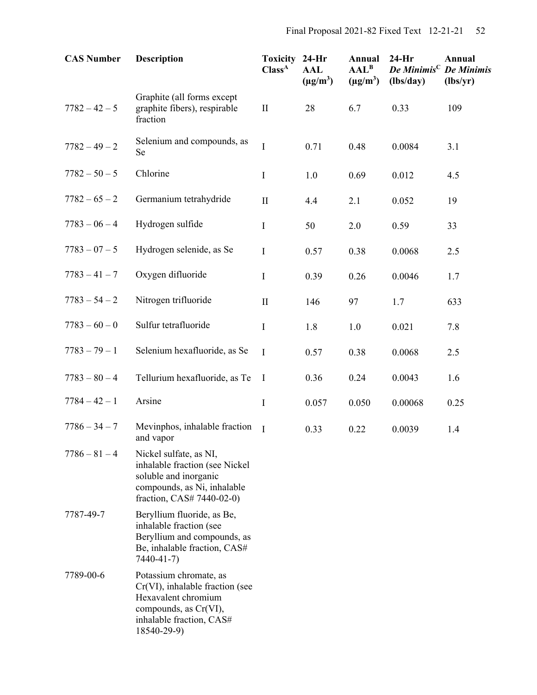| <b>CAS Number</b> | <b>Description</b>                                                                                                                                      | <b>Toxicity</b><br>Class <sup>A</sup> | $24-Hr$<br>AAL<br>$(\mu g/m^3)$ | Annual<br>$AAL^B$<br>$(\mu g/m^3)$ | $24-Hr$<br>De Minimis <sup>C</sup> De Minimis<br>(lbs/day) | <b>Annual</b><br>(lbs/yr) |
|-------------------|---------------------------------------------------------------------------------------------------------------------------------------------------------|---------------------------------------|---------------------------------|------------------------------------|------------------------------------------------------------|---------------------------|
| $7782 - 42 - 5$   | Graphite (all forms except<br>graphite fibers), respirable<br>fraction                                                                                  | $\mathbf{I}$                          | 28                              | 6.7                                | 0.33                                                       | 109                       |
| $7782 - 49 - 2$   | Selenium and compounds, as<br>Se                                                                                                                        | $\rm I$                               | 0.71                            | 0.48                               | 0.0084                                                     | 3.1                       |
| $7782 - 50 - 5$   | Chlorine                                                                                                                                                | $\mathbf I$                           | 1.0                             | 0.69                               | 0.012                                                      | 4.5                       |
| $7782 - 65 - 2$   | Germanium tetrahydride                                                                                                                                  | $\mathbf{I}$                          | 4.4                             | 2.1                                | 0.052                                                      | 19                        |
| $7783 - 06 - 4$   | Hydrogen sulfide                                                                                                                                        | Ι                                     | 50                              | 2.0                                | 0.59                                                       | 33                        |
| $7783 - 07 - 5$   | Hydrogen selenide, as Se                                                                                                                                | $\mathbf I$                           | 0.57                            | 0.38                               | 0.0068                                                     | 2.5                       |
| $7783 - 41 - 7$   | Oxygen difluoride                                                                                                                                       | $\mathbf I$                           | 0.39                            | 0.26                               | 0.0046                                                     | 1.7                       |
| $7783 - 54 - 2$   | Nitrogen trifluoride                                                                                                                                    | $\mathbf{I}$                          | 146                             | 97                                 | 1.7                                                        | 633                       |
| $7783 - 60 - 0$   | Sulfur tetrafluoride                                                                                                                                    | I                                     | 1.8                             | 1.0                                | 0.021                                                      | 7.8                       |
| $7783 - 79 - 1$   | Selenium hexafluoride, as Se                                                                                                                            | I                                     | 0.57                            | 0.38                               | 0.0068                                                     | 2.5                       |
| $7783 - 80 - 4$   | Tellurium hexafluoride, as Te                                                                                                                           | $\mathbf{I}$                          | 0.36                            | 0.24                               | 0.0043                                                     | 1.6                       |
| $7784 - 42 - 1$   | Arsine                                                                                                                                                  | $\bf{I}$                              | 0.057                           | 0.050                              | 0.00068                                                    | 0.25                      |
| $7786 - 34 - 7$   | Mevinphos, inhalable fraction<br>and vapor                                                                                                              | I                                     | 0.33                            | 0.22                               | 0.0039                                                     | 1.4                       |
| $7786 - 81 - 4$   | Nickel sulfate, as NI,<br>inhalable fraction (see Nickel<br>soluble and inorganic<br>compounds, as Ni, inhalable<br>fraction, CAS# 7440-02-0)           |                                       |                                 |                                    |                                                            |                           |
| 7787-49-7         | Beryllium fluoride, as Be,<br>inhalable fraction (see<br>Beryllium and compounds, as<br>Be, inhalable fraction, CAS#<br>$7440 - 41 - 7$ )               |                                       |                                 |                                    |                                                            |                           |
| 7789-00-6         | Potassium chromate, as<br>$Cr(VI)$ , inhalable fraction (see<br>Hexavalent chromium<br>compounds, as Cr(VI),<br>inhalable fraction, CAS#<br>18540-29-9) |                                       |                                 |                                    |                                                            |                           |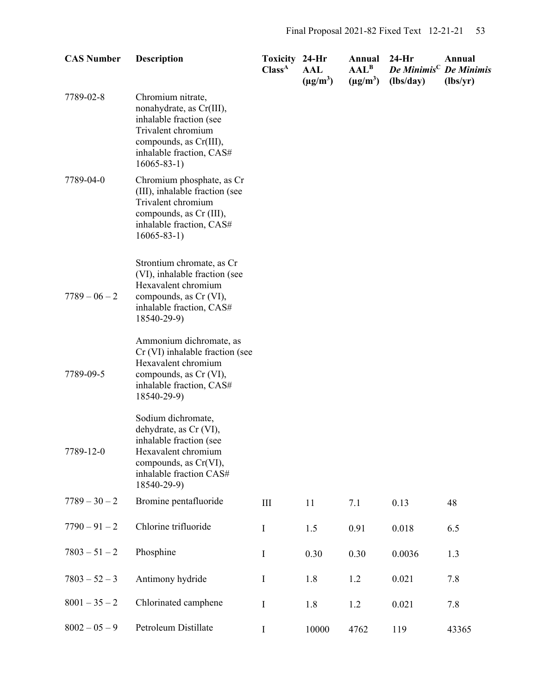| <b>CAS Number</b> | <b>Description</b>                                                                                                                                                        | Toxicity 24-Hr<br>Class <sup>A</sup> | AAL<br>$(\mu g/m^3)$ | Annual<br>$AAL^B$<br>$(\mu g/m^3)$ | $24-Hr$<br>$De$ Minimis <sup>C</sup> De Minimis<br>(lbs/day) | Annual<br>(lbs/yr) |
|-------------------|---------------------------------------------------------------------------------------------------------------------------------------------------------------------------|--------------------------------------|----------------------|------------------------------------|--------------------------------------------------------------|--------------------|
| 7789-02-8         | Chromium nitrate,<br>nonahydrate, as Cr(III),<br>inhalable fraction (see<br>Trivalent chromium<br>compounds, as Cr(III),<br>inhalable fraction, CAS#<br>$16065 - 83 - 1)$ |                                      |                      |                                    |                                                              |                    |
| 7789-04-0         | Chromium phosphate, as Cr<br>(III), inhalable fraction (see<br>Trivalent chromium<br>compounds, as Cr (III),<br>inhalable fraction, CAS#<br>$16065 - 83 - 1)$             |                                      |                      |                                    |                                                              |                    |
| $7789 - 06 - 2$   | Strontium chromate, as Cr<br>(VI), inhalable fraction (see<br>Hexavalent chromium<br>compounds, as Cr (VI),<br>inhalable fraction, CAS#<br>18540-29-9)                    |                                      |                      |                                    |                                                              |                    |
| 7789-09-5         | Ammonium dichromate, as<br>Cr (VI) inhalable fraction (see<br>Hexavalent chromium<br>compounds, as Cr (VI),<br>inhalable fraction, CAS#<br>18540-29-9)                    |                                      |                      |                                    |                                                              |                    |
| 7789-12-0         | Sodium dichromate,<br>dehydrate, as Cr (VI),<br>inhalable fraction (see<br>Hexavalent chromium<br>compounds, as Cr(VI),<br>inhalable fraction CAS#<br>18540-29-9)         |                                      |                      |                                    |                                                              |                    |
| $7789 - 30 - 2$   | Bromine pentafluoride                                                                                                                                                     | $\rm III$                            | 11                   | 7.1                                | 0.13                                                         | 48                 |
| $7790 - 91 - 2$   | Chlorine trifluoride                                                                                                                                                      | $\mathbf I$                          | 1.5                  | 0.91                               | 0.018                                                        | 6.5                |
| $7803 - 51 - 2$   | Phosphine                                                                                                                                                                 | $\mathbf I$                          | 0.30                 | 0.30                               | 0.0036                                                       | 1.3                |
| $7803 - 52 - 3$   | Antimony hydride                                                                                                                                                          | I                                    | 1.8                  | 1.2                                | 0.021                                                        | 7.8                |
| $8001 - 35 - 2$   | Chlorinated camphene                                                                                                                                                      | $\rm I$                              | 1.8                  | 1.2                                | 0.021                                                        | 7.8                |
| $8002 - 05 - 9$   | Petroleum Distillate                                                                                                                                                      | $\mathbf I$                          | 10000                | 4762                               | 119                                                          | 43365              |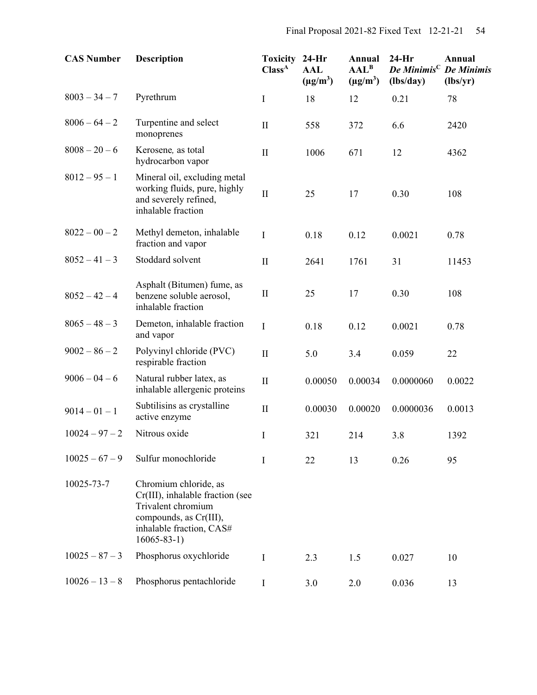| <b>CAS Number</b> | <b>Description</b>                                                                                                                                        | Toxicity 24-Hr<br>Class <sup>A</sup> | AAL<br>$(\mu g/m^3)$ | Annual<br>$AAL^B$<br>$(\mu g/m^3)$ | $24-Hr$<br>De Minimis $^{\rm C}$<br>(lbs/day) | <b>Annual</b><br>De Minimis<br>(lbs/yr) |
|-------------------|-----------------------------------------------------------------------------------------------------------------------------------------------------------|--------------------------------------|----------------------|------------------------------------|-----------------------------------------------|-----------------------------------------|
| $8003 - 34 - 7$   | Pyrethrum                                                                                                                                                 | $\bf{I}$                             | 18                   | 12                                 | 0.21                                          | 78                                      |
| $8006 - 64 - 2$   | Turpentine and select<br>monoprenes                                                                                                                       | $\mathbf{I}$                         | 558                  | 372                                | 6.6                                           | 2420                                    |
| $8008 - 20 - 6$   | Kerosene, as total<br>hydrocarbon vapor                                                                                                                   | $\mathbf{I}$                         | 1006                 | 671                                | 12                                            | 4362                                    |
| $8012 - 95 - 1$   | Mineral oil, excluding metal<br>working fluids, pure, highly<br>and severely refined,<br>inhalable fraction                                               | $\mathbf{I}$                         | 25                   | 17                                 | 0.30                                          | 108                                     |
| $8022 - 00 - 2$   | Methyl demeton, inhalable<br>fraction and vapor                                                                                                           | $\mathbf I$                          | 0.18                 | 0.12                               | 0.0021                                        | 0.78                                    |
| $8052 - 41 - 3$   | Stoddard solvent                                                                                                                                          | $\mathbf{I}$                         | 2641                 | 1761                               | 31                                            | 11453                                   |
| $8052 - 42 - 4$   | Asphalt (Bitumen) fume, as<br>benzene soluble aerosol,<br>inhalable fraction                                                                              | $\mathbf{I}$                         | 25                   | 17                                 | 0.30                                          | 108                                     |
| $8065 - 48 - 3$   | Demeton, inhalable fraction<br>and vapor                                                                                                                  | I                                    | 0.18                 | 0.12                               | 0.0021                                        | 0.78                                    |
| $9002 - 86 - 2$   | Polyvinyl chloride (PVC)<br>respirable fraction                                                                                                           | $\mathbf{I}$                         | 5.0                  | 3.4                                | 0.059                                         | 22                                      |
| $9006 - 04 - 6$   | Natural rubber latex, as<br>inhalable allergenic proteins                                                                                                 | $\mathbf{I}$                         | 0.00050              | 0.00034                            | 0.0000060                                     | 0.0022                                  |
| $9014 - 01 - 1$   | Subtilisins as crystalline<br>active enzyme                                                                                                               | $\mathbf{I}$                         | 0.00030              | 0.00020                            | 0.0000036                                     | 0.0013                                  |
| $10024 - 97 - 2$  | Nitrous oxide                                                                                                                                             | $\bf{I}$                             | 321                  | 214                                | 3.8                                           | 1392                                    |
| $10025 - 67 - 9$  | Sulfur monochloride                                                                                                                                       | T                                    | 22                   | 13                                 | 0.26                                          | 95                                      |
| 10025-73-7        | Chromium chloride, as<br>Cr(III), inhalable fraction (see<br>Trivalent chromium<br>compounds, as Cr(III),<br>inhalable fraction, CAS#<br>$16065 - 83 - 1$ |                                      |                      |                                    |                                               |                                         |
| $10025 - 87 - 3$  | Phosphorus oxychloride                                                                                                                                    | I                                    | 2.3                  | 1.5                                | 0.027                                         | 10                                      |
| $10026 - 13 - 8$  | Phosphorus pentachloride                                                                                                                                  | $\bf{I}$                             | 3.0                  | 2.0                                | 0.036                                         | 13                                      |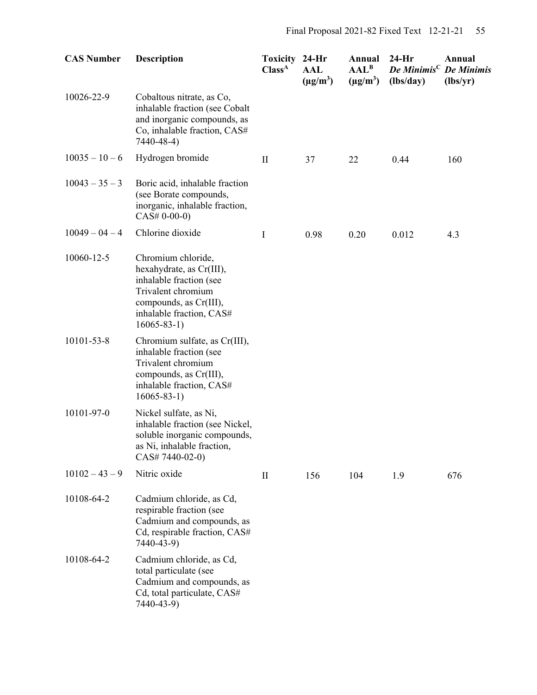| <b>CAS Number</b> | <b>Description</b>                                                                                                                                                         | Toxicity 24-Hr<br>Class <sup>A</sup> | <b>AAL</b><br>$(\mu g/m^3)$ | Annual<br>$AAL^B$<br>$(\mu g/m^3)$ | $24-Hr$<br>De Minimis $C$ De Minimis<br>(lbs/day) | Annual<br>(lbs/yr) |
|-------------------|----------------------------------------------------------------------------------------------------------------------------------------------------------------------------|--------------------------------------|-----------------------------|------------------------------------|---------------------------------------------------|--------------------|
| 10026-22-9        | Cobaltous nitrate, as Co,<br>inhalable fraction (see Cobalt<br>and inorganic compounds, as<br>Co, inhalable fraction, CAS#<br>7440-48-4)                                   |                                      |                             |                                    |                                                   |                    |
| $10035 - 10 - 6$  | Hydrogen bromide                                                                                                                                                           | $\mathbf{I}$                         | 37                          | 22                                 | 0.44                                              | 160                |
| $10043 - 35 - 3$  | Boric acid, inhalable fraction<br>(see Borate compounds,<br>inorganic, inhalable fraction,<br>$CAS# 0-00-0$                                                                |                                      |                             |                                    |                                                   |                    |
| $10049 - 04 - 4$  | Chlorine dioxide                                                                                                                                                           | $\mathbf I$                          | 0.98                        | 0.20                               | 0.012                                             | 4.3                |
| 10060-12-5        | Chromium chloride,<br>hexahydrate, as Cr(III),<br>inhalable fraction (see<br>Trivalent chromium<br>compounds, as Cr(III),<br>inhalable fraction, CAS#<br>$16065 - 83 - 1)$ |                                      |                             |                                    |                                                   |                    |
| 10101-53-8        | Chromium sulfate, as Cr(III),<br>inhalable fraction (see<br>Trivalent chromium<br>compounds, as Cr(III),<br>inhalable fraction, CAS#<br>$16065 - 83 - 1$                   |                                      |                             |                                    |                                                   |                    |
| 10101-97-0        | Nickel sulfate, as Ni,<br>inhalable fraction (see Nickel,<br>soluble inorganic compounds,<br>as Ni, inhalable fraction,<br>CAS#7440-02-0)                                  |                                      |                             |                                    |                                                   |                    |
| $10102 - 43 - 9$  | Nitric oxide                                                                                                                                                               | $\mathbf{I}$                         | 156                         | 104                                | 1.9                                               | 676                |
| 10108-64-2        | Cadmium chloride, as Cd,<br>respirable fraction (see<br>Cadmium and compounds, as<br>Cd, respirable fraction, CAS#<br>7440-43-9)                                           |                                      |                             |                                    |                                                   |                    |
| 10108-64-2        | Cadmium chloride, as Cd,<br>total particulate (see<br>Cadmium and compounds, as<br>Cd, total particulate, CAS#<br>7440-43-9)                                               |                                      |                             |                                    |                                                   |                    |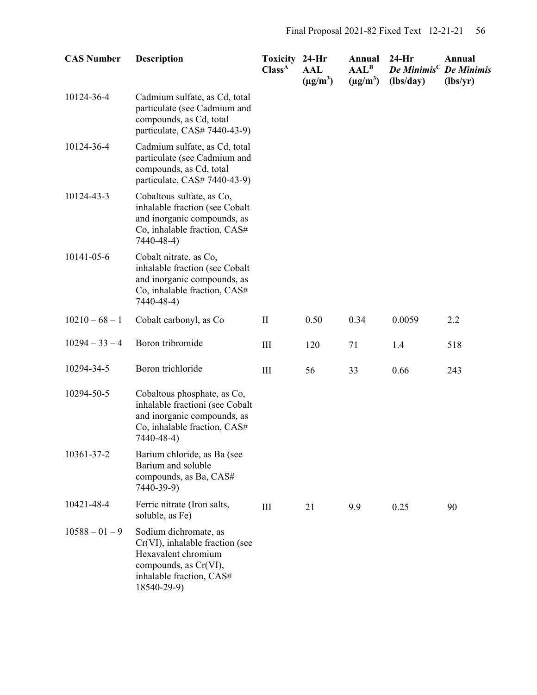| <b>CAS Number</b>                                                                                                                                                | <b>Description</b>                                                                                                                                     | Toxicity 24-Hr<br>Class <sup>A</sup> | <b>AAL</b><br>$(\mu g/m^3)$ | Annual<br>$AAL^B$<br>$(\mu g/m^3)$ | $24-Hr$<br>$De$ Minimis <sup>C</sup> De Minimis<br>(lbs/day) | Annual<br>(lbs/yr) |
|------------------------------------------------------------------------------------------------------------------------------------------------------------------|--------------------------------------------------------------------------------------------------------------------------------------------------------|--------------------------------------|-----------------------------|------------------------------------|--------------------------------------------------------------|--------------------|
| 10124-36-4                                                                                                                                                       | Cadmium sulfate, as Cd, total<br>particulate (see Cadmium and<br>compounds, as Cd, total<br>particulate, CAS# 7440-43-9)                               |                                      |                             |                                    |                                                              |                    |
| 10124-36-4                                                                                                                                                       | Cadmium sulfate, as Cd, total<br>particulate (see Cadmium and<br>compounds, as Cd, total<br>particulate, CAS# 7440-43-9)                               |                                      |                             |                                    |                                                              |                    |
| 10124-43-3                                                                                                                                                       | Cobaltous sulfate, as Co,<br>inhalable fraction (see Cobalt<br>and inorganic compounds, as<br>Co, inhalable fraction, CAS#<br>$7440 - 48 - 4$ )        |                                      |                             |                                    |                                                              |                    |
| 10141-05-6<br>Cobalt nitrate, as Co,<br>inhalable fraction (see Cobalt<br>and inorganic compounds, as<br>Co, inhalable fraction, CAS#<br>7440-48-4)              |                                                                                                                                                        |                                      |                             |                                    |                                                              |                    |
| $10210 - 68 - 1$                                                                                                                                                 | Cobalt carbonyl, as Co                                                                                                                                 | $\mathbf{I}$                         | 0.50                        | 0.34                               | 0.0059                                                       | 2.2                |
| $10294 - 33 - 4$                                                                                                                                                 | Boron tribromide                                                                                                                                       | III                                  | 120                         | 71                                 | 1.4                                                          | 518                |
| 10294-34-5                                                                                                                                                       | Boron trichloride                                                                                                                                      | III                                  | 56                          | 33                                 | 0.66                                                         | 243                |
| 10294-50-5<br>Cobaltous phosphate, as Co,<br>inhalable fractioni (see Cobalt<br>and inorganic compounds, as<br>Co, inhalable fraction, CAS#<br>$7440 - 48 - 4$ ) |                                                                                                                                                        |                                      |                             |                                    |                                                              |                    |
| 10361-37-2                                                                                                                                                       | Barium chloride, as Ba (see<br>Barium and soluble<br>compounds, as Ba, CAS#<br>7440-39-9)                                                              |                                      |                             |                                    |                                                              |                    |
| 10421-48-4                                                                                                                                                       | Ferric nitrate (Iron salts,<br>soluble, as Fe)                                                                                                         | III                                  | 21                          | 9.9                                | 0.25                                                         | 90                 |
| $10588 - 01 - 9$                                                                                                                                                 | Sodium dichromate, as<br>$Cr(VI)$ , inhalable fraction (see<br>Hexavalent chromium<br>compounds, as Cr(VI),<br>inhalable fraction, CAS#<br>18540-29-9) |                                      |                             |                                    |                                                              |                    |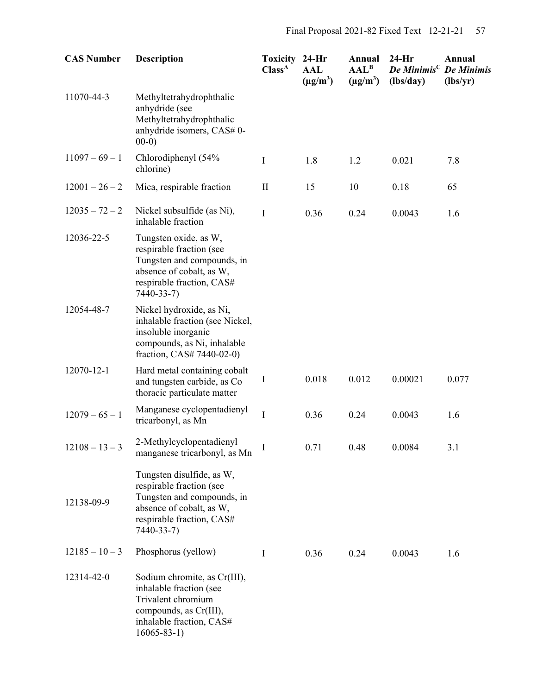| <b>CAS Number</b>                                                                                                                                                           | <b>Description</b>                                                                                                                                                | Toxicity<br>Class <sup>A</sup> | $24-Hr$<br><b>AAL</b><br>$(\mu g/m^3)$ | Annual<br>$AAL^B$<br>$(\mu g/m^3)$ | $24-Hr$<br>$De$ Minimis <sup>C</sup> De Minimis<br>(lbs/day) | Annual<br>(lbs/yr) |
|-----------------------------------------------------------------------------------------------------------------------------------------------------------------------------|-------------------------------------------------------------------------------------------------------------------------------------------------------------------|--------------------------------|----------------------------------------|------------------------------------|--------------------------------------------------------------|--------------------|
| 11070-44-3                                                                                                                                                                  | Methyltetrahydrophthalic<br>anhydride (see<br>Methyltetrahydrophthalic<br>anhydride isomers, CAS# 0-<br>$00-0)$                                                   |                                |                                        |                                    |                                                              |                    |
| $11097 - 69 - 1$                                                                                                                                                            | Chlorodiphenyl (54%<br>chlorine)                                                                                                                                  | I                              | 1.8                                    | 1.2                                | 0.021                                                        | 7.8                |
| $12001 - 26 - 2$                                                                                                                                                            | Mica, respirable fraction                                                                                                                                         | $\mathbf{I}$                   | 15                                     | 10                                 | 0.18                                                         | 65                 |
| $12035 - 72 - 2$                                                                                                                                                            | Nickel subsulfide (as Ni),<br>inhalable fraction                                                                                                                  | $\mathbf I$                    | 0.36                                   | 0.24                               | 0.0043                                                       | 1.6                |
| 12036-22-5<br>Tungsten oxide, as W,<br>respirable fraction (see<br>Tungsten and compounds, in<br>absence of cobalt, as W,<br>respirable fraction, CAS#<br>$7440 - 33 - 7$ ) |                                                                                                                                                                   |                                |                                        |                                    |                                                              |                    |
| 12054-48-7                                                                                                                                                                  | Nickel hydroxide, as Ni,<br>inhalable fraction (see Nickel,<br>insoluble inorganic<br>compounds, as Ni, inhalable<br>fraction, CAS# 7440-02-0)                    |                                |                                        |                                    |                                                              |                    |
| 12070-12-1                                                                                                                                                                  | Hard metal containing cobalt<br>and tungsten carbide, as Co<br>thoracic particulate matter                                                                        | I                              | 0.018                                  | 0.012                              | 0.00021                                                      | 0.077              |
| Manganese cyclopentadienyl<br>$12079 - 65 - 1$<br>tricarbonyl, as Mn                                                                                                        |                                                                                                                                                                   | $\mathbf I$                    | 0.36                                   | 0.24                               | 0.0043                                                       | 1.6                |
| $12108 - 13 - 3$                                                                                                                                                            | 2-Methylcyclopentadienyl<br>manganese tricarbonyl, as Mn                                                                                                          | $\mathbf I$                    | 0.71                                   | 0.48                               | 0.0084                                                       | 3.1                |
| 12138-09-9                                                                                                                                                                  | Tungsten disulfide, as W,<br>respirable fraction (see<br>Tungsten and compounds, in<br>absence of cobalt, as W,<br>respirable fraction, CAS#<br>$7440 - 33 - 7$ ) |                                |                                        |                                    |                                                              |                    |
| $12185 - 10 - 3$                                                                                                                                                            | Phosphorus (yellow)                                                                                                                                               | I                              | 0.36                                   | 0.24                               | 0.0043                                                       | 1.6                |
| 12314-42-0                                                                                                                                                                  | Sodium chromite, as Cr(III),<br>inhalable fraction (see<br>Trivalent chromium<br>compounds, as Cr(III),<br>inhalable fraction, CAS#<br>$16065 - 83 - 1)$          |                                |                                        |                                    |                                                              |                    |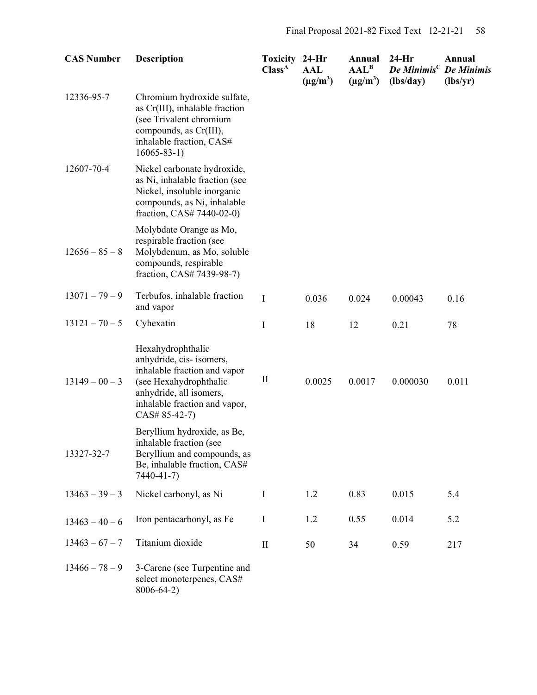| <b>CAS Number</b>                                                                                                                                                                                         | <b>Description</b>                                                                                                                                                  | Toxicity 24-Hr<br>Class <sup>A</sup> | <b>AAL</b><br>$(\mu g/m^3)$ | Annual<br>$AAL^B$<br>$(\mu g/m^3)$ | $24-Hr$<br>$De$ Minimis <sup>C</sup> De Minimis<br>(lbs/day) | Annual<br>(lbs/yr) |
|-----------------------------------------------------------------------------------------------------------------------------------------------------------------------------------------------------------|---------------------------------------------------------------------------------------------------------------------------------------------------------------------|--------------------------------------|-----------------------------|------------------------------------|--------------------------------------------------------------|--------------------|
| 12336-95-7                                                                                                                                                                                                | Chromium hydroxide sulfate,<br>as Cr(III), inhalable fraction<br>(see Trivalent chromium<br>compounds, as Cr(III),<br>inhalable fraction, CAS#<br>$16065 - 83 - 1)$ |                                      |                             |                                    |                                                              |                    |
| 12607-70-4<br>Nickel carbonate hydroxide,<br>as Ni, inhalable fraction (see<br>Nickel, insoluble inorganic<br>compounds, as Ni, inhalable<br>fraction, CAS# 7440-02-0)                                    |                                                                                                                                                                     |                                      |                             |                                    |                                                              |                    |
| $12656 - 85 - 8$                                                                                                                                                                                          | Molybdate Orange as Mo,<br>respirable fraction (see<br>Molybdenum, as Mo, soluble<br>compounds, respirable<br>fraction, CAS# 7439-98-7)                             |                                      |                             |                                    |                                                              |                    |
| $13071 - 79 - 9$                                                                                                                                                                                          | Terbufos, inhalable fraction<br>and vapor                                                                                                                           | $\mathbf I$                          | 0.036                       | 0.024                              | 0.00043                                                      | 0.16               |
| $13121 - 70 - 5$                                                                                                                                                                                          | Cyhexatin                                                                                                                                                           | I                                    | 18                          | 12                                 | 0.21                                                         | 78                 |
| Hexahydrophthalic<br>anhydride, cis- isomers,<br>inhalable fraction and vapor<br>$13149 - 00 - 3$<br>(see Hexahydrophthalic<br>anhydride, all isomers,<br>inhalable fraction and vapor,<br>$CAS# 85-42-7$ |                                                                                                                                                                     | $\mathbf{I}$                         | 0.0025                      | 0.0017                             | 0.000030                                                     | 0.011              |
| 13327-32-7                                                                                                                                                                                                | Beryllium hydroxide, as Be,<br>inhalable fraction (see<br>Beryllium and compounds, as<br>Be, inhalable fraction, CAS#<br>7440-41-7)                                 |                                      |                             |                                    |                                                              |                    |
| $13463 - 39 - 3$                                                                                                                                                                                          | Nickel carbonyl, as Ni                                                                                                                                              | I                                    | 1.2                         | 0.83                               | 0.015                                                        | 5.4                |
| $13463 - 40 - 6$                                                                                                                                                                                          | Iron pentacarbonyl, as Fe                                                                                                                                           | $\bf{I}$                             | 1.2                         | 0.55                               | 0.014                                                        | 5.2                |
| $13463 - 67 - 7$                                                                                                                                                                                          | Titanium dioxide                                                                                                                                                    | $\mathbf{I}$                         | 50                          | 34                                 | 0.59                                                         | 217                |
| $13466 - 78 - 9$                                                                                                                                                                                          | 3-Carene (see Turpentine and<br>select monoterpenes, CAS#<br>8006-64-2)                                                                                             |                                      |                             |                                    |                                                              |                    |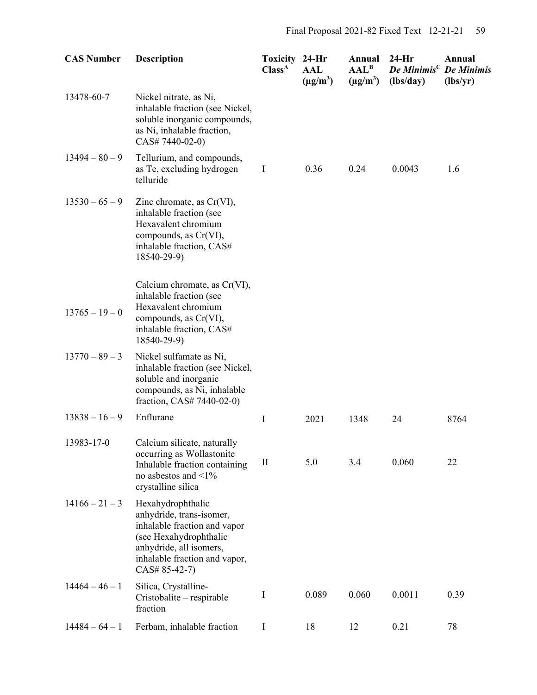| <b>CAS Number</b>                                                                                                                                                      | <b>Description</b>                                                                                                                                                                   | Toxicity 24-Hr<br>Class <sup>A</sup> | <b>AAL</b><br>$(\mu g/m^3)$ | Annual<br>$AAL^B$<br>$(\mu g/m^3)$ | $24-Hr$<br>$De$ Minimis <sup>C</sup> De Minimis<br>(lbs/day) | Annual<br>(lbs/yr) |
|------------------------------------------------------------------------------------------------------------------------------------------------------------------------|--------------------------------------------------------------------------------------------------------------------------------------------------------------------------------------|--------------------------------------|-----------------------------|------------------------------------|--------------------------------------------------------------|--------------------|
| 13478-60-7                                                                                                                                                             | Nickel nitrate, as Ni,<br>inhalable fraction (see Nickel,<br>soluble inorganic compounds,<br>as Ni, inhalable fraction,<br>CAS#7440-02-0)                                            |                                      |                             |                                    |                                                              |                    |
| Tellurium, and compounds,<br>$13494 - 80 - 9$<br>as Te, excluding hydrogen<br>telluride                                                                                |                                                                                                                                                                                      | $\bf{I}$                             | 0.36                        | 0.24                               | 0.0043                                                       | 1.6                |
| $13530 - 65 - 9$<br>Zinc chromate, as $Cr(VI)$ ,<br>inhalable fraction (see<br>Hexavalent chromium<br>compounds, as Cr(VI),<br>inhalable fraction, CAS#<br>18540-29-9) |                                                                                                                                                                                      |                                      |                             |                                    |                                                              |                    |
| $13765 - 19 - 0$                                                                                                                                                       | Calcium chromate, as Cr(VI),<br>inhalable fraction (see<br>Hexavalent chromium<br>compounds, as Cr(VI),<br>inhalable fraction, CAS#<br>18540-29-9)                                   |                                      |                             |                                    |                                                              |                    |
| $13770 - 89 - 3$                                                                                                                                                       | Nickel sulfamate as Ni,<br>inhalable fraction (see Nickel,<br>soluble and inorganic<br>compounds, as Ni, inhalable<br>fraction, CAS# 7440-02-0)                                      |                                      |                             |                                    |                                                              |                    |
| $13838 - 16 - 9$                                                                                                                                                       | Enflurane                                                                                                                                                                            | $\mathbf I$                          | 2021                        | 1348                               | 24                                                           | 8764               |
| 13983-17-0<br>Calcium silicate, naturally<br>occurring as Wollastonite<br>Inhalable fraction containing<br>no asbestos and <1%<br>crystalline silica                   |                                                                                                                                                                                      | $\rm II$                             | 5.0                         | 3.4                                | 0.060                                                        | 22                 |
| $14166 - 21 - 3$                                                                                                                                                       | Hexahydrophthalic<br>anhydride, trans-isomer,<br>inhalable fraction and vapor<br>(see Hexahydrophthalic<br>anhydride, all isomers,<br>inhalable fraction and vapor,<br>CAS# 85-42-7) |                                      |                             |                                    |                                                              |                    |
| $14464 - 46 - 1$                                                                                                                                                       | Silica, Crystalline-<br>Cristobalite – respirable<br>fraction                                                                                                                        | I                                    | 0.089                       | 0.060                              | 0.0011                                                       | 0.39               |
| $14484 - 64 - 1$                                                                                                                                                       | Ferbam, inhalable fraction                                                                                                                                                           | Ι                                    | 18                          | 12                                 | 0.21                                                         | 78                 |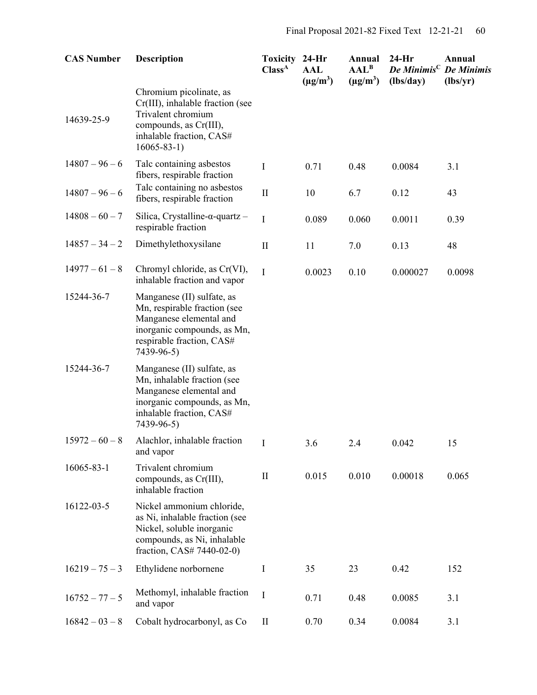| <b>CAS Number</b>                                                                                                                                                             | <b>Description</b>                                                                                                                                            | Toxicity 24-Hr<br>Class <sup>A</sup> | <b>AAL</b><br>$(\mu g/m^3)$ | Annual<br>$AAL^B$<br>$(\mu g/m^3)$ | $24-Hr$<br>$De$ Minimis <sup>C</sup> De Minimis<br>(lbs/day) | Annual<br>(lbs/yr) |
|-------------------------------------------------------------------------------------------------------------------------------------------------------------------------------|---------------------------------------------------------------------------------------------------------------------------------------------------------------|--------------------------------------|-----------------------------|------------------------------------|--------------------------------------------------------------|--------------------|
| 14639-25-9                                                                                                                                                                    | Chromium picolinate, as<br>Cr(III), inhalable fraction (see<br>Trivalent chromium<br>compounds, as Cr(III),<br>inhalable fraction, CAS#<br>$16065 - 83 - 1)$  |                                      |                             |                                    |                                                              |                    |
| $14807 - 96 - 6$                                                                                                                                                              | Talc containing asbestos<br>fibers, respirable fraction                                                                                                       | $\mathbf I$                          | 0.71                        | 0.48                               | 0.0084                                                       | 3.1                |
| $14807 - 96 - 6$                                                                                                                                                              | Talc containing no asbestos<br>fibers, respirable fraction                                                                                                    | $\mathbf{I}$                         | 10                          | 6.7                                | 0.12                                                         | 43                 |
| $14808 - 60 - 7$                                                                                                                                                              | Silica, Crystalline- $\alpha$ -quartz –<br>respirable fraction                                                                                                | $\bf I$                              | 0.089                       | 0.060                              | 0.0011                                                       | 0.39               |
| $14857 - 34 - 2$                                                                                                                                                              | Dimethylethoxysilane                                                                                                                                          | $\mathbf{I}$                         | 11                          | 7.0                                | 0.13                                                         | 48                 |
| $14977 - 61 - 8$                                                                                                                                                              | Chromyl chloride, as Cr(VI),<br>inhalable fraction and vapor                                                                                                  |                                      | 0.0023                      | 0.10                               | 0.000027                                                     | 0.0098             |
| 15244-36-7<br>Manganese (II) sulfate, as<br>Mn, respirable fraction (see<br>Manganese elemental and<br>inorganic compounds, as Mn,<br>respirable fraction, CAS#<br>7439-96-5) |                                                                                                                                                               |                                      |                             |                                    |                                                              |                    |
| 15244-36-7                                                                                                                                                                    | Manganese (II) sulfate, as<br>Mn, inhalable fraction (see<br>Manganese elemental and<br>inorganic compounds, as Mn,<br>inhalable fraction, CAS#<br>7439-96-5) |                                      |                             |                                    |                                                              |                    |
| $15972 - 60 - 8$                                                                                                                                                              | Alachlor, inhalable fraction<br>and vapor                                                                                                                     | $\bf{l}$                             | 3.6                         | 2.4                                | 0.042                                                        | 15                 |
| 16065-83-1                                                                                                                                                                    | Trivalent chromium<br>compounds, as Cr(III),<br>inhalable fraction                                                                                            | $\mathbf{I}$                         | 0.015                       | 0.010                              | 0.00018                                                      | 0.065              |
| 16122-03-5                                                                                                                                                                    | Nickel ammonium chloride,<br>as Ni, inhalable fraction (see<br>Nickel, soluble inorganic<br>compounds, as Ni, inhalable<br>fraction, CAS# 7440-02-0)          |                                      |                             |                                    |                                                              |                    |
| $16219 - 75 - 3$                                                                                                                                                              | Ethylidene norbornene                                                                                                                                         | $\bf{I}$                             | 35                          | 23                                 | 0.42                                                         | 152                |
| $16752 - 77 - 5$                                                                                                                                                              | Methomyl, inhalable fraction<br>and vapor                                                                                                                     | I                                    | 0.71                        | 0.48                               | 0.0085                                                       | 3.1                |
| $16842 - 03 - 8$                                                                                                                                                              | Cobalt hydrocarbonyl, as Co                                                                                                                                   | $\mathbf{I}$                         | 0.70                        | 0.34                               | 0.0084                                                       | 3.1                |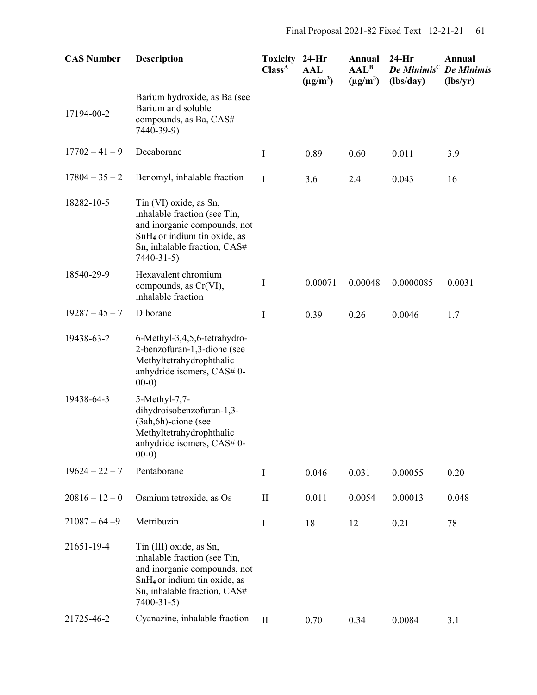| <b>CAS Number</b>                                                                                                                                                                                   | <b>Description</b>                                                                                                                                                                     | Toxicity 24-Hr<br>Class <sup>A</sup> | AAL<br>$(\mu g/m^3)$ | Annual<br>$AAL^B$<br>$(\mu g/m^3)$ | $24-Hr$<br>$De$ Minimis <sup>C</sup> De Minimis<br>(lbs/day) | Annual<br>(lbs/yr) |
|-----------------------------------------------------------------------------------------------------------------------------------------------------------------------------------------------------|----------------------------------------------------------------------------------------------------------------------------------------------------------------------------------------|--------------------------------------|----------------------|------------------------------------|--------------------------------------------------------------|--------------------|
| 17194-00-2                                                                                                                                                                                          | Barium hydroxide, as Ba (see<br>Barium and soluble<br>compounds, as Ba, CAS#<br>7440-39-9)                                                                                             |                                      |                      |                                    |                                                              |                    |
| $17702 - 41 - 9$                                                                                                                                                                                    | Decaborane                                                                                                                                                                             | Ι                                    | 0.89                 | 0.60                               | 0.011                                                        | 3.9                |
| $17804 - 35 - 2$                                                                                                                                                                                    | Benomyl, inhalable fraction                                                                                                                                                            | $\mathbf I$                          | 3.6                  | 2.4                                | 0.043                                                        | 16                 |
| 18282-10-5<br>Tin (VI) oxide, as Sn,<br>inhalable fraction (see Tin,<br>and inorganic compounds, not<br>SnH <sub>4</sub> or indium tin oxide, as<br>Sn, inhalable fraction, CAS#<br>$7440 - 31 - 5$ |                                                                                                                                                                                        |                                      |                      |                                    |                                                              |                    |
| 18540-29-9<br>Hexavalent chromium<br>compounds, as Cr(VI),<br>inhalable fraction                                                                                                                    |                                                                                                                                                                                        | I                                    | 0.00071              | 0.00048                            | 0.0000085                                                    | 0.0031             |
| $19287 - 45 - 7$<br>Diborane                                                                                                                                                                        |                                                                                                                                                                                        | $\mathbf I$                          | 0.39                 | 0.26                               | 0.0046                                                       | 1.7                |
| 19438-63-2<br>6-Methyl-3,4,5,6-tetrahydro-<br>2-benzofuran-1,3-dione (see<br>Methyltetrahydrophthalic<br>anhydride isomers, CAS# 0-<br>$(00-0)$                                                     |                                                                                                                                                                                        |                                      |                      |                                    |                                                              |                    |
| 19438-64-3                                                                                                                                                                                          | $5-Methyl-7,7-$<br>dihydroisobenzofuran-1,3-<br>(3ah, 6h)-dione (see<br>Methyltetrahydrophthalic<br>anhydride isomers, CAS# 0-<br>$00-0)$                                              |                                      |                      |                                    |                                                              |                    |
| $19624 - 22 - 7$                                                                                                                                                                                    | Pentaborane                                                                                                                                                                            | $\mathbf I$                          | 0.046                | 0.031                              | 0.00055                                                      | 0.20               |
| $20816 - 12 - 0$                                                                                                                                                                                    | Osmium tetroxide, as Os                                                                                                                                                                | $\mathbf{I}$                         | 0.011                | 0.0054                             | 0.00013                                                      | 0.048              |
| $21087 - 64 - 9$                                                                                                                                                                                    | Metribuzin                                                                                                                                                                             | $\mathbf I$                          | 18                   | 12                                 | 0.21                                                         | 78                 |
| 21651-19-4                                                                                                                                                                                          | Tin (III) oxide, as Sn,<br>inhalable fraction (see Tin,<br>and inorganic compounds, not<br>SnH <sub>4</sub> or indium tin oxide, as<br>Sn, inhalable fraction, CAS#<br>$7400 - 31 - 5$ |                                      |                      |                                    |                                                              |                    |
| 21725-46-2                                                                                                                                                                                          | Cyanazine, inhalable fraction                                                                                                                                                          | $\mathbf{I}$                         | 0.70                 | 0.34                               | 0.0084                                                       | 3.1                |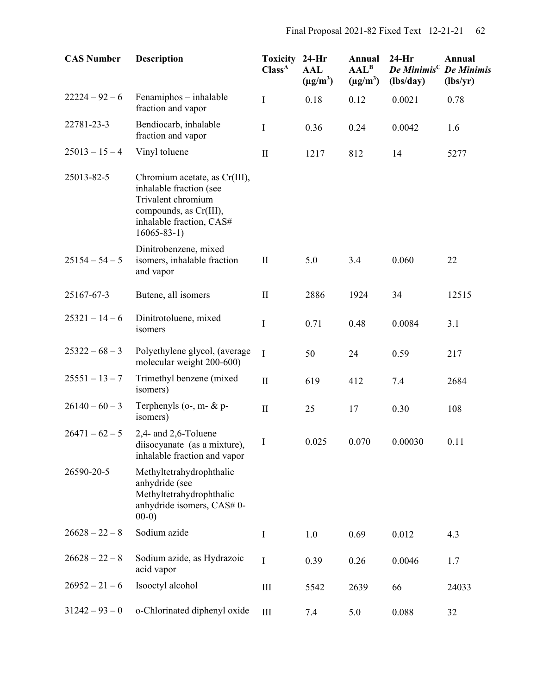| <b>CAS Number</b><br><b>Description</b>                                                                                                                                |                                                                                                                 | Toxicity 24-Hr<br>Class <sup>A</sup> | <b>AAL</b><br>$(\mu g/m^3)$ | Annual<br>$AAL^B$<br>$(\mu g/m^3)$ | $24-Hr$<br>De Minimis $C$<br>(lbs/day) | Annual<br><b>De Minimis</b><br>(lbs/yr) |
|------------------------------------------------------------------------------------------------------------------------------------------------------------------------|-----------------------------------------------------------------------------------------------------------------|--------------------------------------|-----------------------------|------------------------------------|----------------------------------------|-----------------------------------------|
| $22224 - 92 - 6$                                                                                                                                                       | Fenamiphos - inhalable<br>fraction and vapor                                                                    | $\mathbf I$                          | 0.18                        | 0.12                               | 0.0021                                 | 0.78                                    |
| 22781-23-3                                                                                                                                                             | Bendiocarb, inhalable<br>fraction and vapor                                                                     | $\mathbf I$                          | 0.36                        | 0.24                               | 0.0042                                 | 1.6                                     |
| $25013 - 15 - 4$                                                                                                                                                       | Vinyl toluene                                                                                                   | $\mathbf{I}$                         | 1217                        | 812                                | 14                                     | 5277                                    |
| 25013-82-5<br>Chromium acetate, as Cr(III),<br>inhalable fraction (see<br>Trivalent chromium<br>compounds, as Cr(III),<br>inhalable fraction, CAS#<br>$16065 - 83 - 1$ |                                                                                                                 |                                      |                             |                                    |                                        |                                         |
| $25154 - 54 - 5$                                                                                                                                                       | Dinitrobenzene, mixed<br>isomers, inhalable fraction<br>and vapor                                               | $\mathbf{I}$                         | 5.0                         | 3.4                                | 0.060                                  | 22                                      |
| 25167-67-3                                                                                                                                                             | Butene, all isomers                                                                                             | $\mathbf{I}$                         | 2886                        | 1924                               | 34                                     | 12515                                   |
| $25321 - 14 - 6$                                                                                                                                                       | Dinitrotoluene, mixed<br>isomers                                                                                | $\bf{I}$                             | 0.71                        | 0.48                               | 0.0084                                 | 3.1                                     |
| $25322 - 68 - 3$                                                                                                                                                       | Polyethylene glycol, (average<br>molecular weight 200-600)                                                      | $\mathbf I$                          | 50                          | 24                                 | 0.59                                   | 217                                     |
| $25551 - 13 - 7$                                                                                                                                                       | Trimethyl benzene (mixed)<br>isomers)                                                                           | $\mathbf{I}$                         | 619                         | 412                                | 7.4                                    | 2684                                    |
| $26140 - 60 - 3$                                                                                                                                                       | Terphenyls ( $o$ -, m- & p-<br>isomers)                                                                         | $\mathbf{I}$                         | 25                          | 17                                 | 0.30                                   | 108                                     |
| $26471 - 62 - 5$                                                                                                                                                       | 2,4- and 2,6-Toluene<br>diisocyanate (as a mixture),<br>inhalable fraction and vapor                            | $\perp$                              | 0.025                       | 0.070                              | 0.00030                                | 0.11                                    |
| 26590-20-5                                                                                                                                                             | Methyltetrahydrophthalic<br>anhydride (see<br>Methyltetrahydrophthalic<br>anhydride isomers, CAS#0-<br>$(00-0)$ |                                      |                             |                                    |                                        |                                         |
| $26628 - 22 - 8$                                                                                                                                                       | Sodium azide                                                                                                    | $\mathbf I$                          | 1.0                         | 0.69                               | 0.012                                  | 4.3                                     |
| $26628 - 22 - 8$                                                                                                                                                       | Sodium azide, as Hydrazoic<br>acid vapor                                                                        | $\mathbf I$                          | 0.39                        | 0.26                               | 0.0046                                 | 1.7                                     |
| $26952 - 21 - 6$                                                                                                                                                       | Isooctyl alcohol                                                                                                | III                                  | 5542                        | 2639                               | 66                                     | 24033                                   |
| $31242 - 93 - 0$                                                                                                                                                       | o-Chlorinated diphenyl oxide                                                                                    | III                                  | 7.4                         | 5.0                                | 0.088                                  | 32                                      |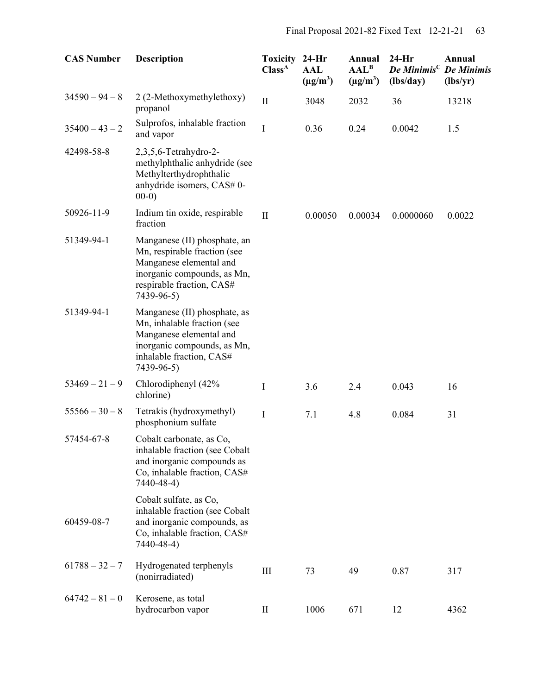| <b>CAS Number</b><br><b>Description</b>                                                                                                                                              |                                                                                                                                                                 | Toxicity 24-Hr<br>Class <sup>A</sup> | AAL<br>$(\mu g/m^3)$ | Annual<br>$AAL^B$<br>$(\mu g/m^3)$ | $24-Hr$<br>De Minimis <sup>C</sup> De Minimis<br>(lbs/day) | Annual<br>(lbs/yr) |
|--------------------------------------------------------------------------------------------------------------------------------------------------------------------------------------|-----------------------------------------------------------------------------------------------------------------------------------------------------------------|--------------------------------------|----------------------|------------------------------------|------------------------------------------------------------|--------------------|
| $34590 - 94 - 8$                                                                                                                                                                     | 2 (2-Methoxymethylethoxy)<br>propanol                                                                                                                           | $\mathbf{I}$                         | 3048                 | 2032                               | 36                                                         | 13218              |
| $35400 - 43 - 2$                                                                                                                                                                     | Sulprofos, inhalable fraction<br>and vapor                                                                                                                      | $\mathbf I$                          | 0.36                 | 0.24                               | 0.0042                                                     | 1.5                |
| 42498-58-8<br>2,3,5,6-Tetrahydro-2-<br>methylphthalic anhydride (see<br>Methylterthydrophthalic<br>anhydride isomers, CAS# 0-<br>$(00-0)$                                            |                                                                                                                                                                 |                                      |                      |                                    |                                                            |                    |
| 50926-11-9                                                                                                                                                                           | Indium tin oxide, respirable<br>fraction                                                                                                                        | $\mathbf{I}$                         | 0.00050              | 0.00034                            | 0.0000060                                                  | 0.0022             |
| 51349-94-1<br>Manganese (II) phosphate, an<br>Mn, respirable fraction (see<br>Manganese elemental and<br>inorganic compounds, as Mn,<br>respirable fraction, CAS#<br>$7439 - 96 - 5$ |                                                                                                                                                                 |                                      |                      |                                    |                                                            |                    |
| 51349-94-1                                                                                                                                                                           | Manganese (II) phosphate, as<br>Mn, inhalable fraction (see<br>Manganese elemental and<br>inorganic compounds, as Mn,<br>inhalable fraction, CAS#<br>7439-96-5) |                                      |                      |                                    |                                                            |                    |
| $53469 - 21 - 9$                                                                                                                                                                     | Chlorodiphenyl (42%<br>chlorine)                                                                                                                                | I                                    | 3.6                  | 2.4                                | 0.043                                                      | 16                 |
| $55566 - 30 - 8$                                                                                                                                                                     | Tetrakis (hydroxymethyl)<br>phosphonium sulfate                                                                                                                 | I                                    | 7.1                  | 4.8                                | 0.084                                                      | 31                 |
| 57454-67-8                                                                                                                                                                           | Cobalt carbonate, as Co,<br>inhalable fraction (see Cobalt<br>and inorganic compounds as<br>Co, inhalable fraction, CAS#<br>$7440 - 48 - 4$ )                   |                                      |                      |                                    |                                                            |                    |
| 60459-08-7                                                                                                                                                                           | Cobalt sulfate, as Co,<br>inhalable fraction (see Cobalt<br>and inorganic compounds, as<br>Co, inhalable fraction, CAS#<br>7440-48-4)                           |                                      |                      |                                    |                                                            |                    |
| $61788 - 32 - 7$                                                                                                                                                                     | Hydrogenated terphenyls<br>(nonirradiated)                                                                                                                      | III                                  | 73                   | 49                                 | 0.87                                                       | 317                |
| $64742 - 81 - 0$                                                                                                                                                                     | Kerosene, as total<br>hydrocarbon vapor                                                                                                                         | $\rm II$                             | 1006                 | 671                                | 12                                                         | 4362               |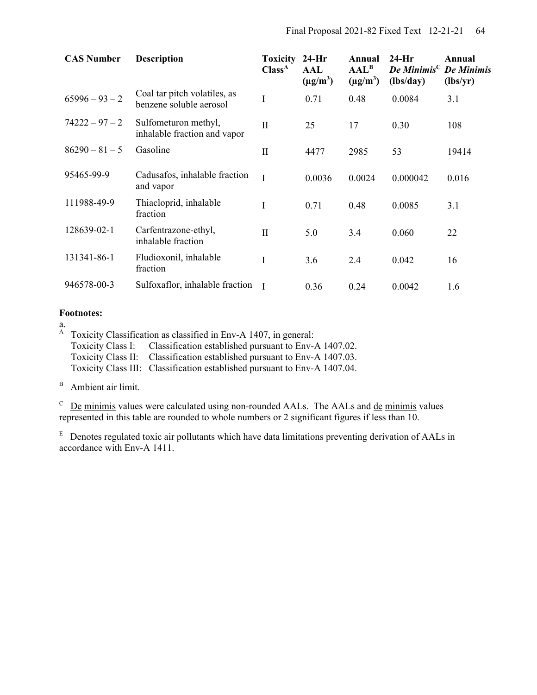| <b>CAS Number</b> | <b>Description</b>                                      | Toxicity 24-Hr<br>Class <sup>A</sup> | AAL<br>$(\mu g/m^3)$ | Annual<br>$AAL^B$<br>$(\mu g/m^3)$ | $24-Hr$<br>De Minimis <sup>C</sup> De Minimis<br>(lbs/day) | Annual<br>(lbs/yr) |
|-------------------|---------------------------------------------------------|--------------------------------------|----------------------|------------------------------------|------------------------------------------------------------|--------------------|
| $65996 - 93 - 2$  | Coal tar pitch volatiles, as<br>benzene soluble aerosol | I                                    | 0.71                 | 0.48                               | 0.0084                                                     | 3.1                |
| $74222 - 97 - 2$  | Sulfometuron methyl,<br>inhalable fraction and vapor    | $\mathbf{I}$                         | 25                   | 17                                 | 0.30                                                       | 108                |
| $86290 - 81 - 5$  | Gasoline                                                | $\mathbf{I}$                         | 4477                 | 2985                               | 53                                                         | 19414              |
| 95465-99-9        | Cadusafos, inhalable fraction<br>and vapor              | I                                    | 0.0036               | 0.0024                             | 0.000042                                                   | 0.016              |
| 111988-49-9       | Thiacloprid, inhalable<br>fraction                      | I                                    | 0.71                 | 0.48                               | 0.0085                                                     | 3.1                |
| 128639-02-1       | Carfentrazone-ethyl,<br>inhalable fraction              | $\mathbf{I}$                         | 5.0                  | 3.4                                | 0.060                                                      | 22                 |
| 131341-86-1       | Fludioxonil, inhalable<br>fraction                      | I                                    | 3.6                  | 2.4                                | 0.042                                                      | 16                 |
| 946578-00-3       | Sulfoxaflor, inhalable fraction                         |                                      | 0.36                 | 0.24                               | 0.0042                                                     | 1.6                |

### **Footnotes:**

a.

|  | <sup>A</sup> Toxicity Classification as classified in Env-A 1407, in general: |
|--|-------------------------------------------------------------------------------|
|  | Toxicity Class I: Classification established pursuant to Env-A 1407.02.       |
|  | Toxicity Class II: Classification established pursuant to Env-A 1407.03.      |
|  | Toxicity Class III: Classification established pursuant to Env-A 1407.04.     |

<sup>B</sup> Ambient air limit.

 $\overline{C}$  De minimis values were calculated using non-rounded AALs. The AALs and de minimis values represented in this table are rounded to whole numbers or 2 significant figures if less than 10.

 $E$  Denotes regulated toxic air pollutants which have data limitations preventing derivation of AALs in accordance with Env-A 1411.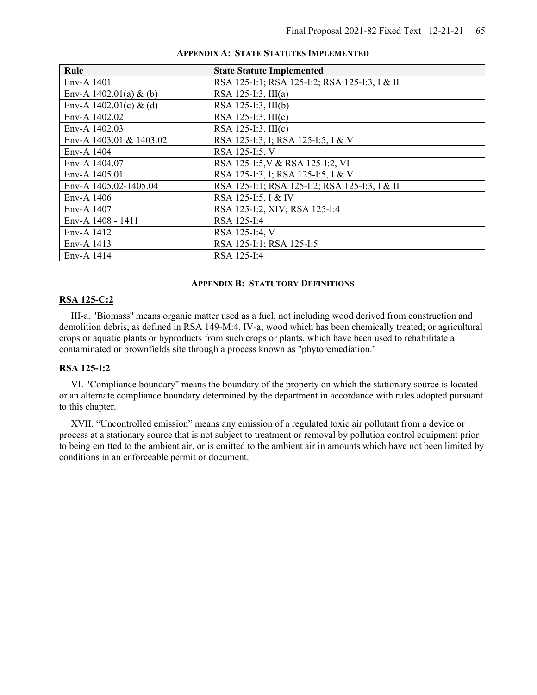| Rule                     | <b>State Statute Implemented</b>              |
|--------------------------|-----------------------------------------------|
| Env-A 1401               | RSA 125-I:1; RSA 125-I:2; RSA 125-I:3, I & II |
| Env-A $1402.01(a)$ & (b) | RSA 125-I:3, $III(a)$                         |
| Env-A $1402.01(c)$ & (d) | RSA 125-I:3, III(b)                           |
| Env-A 1402.02            | RSA 125-I:3, III(c)                           |
| Env-A 1402.03            | RSA 125-I:3, III(c)                           |
| Env-A 1403.01 & 1403.02  | RSA 125-I:3, I; RSA 125-I:5, I & V            |
| Env-A 1404               | RSA 125-I:5, V                                |
| Env-A 1404.07            | RSA 125-I:5, V & RSA 125-I:2, VI              |
| Env-A 1405.01            | RSA 125-I:3, I; RSA 125-I:5, I & V            |
| Env-A 1405.02-1405.04    | RSA 125-I:1; RSA 125-I:2; RSA 125-I:3, I & II |
| Env-A 1406               | RSA 125-I:5, I & IV                           |
| Env-A 1407               | RSA 125-I:2, XIV; RSA 125-I:4                 |
| Env-A 1408 - 1411        | RSA 125-I:4                                   |
| Env-A 1412               | RSA 125-I:4, V                                |
| Env-A 1413               | RSA 125-I:1; RSA 125-I:5                      |
| Env-A 1414               | RSA 125-I:4                                   |

#### **APPENDIX A: STATE STATUTES IMPLEMENTED**

#### **APPENDIX B: STATUTORY DEFINITIONS**

#### **RSA 125-C:2**

III-a. "Biomass'' means organic matter used as a fuel, not including wood derived from construction and demolition debris, as defined in RSA 149-M:4, IV-a; wood which has been chemically treated; or agricultural crops or aquatic plants or byproducts from such crops or plants, which have been used to rehabilitate a contaminated or brownfields site through a process known as "phytoremediation.''

#### **RSA 125-I:2**

VI. "Compliance boundary'' means the boundary of the property on which the stationary source is located or an alternate compliance boundary determined by the department in accordance with rules adopted pursuant to this chapter.

XVII. "Uncontrolled emission" means any emission of a regulated toxic air pollutant from a device or process at a stationary source that is not subject to treatment or removal by pollution control equipment prior to being emitted to the ambient air, or is emitted to the ambient air in amounts which have not been limited by conditions in an enforceable permit or document.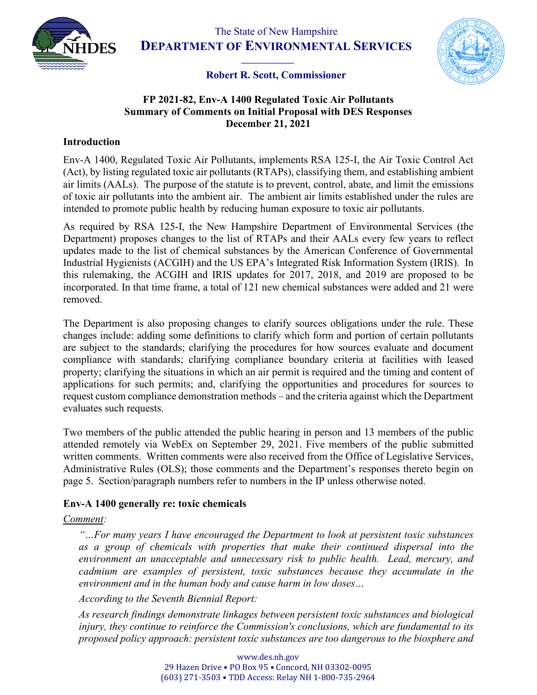

The State of New Hampshire **DEPARTMENT OF ENVIRONMENTAL SERVICES**

# **Robert R. Scott, Commissioner**

*\_\_\_\_\_\_\_\_\_\_\_\_*

## **FP 2021-82, Env-A 1400 Regulated Toxic Air Pollutants Summary of Comments on Initial Proposal with DES Responses December 21, 2021**

## **Introduction**

Env-A 1400, Regulated Toxic Air Pollutants, implements RSA 125-I, the Air Toxic Control Act (Act), by listing regulated toxic air pollutants (RTAPs), classifying them, and establishing ambient air limits (AALs). The purpose of the statute is to prevent, control, abate, and limit the emissions of toxic air pollutants into the ambient air. The ambient air limits established under the rules are intended to promote public health by reducing human exposure to toxic air pollutants.

As required by RSA 125-I, the New Hampshire Department of Environmental Services (the Department) proposes changes to the list of RTAPs and their AALs every few years to reflect updates made to the list of chemical substances by the American Conference of Governmental Industrial Hygienists (ACGIH) and the US EPA's Integrated Risk Information System (IRIS). In this rulemaking, the ACGIH and IRIS updates for 2017, 2018, and 2019 are proposed to be incorporated. In that time frame, a total of 121 new chemical substances were added and 21 were removed.

The Department is also proposing changes to clarify sources obligations under the rule. These changes include: adding some definitions to clarify which form and portion of certain pollutants are subject to the standards; clarifying the procedures for how sources evaluate and document compliance with standards; clarifying compliance boundary criteria at facilities with leased property; clarifying the situations in which an air permit is required and the timing and content of applications for such permits; and, clarifying the opportunities and procedures for sources to request custom compliance demonstration methods – and the criteria against which the Department evaluates such requests.

Two members of the public attended the public hearing in person and 13 members of the public attended remotely via WebEx on September 29, 2021. Five members of the public submitted written comments. Written comments were also received from the Office of Legislative Services, Administrative Rules (OLS); those comments and the Department's responses thereto begin on page 5. Section/paragraph numbers refer to numbers in the IP unless otherwise noted.

## **Env-A 1400 generally re: toxic chemicals**

## *Comment:*

*"…For many years I have encouraged the Department to look at persistent toxic substances*  as a group of chemicals with properties that make their continued dispersal into the *environment an unacceptable and unnecessary risk to public health. Lead, mercury, and cadmium are examples of persistent, toxic substances because they accumulate in the environment and in the human body and cause harm in low doses…*

*According to the Seventh Biennial Report:*

*As research findings demonstrate linkages between persistent toxic substances and biological injury, they continue to reinforce the Commission's conclusions, which are fundamental to its proposed policy approach: persistent toxic substances are too dangerous to the biosphere and*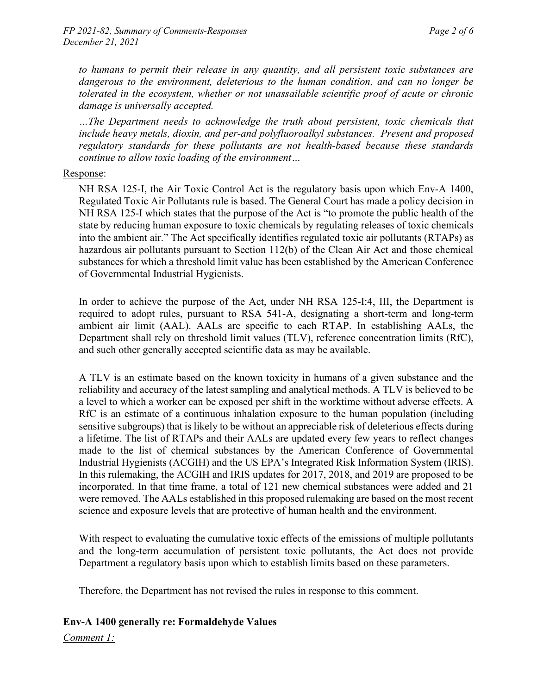*to humans to permit their release in any quantity, and all persistent toxic substances are dangerous to the environment, deleterious to the human condition, and can no longer be tolerated in the ecosystem, whether or not unassailable scientific proof of acute or chronic damage is universally accepted.*

*…The Department needs to acknowledge the truth about persistent, toxic chemicals that include heavy metals, dioxin, and per-and polyfluoroalkyl substances. Present and proposed regulatory standards for these pollutants are not health-based because these standards continue to allow toxic loading of the environment…*

## Response:

NH RSA 125-I, the Air Toxic Control Act is the regulatory basis upon which Env-A 1400, Regulated Toxic Air Pollutants rule is based. The General Court has made a policy decision in NH RSA 125-I which states that the purpose of the Act is "to promote the public health of the state by reducing human exposure to toxic chemicals by regulating releases of toxic chemicals into the ambient air." The Act specifically identifies regulated toxic air pollutants (RTAPs) as hazardous air pollutants pursuant to Section 112(b) of the Clean Air Act and those chemical substances for which a threshold limit value has been established by the American Conference of Governmental Industrial Hygienists.

In order to achieve the purpose of the Act, under NH RSA 125-I:4, III, the Department is required to adopt rules, pursuant to RSA 541-A, designating a short-term and long-term ambient air limit (AAL). AALs are specific to each RTAP. In establishing AALs, the Department shall rely on threshold limit values (TLV), reference concentration limits (RfC), and such other generally accepted scientific data as may be available.

A TLV is an estimate based on the known toxicity in humans of a given substance and the reliability and accuracy of the latest sampling and analytical methods. A TLV is believed to be a level to which a worker can be exposed per shift in the worktime without adverse effects. A RfC is an estimate of a continuous inhalation exposure to the human population (including sensitive subgroups) that is likely to be without an appreciable risk of deleterious effects during a lifetime. The list of RTAPs and their AALs are updated every few years to reflect changes made to the list of chemical substances by the American Conference of Governmental Industrial Hygienists (ACGIH) and the US EPA's Integrated Risk Information System (IRIS). In this rulemaking, the ACGIH and IRIS updates for 2017, 2018, and 2019 are proposed to be incorporated. In that time frame, a total of 121 new chemical substances were added and 21 were removed. The AALs established in this proposed rulemaking are based on the most recent science and exposure levels that are protective of human health and the environment.

With respect to evaluating the cumulative toxic effects of the emissions of multiple pollutants and the long-term accumulation of persistent toxic pollutants, the Act does not provide Department a regulatory basis upon which to establish limits based on these parameters.

Therefore, the Department has not revised the rules in response to this comment.

# **Env-A 1400 generally re: Formaldehyde Values**

*Comment 1:*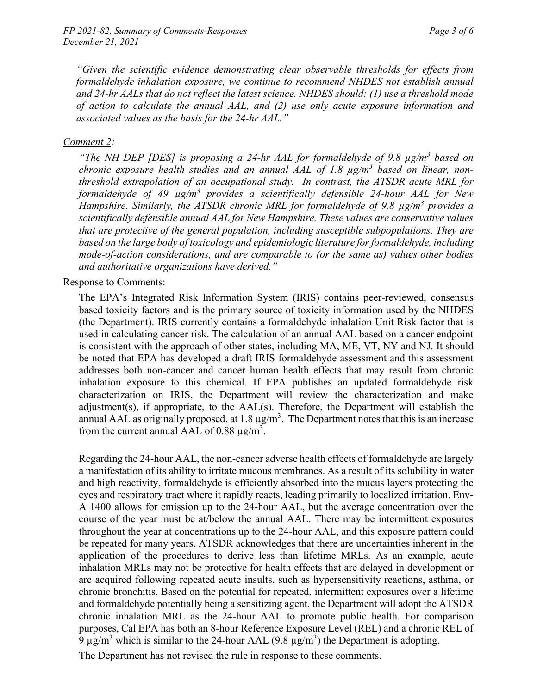*"Given the scientific evidence demonstrating clear observable thresholds for effects from formaldehyde inhalation exposure, we continue to recommend NHDES not establish annual and 24-hr AALs that do not reflect the latest science. NHDES should: (1) use a threshold mode of action to calculate the annual AAL, and (2) use only acute exposure information and associated values as the basis for the 24-hr AAL."*

### *Comment 2:*

*"The NH DEP [DES] is proposing a 24-hr AAL for formaldehyde of 9.8 µg/m3 based on chronic exposure health studies and an annual AAL of 1.8 µg/m3 based on linear, nonthreshold extrapolation of an occupational study. In contrast, the ATSDR acute MRL for formaldehyde of 49 µg/m3 provides a scientifically defensible 24-hour AAL for New Hampshire. Similarly, the ATSDR chronic MRL for formaldehyde of 9.8 µg/m3 provides a scientifically defensible annual AAL for New Hampshire. These values are conservative values that are protective of the general population, including susceptible subpopulations. They are based on the large body of toxicology and epidemiologic literature for formaldehyde, including mode-of-action considerations, and are comparable to (or the same as) values other bodies and authoritative organizations have derived."*

### Response to Comments:

The EPA's Integrated Risk Information System (IRIS) contains peer-reviewed, consensus based toxicity factors and is the primary source of toxicity information used by the NHDES (the Department). IRIS currently contains a formaldehyde inhalation Unit Risk factor that is used in calculating cancer risk. The calculation of an annual AAL based on a cancer endpoint is consistent with the approach of other states, including MA, ME, VT, NY and NJ. It should be noted that EPA has developed a draft IRIS formaldehyde assessment and this assessment addresses both non-cancer and cancer human health effects that may result from chronic inhalation exposure to this chemical. If EPA publishes an updated formaldehyde risk characterization on IRIS, the Department will review the characterization and make adjustment(s), if appropriate, to the  $AAL(s)$ . Therefore, the Department will establish the annual AAL as originally proposed, at 1.8  $\mu$ g/m<sup>3</sup>. The Department notes that this is an increase from the current annual AAL of 0.88  $\mu$ g/m<sup>3</sup>.

Regarding the 24-hour AAL, the non-cancer adverse health effects of formaldehyde are largely a manifestation of its ability to irritate mucous membranes. As a result of its solubility in water and high reactivity, formaldehyde is efficiently absorbed into the mucus layers protecting the eyes and respiratory tract where it rapidly reacts, leading primarily to localized irritation. Env-A 1400 allows for emission up to the 24-hour AAL, but the average concentration over the course of the year must be at/below the annual AAL. There may be intermittent exposures throughout the year at concentrations up to the 24-hour AAL, and this exposure pattern could be repeated for many years. ATSDR acknowledges that there are uncertainties inherent in the application of the procedures to derive less than lifetime MRLs. As an example, acute inhalation MRLs may not be protective for health effects that are delayed in development or are acquired following repeated acute insults, such as hypersensitivity reactions, asthma, or chronic bronchitis. Based on the potential for repeated, intermittent exposures over a lifetime and formaldehyde potentially being a sensitizing agent, the Department will adopt the ATSDR chronic inhalation MRL as the 24-hour AAL to promote public health. For comparison purposes, Cal EPA has both an 8-hour Reference Exposure Level (REL) and a chronic REL of 9 µg/m<sup>3</sup> which is similar to the 24-hour AAL (9.8 µg/m<sup>3</sup>) the Department is adopting.

The Department has not revised the rule in response to these comments.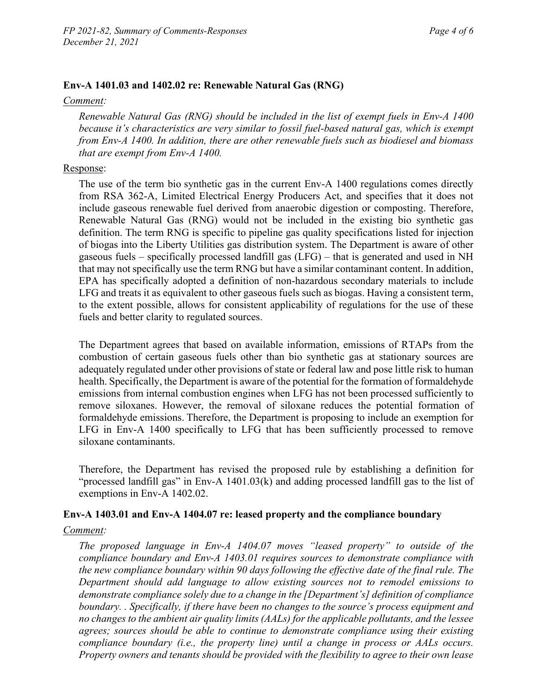### **Env-A 1401.03 and 1402.02 re: Renewable Natural Gas (RNG)**

#### *Comment:*

*Renewable Natural Gas (RNG) should be included in the list of exempt fuels in Env-A 1400 because it's characteristics are very similar to fossil fuel-based natural gas, which is exempt from Env-A 1400. In addition, there are other renewable fuels such as biodiesel and biomass that are exempt from Env-A 1400.*

#### Response:

The use of the term bio synthetic gas in the current Env-A 1400 regulations comes directly from RSA 362-A, Limited Electrical Energy Producers Act, and specifies that it does not include gaseous renewable fuel derived from anaerobic digestion or composting. Therefore, Renewable Natural Gas (RNG) would not be included in the existing bio synthetic gas definition. The term RNG is specific to pipeline gas quality specifications listed for injection of biogas into the Liberty Utilities gas distribution system. The Department is aware of other gaseous fuels – specifically processed landfill gas (LFG) – that is generated and used in NH that may not specifically use the term RNG but have a similar contaminant content. In addition, EPA has specifically adopted a definition of non-hazardous secondary materials to include LFG and treats it as equivalent to other gaseous fuels such as biogas. Having a consistent term, to the extent possible, allows for consistent applicability of regulations for the use of these fuels and better clarity to regulated sources.

The Department agrees that based on available information, emissions of RTAPs from the combustion of certain gaseous fuels other than bio synthetic gas at stationary sources are adequately regulated under other provisions of state or federal law and pose little risk to human health. Specifically, the Department is aware of the potential for the formation of formaldehyde emissions from internal combustion engines when LFG has not been processed sufficiently to remove siloxanes. However, the removal of siloxane reduces the potential formation of formaldehyde emissions. Therefore, the Department is proposing to include an exemption for LFG in Env-A 1400 specifically to LFG that has been sufficiently processed to remove siloxane contaminants.

Therefore, the Department has revised the proposed rule by establishing a definition for "processed landfill gas" in Env-A 1401.03(k) and adding processed landfill gas to the list of exemptions in Env-A 1402.02.

### **Env-A 1403.01 and Env-A 1404.07 re: leased property and the compliance boundary**

#### *Comment:*

*The proposed language in Env-A 1404.07 moves "leased property" to outside of the compliance boundary and Env-A 1403.01 requires sources to demonstrate compliance with the new compliance boundary within 90 days following the effective date of the final rule. The Department should add language to allow existing sources not to remodel emissions to demonstrate compliance solely due to a change in the [Department's] definition of compliance boundary. . Specifically, if there have been no changes to the source's process equipment and no changes to the ambient air quality limits (AALs) for the applicable pollutants, and the lessee agrees; sources should be able to continue to demonstrate compliance using their existing compliance boundary (i.e., the property line) until a change in process or AALs occurs. Property owners and tenants should be provided with the flexibility to agree to their own lease*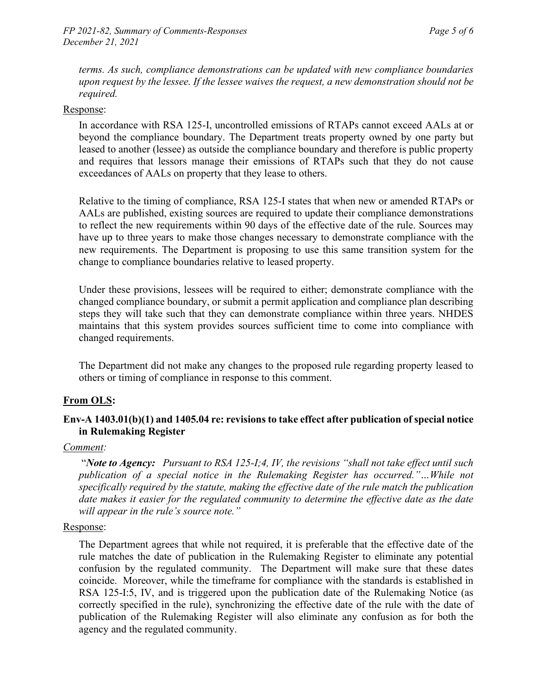*terms. As such, compliance demonstrations can be updated with new compliance boundaries upon request by the lessee. If the lessee waives the request, a new demonstration should not be required.*

### Response:

In accordance with RSA 125-I, uncontrolled emissions of RTAPs cannot exceed AALs at or beyond the compliance boundary. The Department treats property owned by one party but leased to another (lessee) as outside the compliance boundary and therefore is public property and requires that lessors manage their emissions of RTAPs such that they do not cause exceedances of AALs on property that they lease to others.

Relative to the timing of compliance, RSA 125-I states that when new or amended RTAPs or AALs are published, existing sources are required to update their compliance demonstrations to reflect the new requirements within 90 days of the effective date of the rule. Sources may have up to three years to make those changes necessary to demonstrate compliance with the new requirements. The Department is proposing to use this same transition system for the change to compliance boundaries relative to leased property.

Under these provisions, lessees will be required to either; demonstrate compliance with the changed compliance boundary, or submit a permit application and compliance plan describing steps they will take such that they can demonstrate compliance within three years. NHDES maintains that this system provides sources sufficient time to come into compliance with changed requirements.

The Department did not make any changes to the proposed rule regarding property leased to others or timing of compliance in response to this comment.

### **From OLS:**

### **Env-A 1403.01(b)(1) and 1405.04 re: revisions to take effect after publication of special notice in Rulemaking Register**

### *Comment:*

"*Note to Agency: Pursuant to RSA 125-I;4, IV, the revisions "shall not take effect until such publication of a special notice in the Rulemaking Register has occurred."…While not specifically required by the statute, making the effective date of the rule match the publication*  date makes it easier for the regulated community to determine the effective date as the date *will appear in the rule's source note."*

### Response:

The Department agrees that while not required, it is preferable that the effective date of the rule matches the date of publication in the Rulemaking Register to eliminate any potential confusion by the regulated community. The Department will make sure that these dates coincide. Moreover, while the timeframe for compliance with the standards is established in RSA 125-I:5, IV, and is triggered upon the publication date of the Rulemaking Notice (as correctly specified in the rule), synchronizing the effective date of the rule with the date of publication of the Rulemaking Register will also eliminate any confusion as for both the agency and the regulated community.